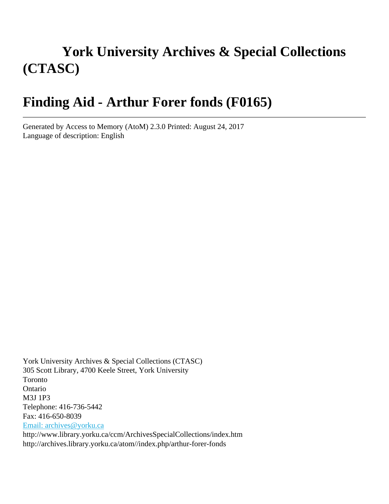# **York University Archives & Special Collections (CTASC)**

# **Finding Aid - Arthur Forer fonds (F0165)**

Generated by Access to Memory (AtoM) 2.3.0 Printed: August 24, 2017 Language of description: English

York University Archives & Special Collections (CTASC) 305 Scott Library, 4700 Keele Street, York University Toronto Ontario M3J 1P3 Telephone: 416-736-5442 Fax: 416-650-8039 [Email: archives@yorku.ca](mailto:Email: archives@yorku.ca) http://www.library.yorku.ca/ccm/ArchivesSpecialCollections/index.htm http://archives.library.yorku.ca/atom//index.php/arthur-forer-fonds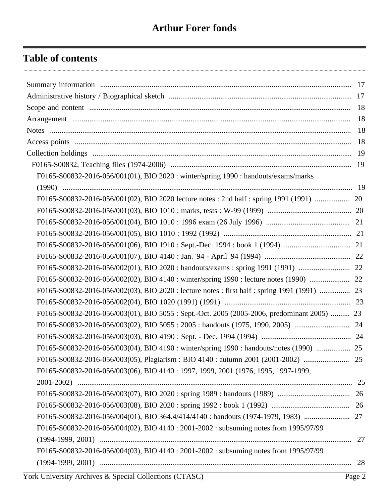# **Table of contents**

|                                                                                            | 18 |
|--------------------------------------------------------------------------------------------|----|
|                                                                                            |    |
|                                                                                            |    |
|                                                                                            |    |
|                                                                                            |    |
| F0165-S00832-2016-056/001(01), BIO 2020 : winter/spring 1990 : handouts/exams/marks        |    |
|                                                                                            |    |
|                                                                                            |    |
|                                                                                            |    |
|                                                                                            |    |
|                                                                                            |    |
|                                                                                            |    |
|                                                                                            |    |
|                                                                                            |    |
|                                                                                            |    |
|                                                                                            |    |
|                                                                                            |    |
| F0165-S00832-2016-056/003(01), BIO 5055: Sept.-Oct. 2005 (2005-2006, predominant 2005)  23 |    |
|                                                                                            |    |
|                                                                                            |    |
| F0165-S00832-2016-056/003(04), BIO 4190 : winter/spring 1990 : handouts/notes (1990)  25   |    |
|                                                                                            |    |
| F0165-S00832-2016-056/003(06), BIO 4140: 1997, 1999, 2001 (1976, 1995, 1997-1999,          |    |
|                                                                                            |    |
|                                                                                            |    |
|                                                                                            |    |
|                                                                                            |    |
| F0165-S00832-2016-056/004(02), BIO 4140 : 2001-2002 : subsuming notes from 1995/97/99      |    |
|                                                                                            | 27 |
| F0165-S00832-2016-056/004(03), BIO 4140 : 2001-2002 : subsuming notes from 1995/97/99      |    |
|                                                                                            |    |
|                                                                                            |    |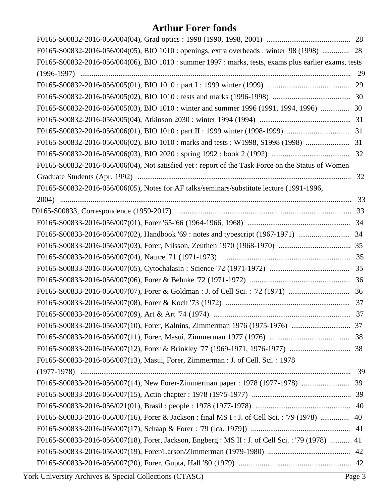| F0165-S00832-2016-056/004(05), BIO 1010 : openings, extra overheads : winter '98 (1998)  28           |    |
|-------------------------------------------------------------------------------------------------------|----|
| F0165-S00832-2016-056/004(06), BIO 1010 : summer 1997 : marks, tests, exams plus earlier exams, tests |    |
|                                                                                                       |    |
|                                                                                                       |    |
|                                                                                                       |    |
|                                                                                                       |    |
|                                                                                                       |    |
|                                                                                                       |    |
|                                                                                                       |    |
|                                                                                                       |    |
| F0165-S00832-2016-056/006(04), Not satisfied yet : report of the Task Force on the Status of Women    |    |
|                                                                                                       | 32 |
| F0165-S00832-2016-056/006(05), Notes for AF talks/seminars/substitute lecture (1991-1996,             |    |
|                                                                                                       |    |
|                                                                                                       |    |
|                                                                                                       |    |
|                                                                                                       |    |
|                                                                                                       |    |
|                                                                                                       |    |
|                                                                                                       |    |
|                                                                                                       |    |
|                                                                                                       |    |
|                                                                                                       |    |
|                                                                                                       |    |
|                                                                                                       |    |
|                                                                                                       |    |
|                                                                                                       |    |
| F0165-S00833-2016-056/007(13), Masui, Forer, Zimmerman : J. of Cell. Sci. : 1978                      |    |
|                                                                                                       |    |
| F0165-S00833-2016-056/007(14), New Forer-Zimmerman paper : 1978 (1977-1978)  39                       |    |
|                                                                                                       |    |
|                                                                                                       |    |
| F0165-S00833-2016-056/007(16), Forer & Jackson : final MS I : J. of Cell Sci. : '79 (1978)  40        |    |
|                                                                                                       |    |
| F0165-S00833-2016-056/007(18), Forer, Jackson, Engberg : MS II : J. of Cell Sci. : '79 (1978)  41     |    |
|                                                                                                       |    |
|                                                                                                       |    |
|                                                                                                       |    |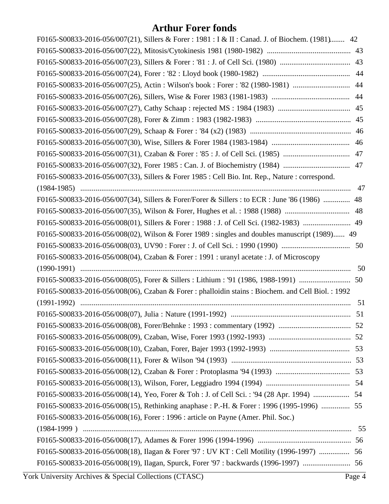| F0165-S00833-2016-056/007(21), Sillers & Forer: 1981: I & II: Canad. J. of Biochem. (1981) 42      |    |
|----------------------------------------------------------------------------------------------------|----|
|                                                                                                    |    |
|                                                                                                    |    |
|                                                                                                    |    |
|                                                                                                    |    |
|                                                                                                    |    |
|                                                                                                    |    |
|                                                                                                    |    |
|                                                                                                    |    |
|                                                                                                    | 46 |
|                                                                                                    |    |
|                                                                                                    |    |
| F0165-S00833-2016-056/007(33), Sillers & Forer 1985 : Cell Bio. Int. Rep., Nature : correspond.    |    |
|                                                                                                    | 47 |
| F0165-S00833-2016-056/007(34), Sillers & Forer/Forer & Sillers : to ECR : June '86 (1986)  48      |    |
|                                                                                                    | 48 |
|                                                                                                    |    |
| F0165-S00833-2016-056/008(02), Wilson & Forer 1989 : singles and doubles manuscript (1989) 49      |    |
|                                                                                                    |    |
|                                                                                                    |    |
| F0165-S00833-2016-056/008(04), Czaban & Forer : 1991 : uranyl acetate : J. of Microscopy           |    |
|                                                                                                    | 50 |
| F0165-S00833-2016-056/008(05), Forer & Sillers : Lithium : '91 (1986, 1988-1991)                   | 50 |
| F0165-S00833-2016-056/008(06), Czaban & Forer : phalloidin stains : Biochem. and Cell Biol. : 1992 |    |
|                                                                                                    | 51 |
|                                                                                                    |    |
|                                                                                                    |    |
|                                                                                                    |    |
|                                                                                                    |    |
|                                                                                                    |    |
|                                                                                                    |    |
|                                                                                                    |    |
| F0165-S00833-2016-056/008(14), Yeo, Forer & Toh : J. of Cell Sci. : '94 (28 Apr. 1994)  54         |    |
| F0165-S00833-2016-056/008(15), Rethinking anaphase : P.-H. & Forer : 1996 (1995-1996)  55          |    |
| F0165-S00833-2016-056/008(16), Forer : 1996 : article on Payne (Amer. Phil. Soc.)                  |    |
|                                                                                                    |    |
|                                                                                                    |    |
| F0165-S00833-2016-056/008(18), Ilagan & Forer '97 : UV KT : Cell Motility (1996-1997)  56          |    |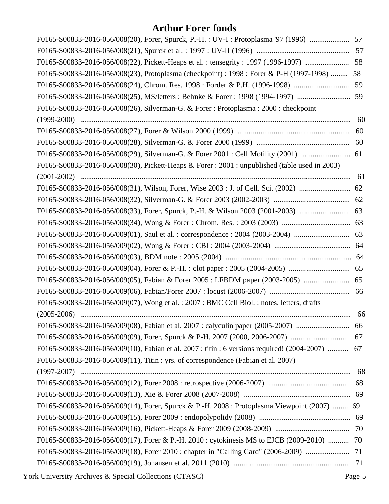| F0165-S00833-2016-056/008(20), Forer, Spurck, P.-H.: UV-I: Protoplasma '97 (1996)  57            |    |
|--------------------------------------------------------------------------------------------------|----|
|                                                                                                  |    |
|                                                                                                  |    |
| F0165-S00833-2016-056/008(23), Protoplasma (checkpoint) : 1998 : Forer & P-H (1997-1998)  58     |    |
|                                                                                                  |    |
|                                                                                                  |    |
| F0165-S00833-2016-056/008(26), Silverman-G. & Forer: Protoplasma: 2000: checkpoint               |    |
|                                                                                                  | 60 |
|                                                                                                  |    |
|                                                                                                  |    |
|                                                                                                  |    |
| F0165-S00833-2016-056/008(30), Pickett-Heaps & Forer: 2001: unpublished (table used in 2003)     |    |
|                                                                                                  |    |
|                                                                                                  |    |
|                                                                                                  |    |
|                                                                                                  |    |
|                                                                                                  |    |
|                                                                                                  |    |
|                                                                                                  |    |
|                                                                                                  |    |
|                                                                                                  |    |
|                                                                                                  |    |
|                                                                                                  |    |
| F0165-S00833-2016-056/009(07), Wong et al.: 2007: BMC Cell Biol.: notes, letters, drafts         |    |
|                                                                                                  | 66 |
|                                                                                                  |    |
|                                                                                                  |    |
| F0165-S00833-2016-056/009(10), Fabian et al. 2007 : titin : 6 versions required! (2004-2007)  67 |    |
| F0165-S00833-2016-056/009(11), Titin : yrs. of correspondence (Fabian et al. 2007)               |    |
|                                                                                                  |    |
|                                                                                                  |    |
|                                                                                                  |    |
| F0165-S00833-2016-056/009(14), Forer, Spurck & P.-H. 2008 : Protoplasma Viewpoint (2007)  69     |    |
|                                                                                                  |    |
|                                                                                                  |    |
| F0165-S00833-2016-056/009(17), Forer & P.-H. 2010 : cytokinesis MS to EJCB (2009-2010)  70       |    |
|                                                                                                  |    |
|                                                                                                  |    |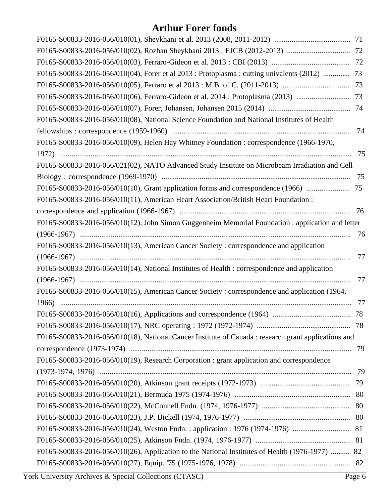| F0165-S00833-2016-056/010(04), Forer et al 2013 : Protoplasma : cutting univalents (2012)  73        |    |
|------------------------------------------------------------------------------------------------------|----|
|                                                                                                      |    |
|                                                                                                      |    |
|                                                                                                      |    |
| F0165-S00833-2016-056/010(08), National Science Foundation and National Institutes of Health         |    |
|                                                                                                      | 74 |
| F0165-S00833-2016-056/010(09), Helen Hay Whitney Foundation : correspondence (1966-1970,             |    |
|                                                                                                      | 75 |
| F0165-S00833-2016-056/021(02), NATO Advanced Study Institute on Microbeam Irradiation and Cell       |    |
|                                                                                                      | 75 |
|                                                                                                      |    |
| F0165-S00833-2016-056/010(11), American Heart Association/British Heart Foundation:                  |    |
|                                                                                                      | 76 |
| F0165-S00833-2016-056/010(12), John Simon Guggenheim Memorial Foundation : application and letter    |    |
|                                                                                                      | 76 |
| F0165-S00833-2016-056/010(13), American Cancer Society: correspondence and application               |    |
|                                                                                                      | 77 |
| F0165-S00833-2016-056/010(14), National Institutes of Health : correspondence and application        |    |
|                                                                                                      | 77 |
| F0165-S00833-2016-056/010(15), American Cancer Society: correspondence and application (1964,        |    |
|                                                                                                      | 77 |
|                                                                                                      |    |
|                                                                                                      |    |
| F0165-S00833-2016-056/010(18), National Cancer Institute of Canada : research grant applications and |    |
|                                                                                                      | 79 |
| F0165-S00833-2016-056/010(19), Research Corporation : grant application and correspondence           |    |
|                                                                                                      |    |
|                                                                                                      |    |
|                                                                                                      |    |
|                                                                                                      |    |
|                                                                                                      |    |
|                                                                                                      |    |
|                                                                                                      |    |
| F0165-S00833-2016-056/010(26), Application to the National Institutes of Health (1976-1977)  82      |    |
|                                                                                                      |    |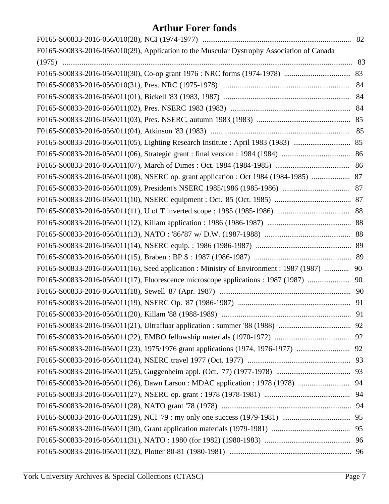| F0165-S00833-2016-056/010(29), Application to the Muscular Dystrophy Association of Canada  |    |
|---------------------------------------------------------------------------------------------|----|
|                                                                                             |    |
|                                                                                             |    |
|                                                                                             |    |
|                                                                                             | 84 |
|                                                                                             |    |
|                                                                                             |    |
|                                                                                             |    |
|                                                                                             |    |
|                                                                                             |    |
|                                                                                             |    |
| F0165-S00833-2016-056/011(08), NSERC op. grant application : Oct 1984 (1984-1985)  87       |    |
|                                                                                             |    |
|                                                                                             |    |
|                                                                                             |    |
|                                                                                             |    |
|                                                                                             |    |
|                                                                                             |    |
|                                                                                             |    |
| F0165-S00833-2016-056/011(16), Seed application : Ministry of Environment : 1987 (1987)  90 |    |
| F0165-S00833-2016-056/011(17), Fluorescence microscope applications : 1987 (1987)  90       |    |
|                                                                                             |    |
|                                                                                             |    |
|                                                                                             |    |
|                                                                                             |    |
|                                                                                             |    |
|                                                                                             |    |
|                                                                                             |    |
|                                                                                             |    |
|                                                                                             |    |
|                                                                                             |    |
|                                                                                             |    |
|                                                                                             |    |
|                                                                                             |    |
|                                                                                             |    |
|                                                                                             |    |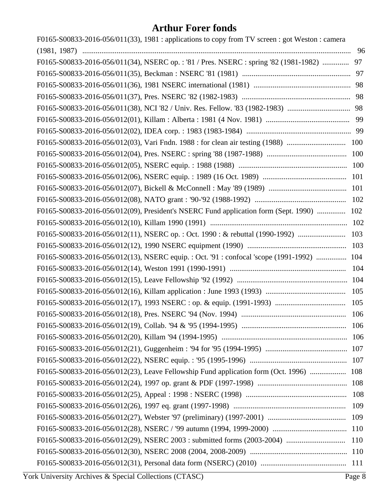| F0165-S00833-2016-056/011(33), 1981 : applications to copy from TV screen : got Weston : camera |    |
|-------------------------------------------------------------------------------------------------|----|
|                                                                                                 | 96 |
| F0165-S00833-2016-056/011(34), NSERC op.: '81 / Pres. NSERC : spring '82 (1981-1982)  97        |    |
|                                                                                                 |    |
|                                                                                                 |    |
|                                                                                                 |    |
|                                                                                                 |    |
|                                                                                                 |    |
|                                                                                                 |    |
|                                                                                                 |    |
|                                                                                                 |    |
|                                                                                                 |    |
|                                                                                                 |    |
|                                                                                                 |    |
|                                                                                                 |    |
| F0165-S00833-2016-056/012(09), President's NSERC Fund application form (Sept. 1990)  102        |    |
|                                                                                                 |    |
|                                                                                                 |    |
|                                                                                                 |    |
| F0165-S00833-2016-056/012(13), NSERC equip.: Oct. '91: confocal 'scope (1991-1992)  104         |    |
|                                                                                                 |    |
|                                                                                                 |    |
|                                                                                                 |    |
|                                                                                                 |    |
|                                                                                                 |    |
|                                                                                                 |    |
|                                                                                                 |    |
|                                                                                                 |    |
|                                                                                                 |    |
| F0165-S00833-2016-056/012(23), Leave Fellowship Fund application form (Oct. 1996)  108          |    |
|                                                                                                 |    |
|                                                                                                 |    |
|                                                                                                 |    |
|                                                                                                 |    |
|                                                                                                 |    |
|                                                                                                 |    |
|                                                                                                 |    |
|                                                                                                 |    |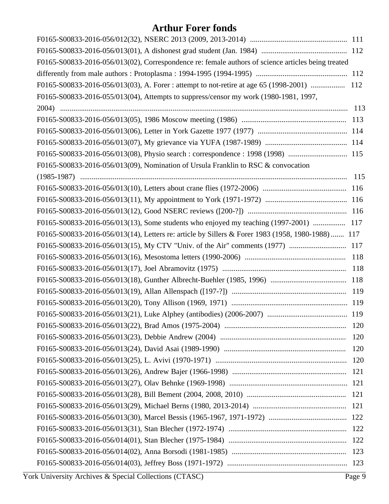| F0165-S00833-2016-056/013(02), Correspondence re: female authors of science articles being treated |  |
|----------------------------------------------------------------------------------------------------|--|
|                                                                                                    |  |
| F0165-S00833-2016-056/013(03), A. Forer : attempt to not-retire at age 65 (1998-2001)  112         |  |
| F0165-S00833-2016-055/013(04), Attempts to suppress/censor my work (1980-1981, 1997,               |  |
|                                                                                                    |  |
|                                                                                                    |  |
|                                                                                                    |  |
|                                                                                                    |  |
| F0165-S00833-2016-056/013(08), Physio search : correspondence : 1998 (1998)  115                   |  |
| F0165-S00833-2016-056/013(09), Nomination of Ursula Franklin to RSC & convocation                  |  |
|                                                                                                    |  |
|                                                                                                    |  |
|                                                                                                    |  |
|                                                                                                    |  |
| F0165-S00833-2016-056/013(13), Some students who enjoyed my teaching (1997-2001)  117              |  |
| F0165-S00833-2016-056/013(14), Letters re: article by Sillers & Forer 1983 (1958, 1980-1988) 117   |  |
|                                                                                                    |  |
|                                                                                                    |  |
|                                                                                                    |  |
|                                                                                                    |  |
|                                                                                                    |  |
|                                                                                                    |  |
|                                                                                                    |  |
|                                                                                                    |  |
|                                                                                                    |  |
|                                                                                                    |  |
|                                                                                                    |  |
|                                                                                                    |  |
|                                                                                                    |  |
|                                                                                                    |  |
|                                                                                                    |  |
|                                                                                                    |  |
|                                                                                                    |  |
|                                                                                                    |  |
|                                                                                                    |  |
|                                                                                                    |  |
|                                                                                                    |  |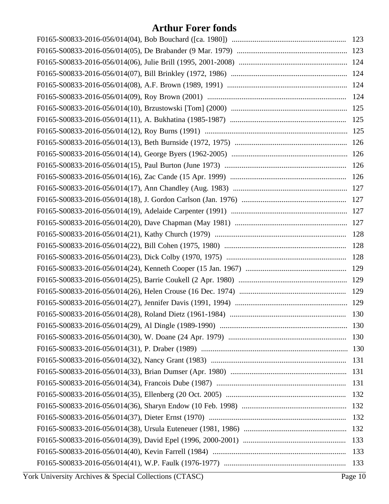| 131 |
|-----|
|     |
|     |
| 132 |
|     |
| 133 |
| 133 |
|     |
|     |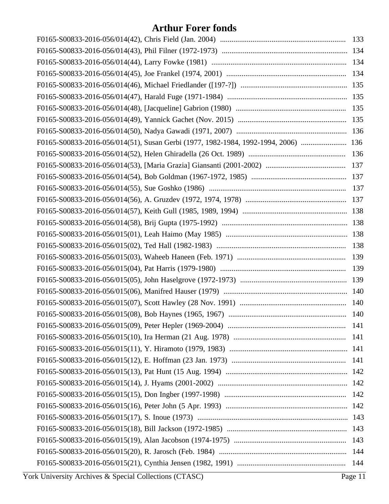| F0165-S00833-2016-056/014(51), Susan Gerbi (1977, 1982-1984, 1992-1994, 2006)  136 |  |
|------------------------------------------------------------------------------------|--|
|                                                                                    |  |
|                                                                                    |  |
|                                                                                    |  |
|                                                                                    |  |
|                                                                                    |  |
|                                                                                    |  |
|                                                                                    |  |
|                                                                                    |  |
|                                                                                    |  |
|                                                                                    |  |
|                                                                                    |  |
|                                                                                    |  |
|                                                                                    |  |
|                                                                                    |  |
|                                                                                    |  |
|                                                                                    |  |
|                                                                                    |  |
|                                                                                    |  |
|                                                                                    |  |
|                                                                                    |  |
|                                                                                    |  |
|                                                                                    |  |
|                                                                                    |  |
|                                                                                    |  |
|                                                                                    |  |
|                                                                                    |  |
|                                                                                    |  |
|                                                                                    |  |
|                                                                                    |  |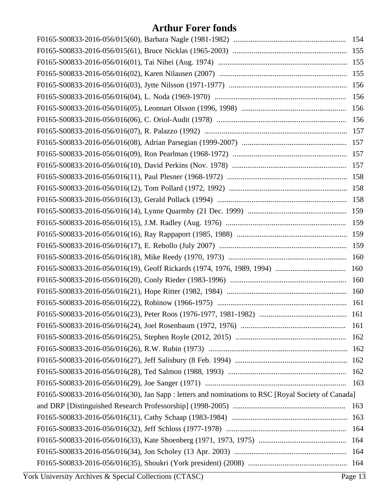| F0165-S00833-2016-056/016(30), Jan Sapp : letters and nominations to RSC [Royal Society of Canada] |  |
|----------------------------------------------------------------------------------------------------|--|
|                                                                                                    |  |
|                                                                                                    |  |
|                                                                                                    |  |
|                                                                                                    |  |
|                                                                                                    |  |
|                                                                                                    |  |
|                                                                                                    |  |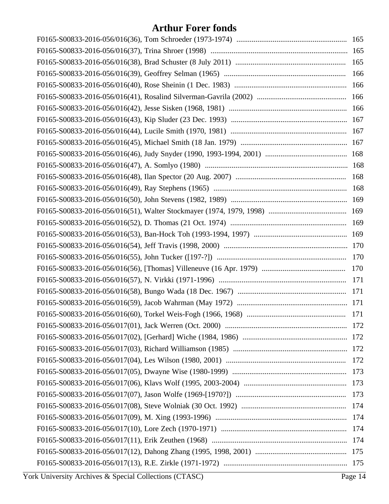| 166 |
|-----|
|     |
|     |
|     |
|     |
|     |
|     |
|     |
|     |
|     |
|     |
|     |
|     |
|     |
|     |
|     |
|     |
|     |
|     |
|     |
|     |
|     |
|     |
|     |
|     |
|     |
|     |
|     |
|     |
|     |
|     |
|     |
|     |
|     |
|     |
|     |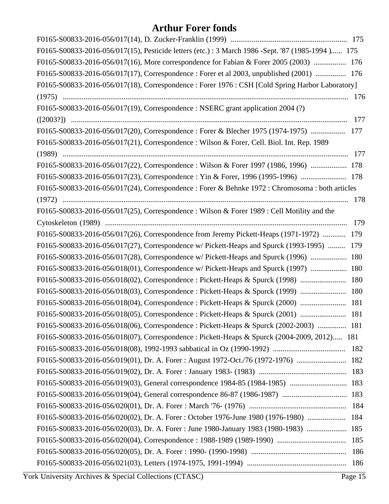| F0165-S00833-2016-056/017(15), Pesticide letters (etc.): 3 March 1986 -Sept. '87 (1985-1994 ) 175 |     |
|---------------------------------------------------------------------------------------------------|-----|
| F0165-S00833-2016-056/017(16), More correspondence for Fabian & Forer 2005 (2003)  176            |     |
| F0165-S00833-2016-056/017(17), Correspondence : Forer et al 2003, unpublished (2001)  176         |     |
| F0165-S00833-2016-056/017(18), Correspondence: Forer 1976: CSH [Cold Spring Harbor Laboratory]    |     |
|                                                                                                   |     |
| F0165-S00833-2016-056/017(19), Correspondence : NSERC grant application 2004 (?)                  |     |
|                                                                                                   | 177 |
| F0165-S00833-2016-056/017(20), Correspondence : Forer & Blecher 1975 (1974-1975)  177             |     |
| F0165-S00833-2016-056/017(21), Correspondence : Wilson & Forer, Cell. Biol. Int. Rep. 1989        |     |
|                                                                                                   |     |
| F0165-S00833-2016-056/017(22), Correspondence : Wilson & Forer 1997 (1986, 1996)  178             |     |
| F0165-S00833-2016-056/017(23), Correspondence : Yin & Forer, 1996 (1995-1996)  178                |     |
| F0165-S00833-2016-056/017(24), Correspondence : Forer & Behnke 1972 : Chromosoma : both articles  |     |
|                                                                                                   |     |
| F0165-S00833-2016-056/017(25), Correspondence : Wilson & Forer 1989 : Cell Motility and the       |     |
|                                                                                                   |     |
| F0165-S00833-2016-056/017(26), Correspondence from Jeremy Pickett-Heaps (1971-1972)  179          |     |
| F0165-S00833-2016-056/017(27), Correspondence w/ Pickett-Heaps and Spurck (1993-1995)  179        |     |
| F0165-S00833-2016-056/017(28), Correspondence w/ Pickett-Heaps and Spurck (1996)  180             |     |
| F0165-S00833-2016-056/018(01), Correspondence w/ Pickett-Heaps and Spurck (1997)  180             |     |
| F0165-S00833-2016-056/018(02), Correspondence : Pickett-Heaps & Spurck (1998)  180                |     |
| F0165-S00833-2016-056/018(03), Correspondence : Pickett-Heaps & Spurck (1999)  180                |     |
| F0165-S00833-2016-056/018(04), Correspondence : Pickett-Heaps & Spurck (2000)  181                |     |
| F0165-S00833-2016-056/018(05), Correspondence : Pickett-Heaps & Spurck (2001)  181                |     |
| F0165-S00833-2016-056/018(06), Correspondence : Pickett-Heaps & Spurck (2002-2003)  181           |     |
| F0165-S00833-2016-056/018(07), Correspondence: Pickett-Heaps & Spurck (2004-2009, 2012) 181       |     |
|                                                                                                   |     |
| F0165-S00833-2016-056/019(01), Dr. A. Forer: August 1972-Oct./76 (1972-1976)  182                 |     |
|                                                                                                   |     |
|                                                                                                   |     |
|                                                                                                   |     |
|                                                                                                   |     |
| F0165-S00833-2016-056/020(02), Dr. A. Forer: October 1976-June 1980 (1976-1980)  184              |     |
| F0165-S00833-2016-056/020(03), Dr. A. Forer: June 1980-January 1983 (1980-1983)  185              |     |
|                                                                                                   |     |
|                                                                                                   | 186 |
|                                                                                                   |     |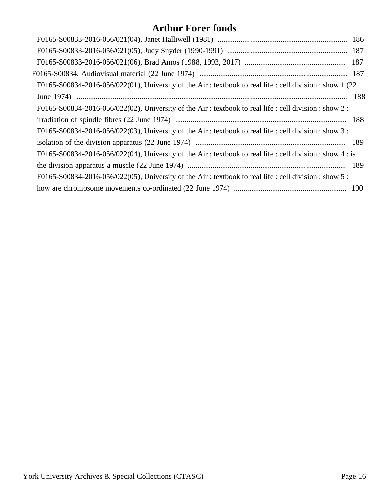| F0165-S00834-2016-056/022(01), University of the Air: textbook to real life : cell division : show 1 (22) |  |
|-----------------------------------------------------------------------------------------------------------|--|
|                                                                                                           |  |
| F0165-S00834-2016-056/022(02), University of the Air: textbook to real life : cell division : show 2 :    |  |
|                                                                                                           |  |
| F0165-S00834-2016-056/022(03), University of the Air: textbook to real life : cell division : show 3 :    |  |
|                                                                                                           |  |
| F0165-S00834-2016-056/022(04), University of the Air: textbook to real life : cell division : show 4 : is |  |
|                                                                                                           |  |
| F0165-S00834-2016-056/022(05), University of the Air: textbook to real life : cell division : show 5 :    |  |
|                                                                                                           |  |
|                                                                                                           |  |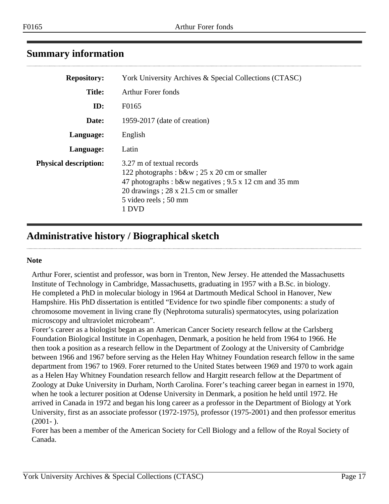# <span id="page-16-0"></span>**Summary information**

| <b>Repository:</b>           | York University Archives & Special Collections (CTASC)                                                                                                                                                              |
|------------------------------|---------------------------------------------------------------------------------------------------------------------------------------------------------------------------------------------------------------------|
| <b>Title:</b>                | Arthur Forer fonds                                                                                                                                                                                                  |
| ID:                          | F0165                                                                                                                                                                                                               |
| Date:                        | 1959-2017 (date of creation)                                                                                                                                                                                        |
| Language:                    | English                                                                                                                                                                                                             |
| Language:                    | Latin                                                                                                                                                                                                               |
| <b>Physical description:</b> | 3.27 m of textual records<br>122 photographs : b&w ; 25 x 20 cm or smaller<br>47 photographs: b&w negatives ; 9.5 x 12 cm and 35 mm<br>20 drawings; $28 \times 21.5$ cm or smaller<br>5 video reels; 50 mm<br>1 DVD |

# <span id="page-16-1"></span>**Administrative history / Biographical sketch**

#### **Note**

Arthur Forer, scientist and professor, was born in Trenton, New Jersey. He attended the Massachusetts Institute of Technology in Cambridge, Massachusetts, graduating in 1957 with a B.Sc. in biology. He completed a PhD in molecular biology in 1964 at Dartmouth Medical School in Hanover, New Hampshire. His PhD dissertation is entitled "Evidence for two spindle fiber components: a study of chromosome movement in living crane fly (Nephrotoma suturalis) spermatocytes, using polarization microscopy and ultraviolet microbeam".

Forer's career as a biologist began as an American Cancer Society research fellow at the Carlsberg Foundation Biological Institute in Copenhagen, Denmark, a position he held from 1964 to 1966. He then took a position as a research fellow in the Department of Zoology at the University of Cambridge between 1966 and 1967 before serving as the Helen Hay Whitney Foundation research fellow in the same department from 1967 to 1969. Forer returned to the United States between 1969 and 1970 to work again as a Helen Hay Whitney Foundation research fellow and Hargitt research fellow at the Department of Zoology at Duke University in Durham, North Carolina. Forer's teaching career began in earnest in 1970, when he took a lecturer position at Odense University in Denmark, a position he held until 1972. He arrived in Canada in 1972 and began his long career as a professor in the Department of Biology at York University, first as an associate professor (1972-1975), professor (1975-2001) and then professor emeritus  $(2001 - )$ .

Forer has been a member of the American Society for Cell Biology and a fellow of the Royal Society of Canada.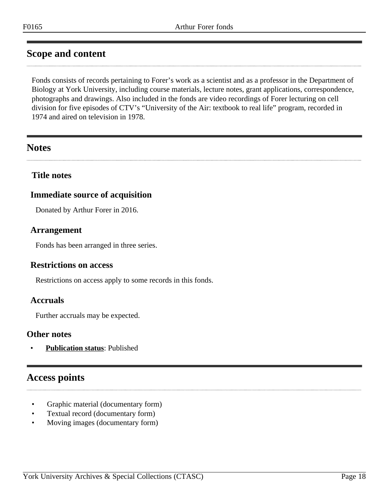# <span id="page-17-0"></span>**Scope and content**

Fonds consists of records pertaining to Forer's work as a scientist and as a professor in the Department of Biology at York University, including course materials, lecture notes, grant applications, correspondence, photographs and drawings. Also included in the fonds are video recordings of Forer lecturing on cell division for five episodes of CTV's "University of the Air: textbook to real life" program, recorded in 1974 and aired on television in 1978.

# <span id="page-17-2"></span>**Notes**

## **Title notes**

# **Immediate source of acquisition**

Donated by Arthur Forer in 2016.

## <span id="page-17-1"></span>**Arrangement**

Fonds has been arranged in three series.

## **Restrictions on access**

Restrictions on access apply to some records in this fonds.

## **Accruals**

Further accruals may be expected.

## **Other notes**

• **Publication status**: Published

# <span id="page-17-3"></span>**Access points**

- Graphic material (documentary form)
- Textual record (documentary form)
- Moving images (documentary form)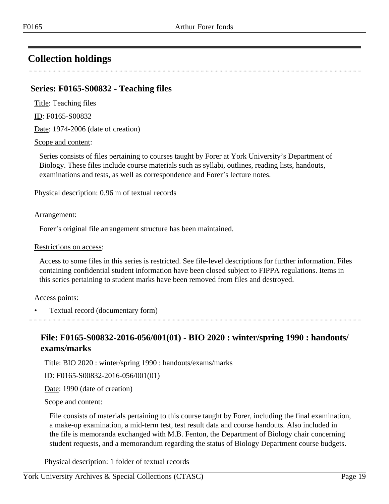# <span id="page-18-0"></span>**Collection holdings**

# <span id="page-18-1"></span>**Series: F0165-S00832 - Teaching files**

Title: Teaching files

ID: F0165-S00832

Date: 1974-2006 (date of creation)

#### Scope and content:

Series consists of files pertaining to courses taught by Forer at York University's Department of Biology. These files include course materials such as syllabi, outlines, reading lists, handouts, examinations and tests, as well as correspondence and Forer's lecture notes.

Physical description: 0.96 m of textual records

#### Arrangement:

Forer's original file arrangement structure has been maintained.

#### Restrictions on access:

Access to some files in this series is restricted. See file-level descriptions for further information. Files containing confidential student information have been closed subject to FIPPA regulations. Items in this series pertaining to student marks have been removed from files and destroyed.

#### Access points:

• Textual record (documentary form)

# <span id="page-18-2"></span>**File: F0165-S00832-2016-056/001(01) - BIO 2020 : winter/spring 1990 : handouts/ exams/marks**

Title: BIO 2020 : winter/spring 1990 : handouts/exams/marks

ID: F0165-S00832-2016-056/001(01)

Date: 1990 (date of creation)

#### Scope and content:

File consists of materials pertaining to this course taught by Forer, including the final examination, a make-up examination, a mid-term test, test result data and course handouts. Also included in the file is memoranda exchanged with M.B. Fenton, the Department of Biology chair concerning student requests, and a memorandum regarding the status of Biology Department course budgets.

Physical description: 1 folder of textual records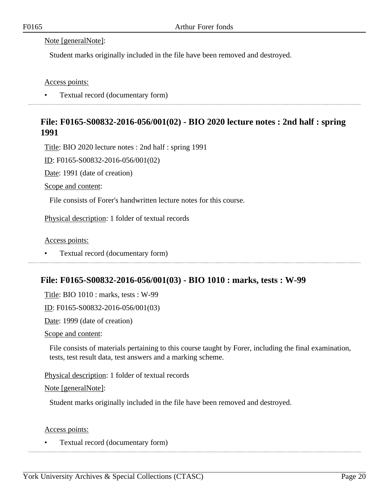#### Note [generalNote]:

Student marks originally included in the file have been removed and destroyed.

Access points:

• Textual record (documentary form)

# <span id="page-19-0"></span>**File: F0165-S00832-2016-056/001(02) - BIO 2020 lecture notes : 2nd half : spring 1991**

Title: BIO 2020 lecture notes : 2nd half : spring 1991

ID: F0165-S00832-2016-056/001(02)

Date: 1991 (date of creation)

Scope and content:

File consists of Forer's handwritten lecture notes for this course.

Physical description: 1 folder of textual records

Access points:

• Textual record (documentary form)

# <span id="page-19-1"></span>**File: F0165-S00832-2016-056/001(03) - BIO 1010 : marks, tests : W-99**

Title: BIO 1010 : marks, tests : W-99

ID: F0165-S00832-2016-056/001(03)

Date: 1999 (date of creation)

Scope and content:

File consists of materials pertaining to this course taught by Forer, including the final examination, tests, test result data, test answers and a marking scheme.

Physical description: 1 folder of textual records

Note [generalNote]:

Student marks originally included in the file have been removed and destroyed.

Access points:

• Textual record (documentary form)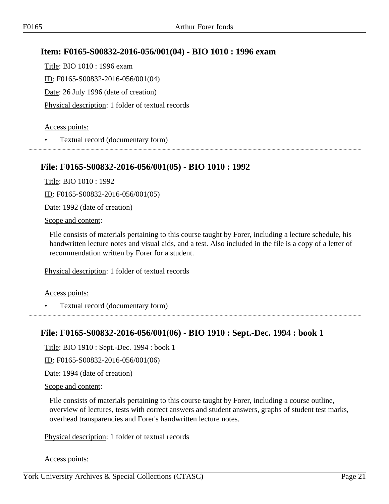# <span id="page-20-0"></span>**Item: F0165-S00832-2016-056/001(04) - BIO 1010 : 1996 exam**

Title: BIO 1010 : 1996 exam ID: F0165-S00832-2016-056/001(04) Date: 26 July 1996 (date of creation) Physical description: 1 folder of textual records

#### Access points:

• Textual record (documentary form) 

## <span id="page-20-1"></span>**File: F0165-S00832-2016-056/001(05) - BIO 1010 : 1992**

Title: BIO 1010 : 1992

ID: F0165-S00832-2016-056/001(05)

Date: 1992 (date of creation)

Scope and content:

File consists of materials pertaining to this course taught by Forer, including a lecture schedule, his handwritten lecture notes and visual aids, and a test. Also included in the file is a copy of a letter of recommendation written by Forer for a student.

Physical description: 1 folder of textual records

Access points:

• Textual record (documentary form)

# <span id="page-20-2"></span>**File: F0165-S00832-2016-056/001(06) - BIO 1910 : Sept.-Dec. 1994 : book 1**

Title: BIO 1910 : Sept.-Dec. 1994 : book 1

ID: F0165-S00832-2016-056/001(06)

Date: 1994 (date of creation)

Scope and content:

File consists of materials pertaining to this course taught by Forer, including a course outline, overview of lectures, tests with correct answers and student answers, graphs of student test marks, overhead transparencies and Forer's handwritten lecture notes.

Physical description: 1 folder of textual records

Access points: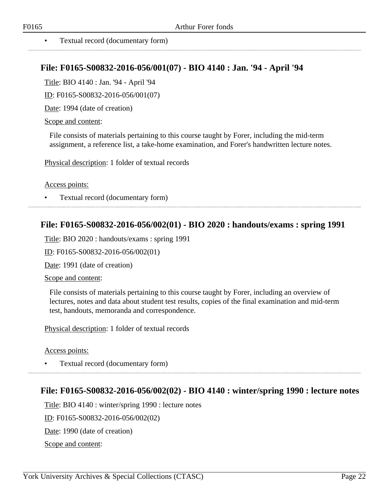<span id="page-21-0"></span>

## **File: F0165-S00832-2016-056/001(07) - BIO 4140 : Jan. '94 - April '94**

Title: BIO 4140 : Jan. '94 - April '94

ID: F0165-S00832-2016-056/001(07)

Date: 1994 (date of creation)

Scope and content:

File consists of materials pertaining to this course taught by Forer, including the mid-term assignment, a reference list, a take-home examination, and Forer's handwritten lecture notes.

Physical description: 1 folder of textual records

Access points:

• Textual record (documentary form)

## <span id="page-21-1"></span>**File: F0165-S00832-2016-056/002(01) - BIO 2020 : handouts/exams : spring 1991**

Title: BIO 2020 : handouts/exams : spring 1991

ID: F0165-S00832-2016-056/002(01)

Date: 1991 (date of creation)

Scope and content:

File consists of materials pertaining to this course taught by Forer, including an overview of lectures, notes and data about student test results, copies of the final examination and mid-term test, handouts, memoranda and correspondence.

Physical description: 1 folder of textual records

Access points:

• Textual record (documentary form)

## <span id="page-21-2"></span>**File: F0165-S00832-2016-056/002(02) - BIO 4140 : winter/spring 1990 : lecture notes**

Title: BIO 4140 : winter/spring 1990 : lecture notes

ID: F0165-S00832-2016-056/002(02)

Date: 1990 (date of creation)

Scope and content: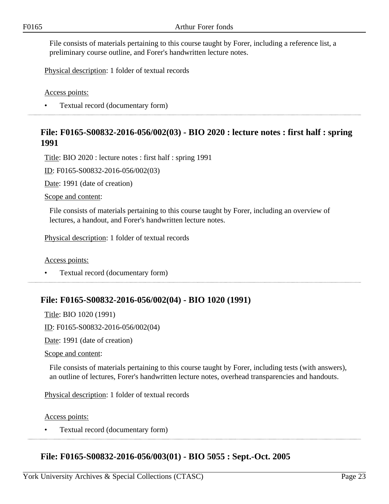File consists of materials pertaining to this course taught by Forer, including a reference list, a preliminary course outline, and Forer's handwritten lecture notes.

Physical description: 1 folder of textual records

Access points:

• Textual record (documentary form)

## <span id="page-22-0"></span>**File: F0165-S00832-2016-056/002(03) - BIO 2020 : lecture notes : first half : spring 1991**

Title: BIO 2020 : lecture notes : first half : spring 1991

ID: F0165-S00832-2016-056/002(03)

Date: 1991 (date of creation)

Scope and content:

File consists of materials pertaining to this course taught by Forer, including an overview of lectures, a handout, and Forer's handwritten lecture notes.

Physical description: 1 folder of textual records

Access points:

• Textual record (documentary form)

## <span id="page-22-1"></span>**File: F0165-S00832-2016-056/002(04) - BIO 1020 (1991)**

Title: BIO 1020 (1991)

ID: F0165-S00832-2016-056/002(04)

Date: 1991 (date of creation)

Scope and content:

File consists of materials pertaining to this course taught by Forer, including tests (with answers), an outline of lectures, Forer's handwritten lecture notes, overhead transparencies and handouts.

Physical description: 1 folder of textual records

Access points:

• Textual record (documentary form)

# <span id="page-22-2"></span>**File: F0165-S00832-2016-056/003(01) - BIO 5055 : Sept.-Oct. 2005**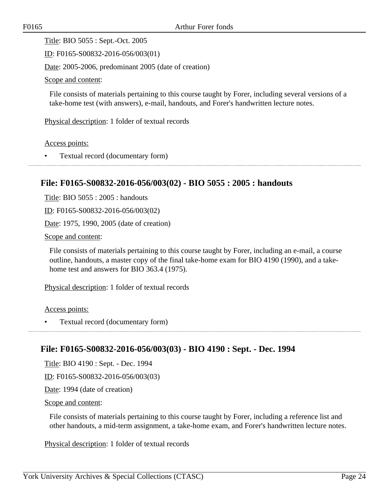Title: BIO 5055 : Sept.-Oct. 2005

ID: F0165-S00832-2016-056/003(01)

Date: 2005-2006, predominant 2005 (date of creation)

Scope and content:

File consists of materials pertaining to this course taught by Forer, including several versions of a take-home test (with answers), e-mail, handouts, and Forer's handwritten lecture notes.

Physical description: 1 folder of textual records

Access points:

• Textual record (documentary form)

# <span id="page-23-0"></span>**File: F0165-S00832-2016-056/003(02) - BIO 5055 : 2005 : handouts**

Title: BIO 5055 : 2005 : handouts

ID: F0165-S00832-2016-056/003(02)

Date: 1975, 1990, 2005 (date of creation)

Scope and content:

File consists of materials pertaining to this course taught by Forer, including an e-mail, a course outline, handouts, a master copy of the final take-home exam for BIO 4190 (1990), and a takehome test and answers for BIO 363.4 (1975).

Physical description: 1 folder of textual records

Access points:

• Textual record (documentary form)

# <span id="page-23-1"></span>**File: F0165-S00832-2016-056/003(03) - BIO 4190 : Sept. - Dec. 1994**

Title: BIO 4190 : Sept. - Dec. 1994

ID: F0165-S00832-2016-056/003(03)

Date: 1994 (date of creation)

#### Scope and content:

File consists of materials pertaining to this course taught by Forer, including a reference list and other handouts, a mid-term assignment, a take-home exam, and Forer's handwritten lecture notes.

Physical description: 1 folder of textual records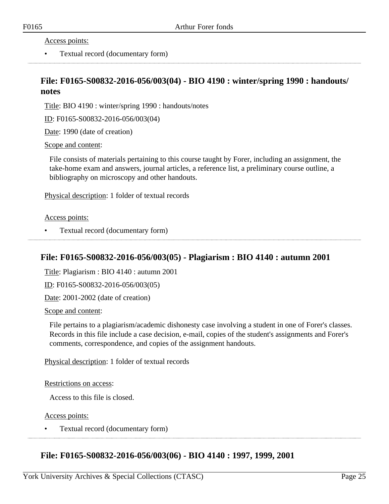Access points:

• Textual record (documentary form)

# <span id="page-24-0"></span>**File: F0165-S00832-2016-056/003(04) - BIO 4190 : winter/spring 1990 : handouts/ notes**

Title: BIO 4190 : winter/spring 1990 : handouts/notes

ID: F0165-S00832-2016-056/003(04)

Date: 1990 (date of creation)

Scope and content:

File consists of materials pertaining to this course taught by Forer, including an assignment, the take-home exam and answers, journal articles, a reference list, a preliminary course outline, a bibliography on microscopy and other handouts.

Physical description: 1 folder of textual records

Access points:

• Textual record (documentary form)

## <span id="page-24-1"></span>**File: F0165-S00832-2016-056/003(05) - Plagiarism : BIO 4140 : autumn 2001**

Title: Plagiarism : BIO 4140 : autumn 2001

ID: F0165-S00832-2016-056/003(05)

Date: 2001-2002 (date of creation)

Scope and content:

File pertains to a plagiarism/academic dishonesty case involving a student in one of Forer's classes. Records in this file include a case decision, e-mail, copies of the student's assignments and Forer's comments, correspondence, and copies of the assignment handouts.

Physical description: 1 folder of textual records

#### Restrictions on access:

Access to this file is closed.

Access points:

• Textual record (documentary form)

## **File: F0165-S00832-2016-056/003(06) - BIO 4140 : 1997, 1999, 2001**

<span id="page-24-2"></span>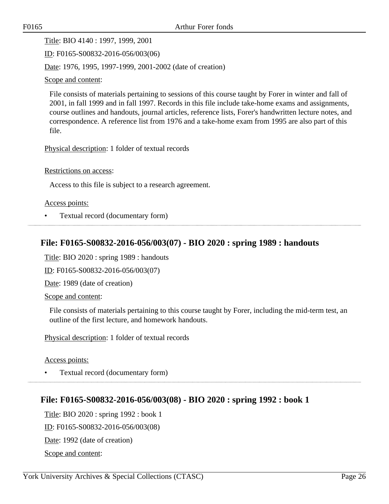Title: BIO 4140 : 1997, 1999, 2001

ID: F0165-S00832-2016-056/003(06)

Date: 1976, 1995, 1997-1999, 2001-2002 (date of creation)

Scope and content:

File consists of materials pertaining to sessions of this course taught by Forer in winter and fall of 2001, in fall 1999 and in fall 1997. Records in this file include take-home exams and assignments, course outlines and handouts, journal articles, reference lists, Forer's handwritten lecture notes, and correspondence. A reference list from 1976 and a take-home exam from 1995 are also part of this file.

Physical description: 1 folder of textual records

Restrictions on access:

Access to this file is subject to a research agreement.

Access points:

• Textual record (documentary form)

# <span id="page-25-0"></span>**File: F0165-S00832-2016-056/003(07) - BIO 2020 : spring 1989 : handouts**

Title: BIO 2020 : spring 1989 : handouts

ID: F0165-S00832-2016-056/003(07)

Date: 1989 (date of creation)

Scope and content:

File consists of materials pertaining to this course taught by Forer, including the mid-term test, an outline of the first lecture, and homework handouts.

Physical description: 1 folder of textual records

Access points:

• Textual record (documentary form)

# <span id="page-25-1"></span>**File: F0165-S00832-2016-056/003(08) - BIO 2020 : spring 1992 : book 1**

Title: BIO 2020 : spring 1992 : book 1 ID: F0165-S00832-2016-056/003(08) Date: 1992 (date of creation) Scope and content: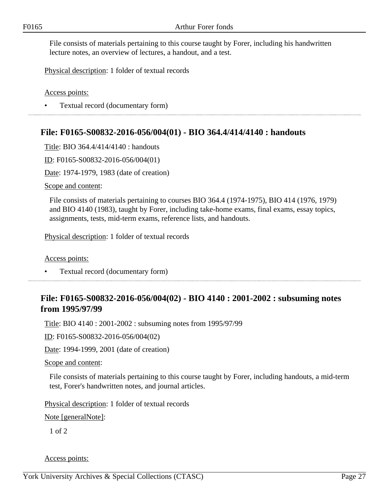File consists of materials pertaining to this course taught by Forer, including his handwritten lecture notes, an overview of lectures, a handout, and a test.

Physical description: 1 folder of textual records

Access points:

• Textual record (documentary form)

# <span id="page-26-0"></span>**File: F0165-S00832-2016-056/004(01) - BIO 364.4/414/4140 : handouts**

Title: BIO 364.4/414/4140 : handouts

ID: F0165-S00832-2016-056/004(01)

Date: 1974-1979, 1983 (date of creation)

Scope and content:

File consists of materials pertaining to courses BIO 364.4 (1974-1975), BIO 414 (1976, 1979) and BIO 4140 (1983), taught by Forer, including take-home exams, final exams, essay topics, assignments, tests, mid-term exams, reference lists, and handouts.

Physical description: 1 folder of textual records

Access points:

• Textual record (documentary form)

# <span id="page-26-1"></span>**File: F0165-S00832-2016-056/004(02) - BIO 4140 : 2001-2002 : subsuming notes from 1995/97/99**

Title: BIO 4140 : 2001-2002 : subsuming notes from 1995/97/99

ID: F0165-S00832-2016-056/004(02)

Date: 1994-1999, 2001 (date of creation)

Scope and content:

File consists of materials pertaining to this course taught by Forer, including handouts, a mid-term test, Forer's handwritten notes, and journal articles.

Physical description: 1 folder of textual records

Note [generalNote]:

1 of 2

Access points: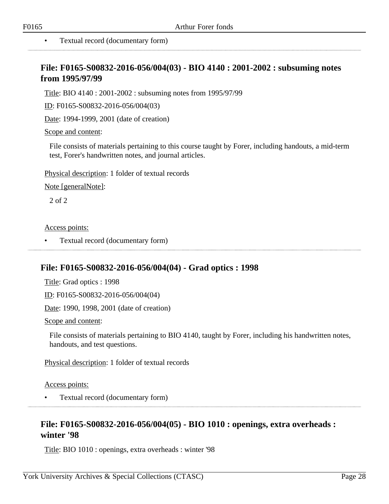# <span id="page-27-0"></span>**File: F0165-S00832-2016-056/004(03) - BIO 4140 : 2001-2002 : subsuming notes from 1995/97/99**

Title: BIO 4140 : 2001-2002 : subsuming notes from 1995/97/99

ID: F0165-S00832-2016-056/004(03)

Date: 1994-1999, 2001 (date of creation)

Scope and content:

File consists of materials pertaining to this course taught by Forer, including handouts, a mid-term test, Forer's handwritten notes, and journal articles.

Physical description: 1 folder of textual records

Note [generalNote]:

2 of 2

Access points:

• Textual record (documentary form) 

## <span id="page-27-1"></span>**File: F0165-S00832-2016-056/004(04) - Grad optics : 1998**

Title: Grad optics : 1998

ID: F0165-S00832-2016-056/004(04)

Date: 1990, 1998, 2001 (date of creation)

Scope and content:

File consists of materials pertaining to BIO 4140, taught by Forer, including his handwritten notes, handouts, and test questions.

Physical description: 1 folder of textual records

Access points:

• Textual record (documentary form)

# <span id="page-27-2"></span>**File: F0165-S00832-2016-056/004(05) - BIO 1010 : openings, extra overheads : winter '98**

Title: BIO 1010 : openings, extra overheads : winter '98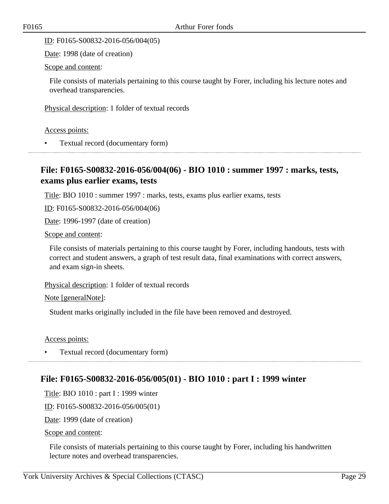ID: F0165-S00832-2016-056/004(05)

Date: 1998 (date of creation)

Scope and content:

File consists of materials pertaining to this course taught by Forer, including his lecture notes and overhead transparencies.

Physical description: 1 folder of textual records

Access points:

• Textual record (documentary form)

# <span id="page-28-0"></span>**File: F0165-S00832-2016-056/004(06) - BIO 1010 : summer 1997 : marks, tests, exams plus earlier exams, tests**

Title: BIO 1010 : summer 1997 : marks, tests, exams plus earlier exams, tests

ID: F0165-S00832-2016-056/004(06)

Date: 1996-1997 (date of creation)

Scope and content:

File consists of materials pertaining to this course taught by Forer, including handouts, tests with correct and student answers, a graph of test result data, final examinations with correct answers, and exam sign-in sheets.

Physical description: 1 folder of textual records

Note [generalNote]:

Student marks originally included in the file have been removed and destroyed.

Access points:

• Textual record (documentary form)

# <span id="page-28-1"></span>**File: F0165-S00832-2016-056/005(01) - BIO 1010 : part I : 1999 winter**

Title: BIO 1010 : part I : 1999 winter

ID: F0165-S00832-2016-056/005(01)

Date: 1999 (date of creation)

Scope and content:

File consists of materials pertaining to this course taught by Forer, including his handwritten lecture notes and overhead transparencies.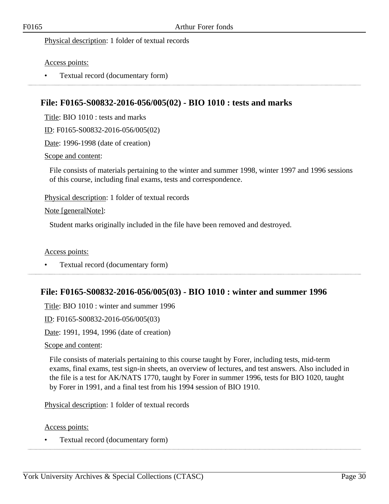Physical description: 1 folder of textual records

Access points:

• Textual record (documentary form)

# <span id="page-29-0"></span>**File: F0165-S00832-2016-056/005(02) - BIO 1010 : tests and marks**

Title: BIO 1010 : tests and marks

ID: F0165-S00832-2016-056/005(02)

Date: 1996-1998 (date of creation)

Scope and content:

File consists of materials pertaining to the winter and summer 1998, winter 1997 and 1996 sessions of this course, including final exams, tests and correspondence.

Physical description: 1 folder of textual records

Note [generalNote]:

Student marks originally included in the file have been removed and destroyed.

Access points:

• Textual record (documentary form) 

# <span id="page-29-1"></span>**File: F0165-S00832-2016-056/005(03) - BIO 1010 : winter and summer 1996**

Title: BIO 1010 : winter and summer 1996

ID: F0165-S00832-2016-056/005(03)

Date: 1991, 1994, 1996 (date of creation)

Scope and content:

File consists of materials pertaining to this course taught by Forer, including tests, mid-term exams, final exams, test sign-in sheets, an overview of lectures, and test answers. Also included in the file is a test for AK/NATS 1770, taught by Forer in summer 1996, tests for BIO 1020, taught by Forer in 1991, and a final test from his 1994 session of BIO 1910.

Physical description: 1 folder of textual records

Access points:

• Textual record (documentary form)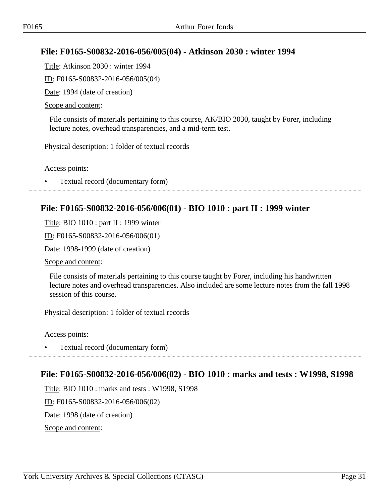# <span id="page-30-0"></span>**File: F0165-S00832-2016-056/005(04) - Atkinson 2030 : winter 1994**

Title: Atkinson 2030 : winter 1994

ID: F0165-S00832-2016-056/005(04)

Date: 1994 (date of creation)

#### Scope and content:

File consists of materials pertaining to this course, AK/BIO 2030, taught by Forer, including lecture notes, overhead transparencies, and a mid-term test.

Physical description: 1 folder of textual records

Access points:

• Textual record (documentary form)

# <span id="page-30-1"></span>**File: F0165-S00832-2016-056/006(01) - BIO 1010 : part II : 1999 winter**

Title: BIO 1010 : part II : 1999 winter

ID: F0165-S00832-2016-056/006(01)

Date: 1998-1999 (date of creation)

Scope and content:

File consists of materials pertaining to this course taught by Forer, including his handwritten lecture notes and overhead transparencies. Also included are some lecture notes from the fall 1998 session of this course.

Physical description: 1 folder of textual records

Access points:

• Textual record (documentary form)

## <span id="page-30-2"></span>**File: F0165-S00832-2016-056/006(02) - BIO 1010 : marks and tests : W1998, S1998**

Title: BIO 1010 : marks and tests : W1998, S1998

ID: F0165-S00832-2016-056/006(02)

Date: 1998 (date of creation)

Scope and content: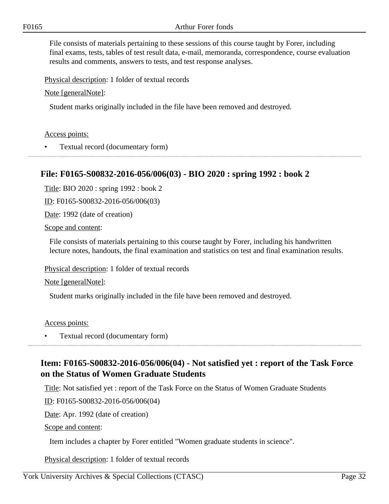File consists of materials pertaining to these sessions of this course taught by Forer, including final exams, tests, tables of test result data, e-mail, memoranda, correspondence, course evaluation results and comments, answers to tests, and test response analyses.

Physical description: 1 folder of textual records

Note [generalNote]:

Student marks originally included in the file have been removed and destroyed.

#### Access points:

• Textual record (documentary form)

# <span id="page-31-0"></span>**File: F0165-S00832-2016-056/006(03) - BIO 2020 : spring 1992 : book 2**

Title: BIO 2020 : spring 1992 : book 2

ID: F0165-S00832-2016-056/006(03)

Date: 1992 (date of creation)

Scope and content:

File consists of materials pertaining to this course taught by Forer, including his handwritten lecture notes, handouts, the final examination and statistics on test and final examination results.

Physical description: 1 folder of textual records

Note [generalNote]:

Student marks originally included in the file have been removed and destroyed.

#### Access points:

• Textual record (documentary form)

# <span id="page-31-1"></span>**Item: F0165-S00832-2016-056/006(04) - Not satisfied yet : report of the Task Force on the Status of Women Graduate Students**

Title: Not satisfied yet : report of the Task Force on the Status of Women Graduate Students

ID: F0165-S00832-2016-056/006(04)

Date: Apr. 1992 (date of creation)

Scope and content:

Item includes a chapter by Forer entitled "Women graduate students in science".

Physical description: 1 folder of textual records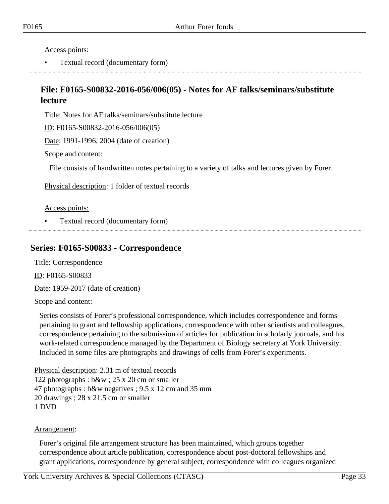Access points:

• Textual record (documentary form)

# <span id="page-32-0"></span>**File: F0165-S00832-2016-056/006(05) - Notes for AF talks/seminars/substitute lecture**

Title: Notes for AF talks/seminars/substitute lecture

ID: F0165-S00832-2016-056/006(05)

Date: 1991-1996, 2004 (date of creation)

Scope and content:

File consists of handwritten notes pertaining to a variety of talks and lectures given by Forer.

Physical description: 1 folder of textual records

#### Access points:

• Textual record (documentary form)

## <span id="page-32-1"></span>**Series: F0165-S00833 - Correspondence**

Title: Correspondence ID: F0165-S00833

Date: 1959-2017 (date of creation)

#### Scope and content:

Series consists of Forer's professional correspondence, which includes correspondence and forms pertaining to grant and fellowship applications, correspondence with other scientists and colleagues, correspondence pertaining to the submission of articles for publication in scholarly journals, and his work-related correspondence managed by the Department of Biology secretary at York University. Included in some files are photographs and drawings of cells from Forer's experiments.

Physical description: 2.31 m of textual records 122 photographs : b&w ; 25 x 20 cm or smaller 47 photographs : b&w negatives ; 9.5 x 12 cm and 35 mm 20 drawings ; 28 x 21.5 cm or smaller 1 DVD

#### Arrangement:

Forer's original file arrangement structure has been maintained, which groups together correspondence about article publication, correspondence about post-doctoral fellowships and grant applications, correspondence by general subject, correspondence with colleagues organized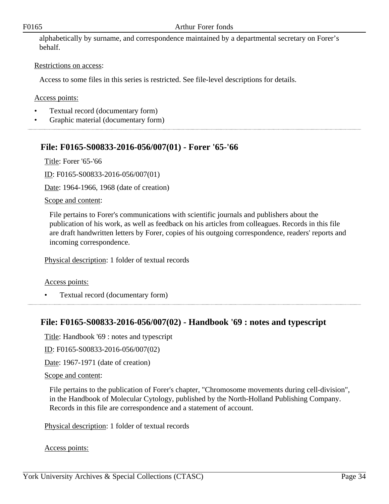#### F0165 Arthur Forer fonds

alphabetically by surname, and correspondence maintained by a departmental secretary on Forer's behalf.

#### Restrictions on access:

Access to some files in this series is restricted. See file-level descriptions for details.

#### Access points:

- Textual record (documentary form)
- Graphic material (documentary form)

# <span id="page-33-0"></span>**File: F0165-S00833-2016-056/007(01) - Forer '65-'66**

Title: Forer '65-'66

ID: F0165-S00833-2016-056/007(01)

Date: 1964-1966, 1968 (date of creation)

#### Scope and content:

File pertains to Forer's communications with scientific journals and publishers about the publication of his work, as well as feedback on his articles from colleagues. Records in this file are draft handwritten letters by Forer, copies of his outgoing correspondence, readers' reports and incoming correspondence.

Physical description: 1 folder of textual records

#### Access points:

• Textual record (documentary form) 

## <span id="page-33-1"></span>**File: F0165-S00833-2016-056/007(02) - Handbook '69 : notes and typescript**

Title: Handbook '69 : notes and typescript

ID: F0165-S00833-2016-056/007(02)

Date: 1967-1971 (date of creation)

#### Scope and content:

File pertains to the publication of Forer's chapter, "Chromosome movements during cell-division", in the Handbook of Molecular Cytology, published by the North-Holland Publishing Company. Records in this file are correspondence and a statement of account.

Physical description: 1 folder of textual records

Access points: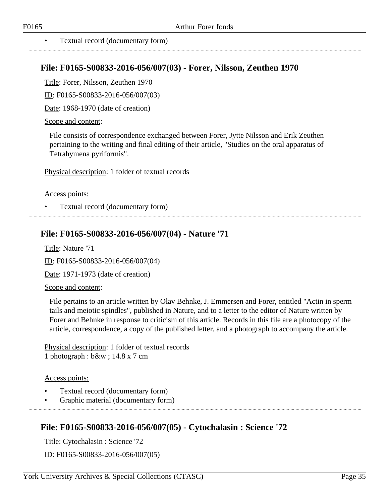#### • Textual record (documentary form)

## <span id="page-34-0"></span>**File: F0165-S00833-2016-056/007(03) - Forer, Nilsson, Zeuthen 1970**

Title: Forer, Nilsson, Zeuthen 1970

ID: F0165-S00833-2016-056/007(03)

Date: 1968-1970 (date of creation)

#### Scope and content:

File consists of correspondence exchanged between Forer, Jytte Nilsson and Erik Zeuthen pertaining to the writing and final editing of their article, "Studies on the oral apparatus of Tetrahymena pyriformis".

Physical description: 1 folder of textual records

#### Access points:

• Textual record (documentary form)

# <span id="page-34-1"></span>**File: F0165-S00833-2016-056/007(04) - Nature '71**

Title: Nature '71

ID: F0165-S00833-2016-056/007(04)

Date: 1971-1973 (date of creation)

#### Scope and content:

File pertains to an article written by Olav Behnke, J. Emmersen and Forer, entitled "Actin in sperm tails and meiotic spindles", published in Nature, and to a letter to the editor of Nature written by Forer and Behnke in response to criticism of this article. Records in this file are a photocopy of the article, correspondence, a copy of the published letter, and a photograph to accompany the article.

Physical description: 1 folder of textual records 1 photograph : b&w ; 14.8 x 7 cm

#### Access points:

- Textual record (documentary form)
- Graphic material (documentary form)

# <span id="page-34-2"></span>**File: F0165-S00833-2016-056/007(05) - Cytochalasin : Science '72**

Title: Cytochalasin : Science '72

ID: F0165-S00833-2016-056/007(05)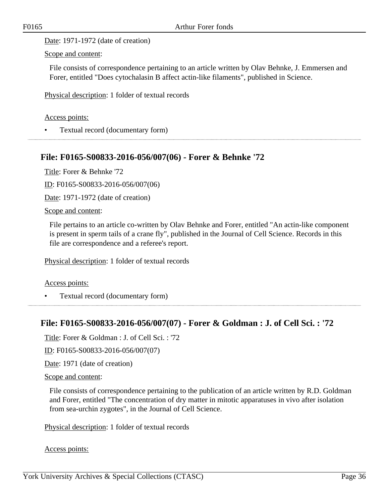Date: 1971-1972 (date of creation)

Scope and content:

File consists of correspondence pertaining to an article written by Olav Behnke, J. Emmersen and Forer, entitled "Does cytochalasin B affect actin-like filaments", published in Science.

Physical description: 1 folder of textual records

#### Access points:

• Textual record (documentary form)

# <span id="page-35-0"></span>**File: F0165-S00833-2016-056/007(06) - Forer & Behnke '72**

Title: Forer & Behnke '72

ID: F0165-S00833-2016-056/007(06)

Date: 1971-1972 (date of creation)

Scope and content:

File pertains to an article co-written by Olav Behnke and Forer, entitled "An actin-like component is present in sperm tails of a crane fly", published in the Journal of Cell Science. Records in this file are correspondence and a referee's report.

Physical description: 1 folder of textual records

#### Access points:

• Textual record (documentary form)

# <span id="page-35-1"></span>**File: F0165-S00833-2016-056/007(07) - Forer & Goldman : J. of Cell Sci. : '72**

Title: Forer & Goldman : J. of Cell Sci. : '72

ID: F0165-S00833-2016-056/007(07)

Date: 1971 (date of creation)

#### Scope and content:

File consists of correspondence pertaining to the publication of an article written by R.D. Goldman and Forer, entitled "The concentration of dry matter in mitotic apparatuses in vivo after isolation from sea-urchin zygotes", in the Journal of Cell Science.

Physical description: 1 folder of textual records

Access points: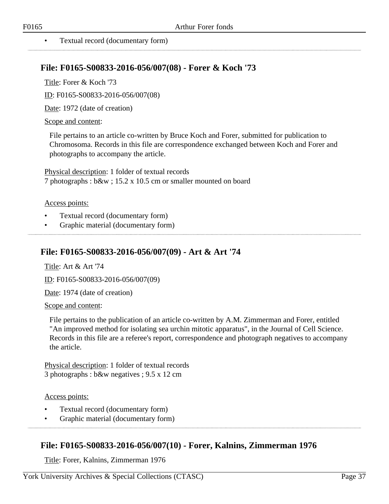#### • Textual record (documentary form)

## **File: F0165-S00833-2016-056/007(08) - Forer & Koch '73**

Title: Forer & Koch '73

ID: F0165-S00833-2016-056/007(08)

Date: 1972 (date of creation)

#### Scope and content:

File pertains to an article co-written by Bruce Koch and Forer, submitted for publication to Chromosoma. Records in this file are correspondence exchanged between Koch and Forer and photographs to accompany the article.

Physical description: 1 folder of textual records 7 photographs : b&w ; 15.2 x 10.5 cm or smaller mounted on board

#### Access points:

- Textual record (documentary form)
- Graphic material (documentary form)

## **File: F0165-S00833-2016-056/007(09) - Art & Art '74**

Title: Art & Art '74

ID: F0165-S00833-2016-056/007(09)

Date: 1974 (date of creation)

Scope and content:

File pertains to the publication of an article co-written by A.M. Zimmerman and Forer, entitled "An improved method for isolating sea urchin mitotic apparatus", in the Journal of Cell Science. Records in this file are a referee's report, correspondence and photograph negatives to accompany the article.

Physical description: 1 folder of textual records 3 photographs : b&w negatives ; 9.5 x 12 cm

#### Access points:

- Textual record (documentary form)
- Graphic material (documentary form)

## **File: F0165-S00833-2016-056/007(10) - Forer, Kalnins, Zimmerman 1976**

Title: Forer, Kalnins, Zimmerman 1976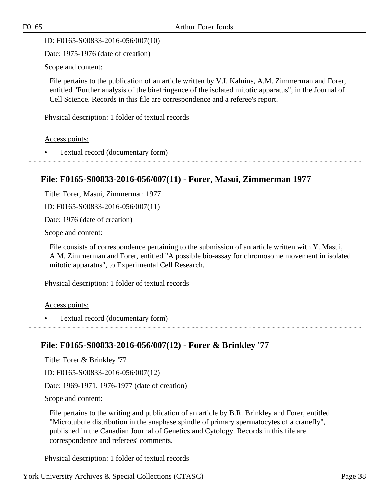ID: F0165-S00833-2016-056/007(10)

Date: 1975-1976 (date of creation)

Scope and content:

File pertains to the publication of an article written by V.I. Kalnins, A.M. Zimmerman and Forer, entitled "Further analysis of the birefringence of the isolated mitotic apparatus", in the Journal of Cell Science. Records in this file are correspondence and a referee's report.

Physical description: 1 folder of textual records

Access points:

• Textual record (documentary form)

# **File: F0165-S00833-2016-056/007(11) - Forer, Masui, Zimmerman 1977**

Title: Forer, Masui, Zimmerman 1977

ID: F0165-S00833-2016-056/007(11)

Date: 1976 (date of creation)

Scope and content:

File consists of correspondence pertaining to the submission of an article written with Y. Masui, A.M. Zimmerman and Forer, entitled "A possible bio-assay for chromosome movement in isolated mitotic apparatus", to Experimental Cell Research.

Physical description: 1 folder of textual records

Access points:

• Textual record (documentary form)

## **File: F0165-S00833-2016-056/007(12) - Forer & Brinkley '77**

Title: Forer & Brinkley '77

ID: F0165-S00833-2016-056/007(12)

Date: 1969-1971, 1976-1977 (date of creation)

Scope and content:

File pertains to the writing and publication of an article by B.R. Brinkley and Forer, entitled "Microtubule distribution in the anaphase spindle of primary spermatocytes of a cranefly", published in the Canadian Journal of Genetics and Cytology. Records in this file are correspondence and referees' comments.

Physical description: 1 folder of textual records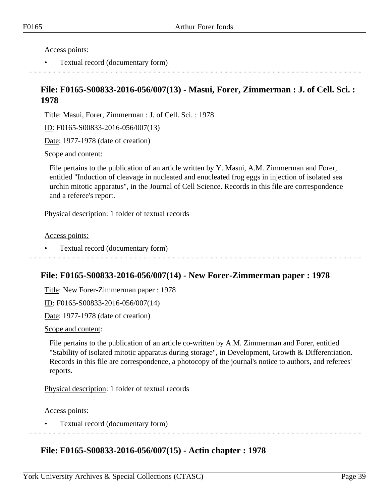Access points:

• Textual record (documentary form)

## **File: F0165-S00833-2016-056/007(13) - Masui, Forer, Zimmerman : J. of Cell. Sci. : 1978**

Title: Masui, Forer, Zimmerman : J. of Cell. Sci. : 1978

ID: F0165-S00833-2016-056/007(13)

Date: 1977-1978 (date of creation)

Scope and content:

File pertains to the publication of an article written by Y. Masui, A.M. Zimmerman and Forer, entitled "Induction of cleavage in nucleated and enucleated frog eggs in injection of isolated sea urchin mitotic apparatus", in the Journal of Cell Science. Records in this file are correspondence and a referee's report.

Physical description: 1 folder of textual records

Access points:

• Textual record (documentary form)

## **File: F0165-S00833-2016-056/007(14) - New Forer-Zimmerman paper : 1978**

Title: New Forer-Zimmerman paper : 1978

ID: F0165-S00833-2016-056/007(14)

Date: 1977-1978 (date of creation)

Scope and content:

File pertains to the publication of an article co-written by A.M. Zimmerman and Forer, entitled "Stability of isolated mitotic apparatus during storage", in Development, Growth & Differentiation. Records in this file are correspondence, a photocopy of the journal's notice to authors, and referees' reports.

Physical description: 1 folder of textual records

Access points:

• Textual record (documentary form)

## **File: F0165-S00833-2016-056/007(15) - Actin chapter : 1978**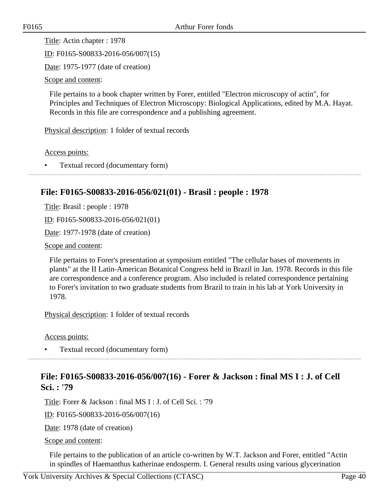Title: Actin chapter : 1978

ID: F0165-S00833-2016-056/007(15)

Date: 1975-1977 (date of creation)

Scope and content:

File pertains to a book chapter written by Forer, entitled "Electron microscopy of actin", for Principles and Techniques of Electron Microscopy: Biological Applications, edited by M.A. Hayat. Records in this file are correspondence and a publishing agreement.

Physical description: 1 folder of textual records

Access points:

• Textual record (documentary form)

# **File: F0165-S00833-2016-056/021(01) - Brasil : people : 1978**

Title: Brasil : people : 1978

ID: F0165-S00833-2016-056/021(01)

Date: 1977-1978 (date of creation)

Scope and content:

File pertains to Forer's presentation at symposium entitled "The cellular bases of movements in plants" at the II Latin-American Botanical Congress held in Brazil in Jan. 1978. Records in this file are correspondence and a conference program. Also included is related correspondence pertaining to Forer's invitation to two graduate students from Brazil to train in his lab at York University in 1978.

Physical description: 1 folder of textual records

Access points:

• Textual record (documentary form)

# **File: F0165-S00833-2016-056/007(16) - Forer & Jackson : final MS I : J. of Cell Sci. : '79**

Title: Forer & Jackson : final MS I : J. of Cell Sci. : '79

ID: F0165-S00833-2016-056/007(16)

Date: 1978 (date of creation)

Scope and content:

File pertains to the publication of an article co-written by W.T. Jackson and Forer, entitled "Actin in spindles of Haemanthus katherinae endosperm. I. General results using various glycerination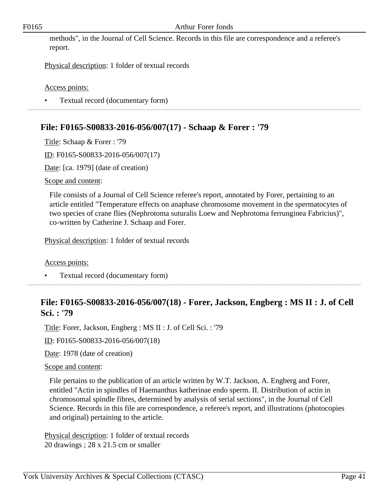methods", in the Journal of Cell Science. Records in this file are correspondence and a referee's report.

Physical description: 1 folder of textual records

Access points:

• Textual record (documentary form)

# **File: F0165-S00833-2016-056/007(17) - Schaap & Forer : '79**

Title: Schaap & Forer : '79

ID: F0165-S00833-2016-056/007(17)

Date: [ca. 1979] (date of creation)

Scope and content:

File consists of a Journal of Cell Science referee's report, annotated by Forer, pertaining to an article entitled "Temperature effects on anaphase chromosome movement in the spermatocytes of two species of crane flies (Nephrotoma suturalis Loew and Nephrotoma ferrunginea Fabricius)", co-written by Catherine J. Schaap and Forer.

Physical description: 1 folder of textual records

Access points:

• Textual record (documentary form)

# **File: F0165-S00833-2016-056/007(18) - Forer, Jackson, Engberg : MS II : J. of Cell Sci. : '79**

Title: Forer, Jackson, Engberg : MS II : J. of Cell Sci. : '79

ID: F0165-S00833-2016-056/007(18)

Date: 1978 (date of creation)

#### Scope and content:

File pertains to the publication of an article written by W.T. Jackson, A. Engberg and Forer, entitled "Actin in spindles of Haemanthus katherinae endo sperm. II. Distribution of actin in chromosomal spindle fibres, determined by analysis of serial sections", in the Journal of Cell Science. Records in this file are correspondence, a referee's report, and illustrations (photocopies and original) pertaining to the article.

Physical description: 1 folder of textual records 20 drawings ; 28 x 21.5 cm or smaller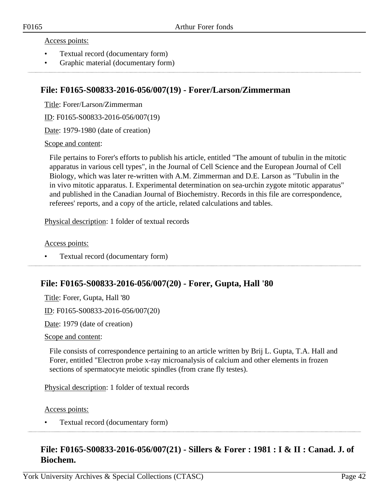#### Access points:

- Textual record (documentary form)
- Graphic material (documentary form)

## **File: F0165-S00833-2016-056/007(19) - Forer/Larson/Zimmerman**

Title: Forer/Larson/Zimmerman

ID: F0165-S00833-2016-056/007(19)

Date: 1979-1980 (date of creation)

Scope and content:

File pertains to Forer's efforts to publish his article, entitled "The amount of tubulin in the mitotic apparatus in various cell types", in the Journal of Cell Science and the European Journal of Cell Biology, which was later re-written with A.M. Zimmerman and D.E. Larson as "Tubulin in the in vivo mitotic apparatus. I. Experimental determination on sea-urchin zygote mitotic apparatus" and published in the Canadian Journal of Biochemistry. Records in this file are correspondence, referees' reports, and a copy of the article, related calculations and tables.

Physical description: 1 folder of textual records

Access points:

• Textual record (documentary form)

## **File: F0165-S00833-2016-056/007(20) - Forer, Gupta, Hall '80**

Title: Forer, Gupta, Hall '80

ID: F0165-S00833-2016-056/007(20)

Date: 1979 (date of creation)

Scope and content:

File consists of correspondence pertaining to an article written by Brij L. Gupta, T.A. Hall and Forer, entitled "Electron probe x-ray microanalysis of calcium and other elements in frozen sections of spermatocyte meiotic spindles (from crane fly testes).

Physical description: 1 folder of textual records

Access points:

• Textual record (documentary form)

# **File: F0165-S00833-2016-056/007(21) - Sillers & Forer : 1981 : I & II : Canad. J. of Biochem.**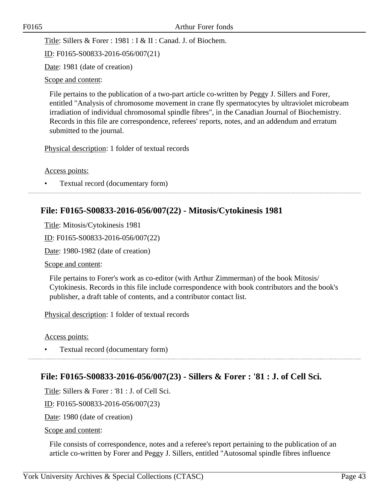Title: Sillers & Forer : 1981 : I & II : Canad. J. of Biochem.

ID: F0165-S00833-2016-056/007(21)

Date: 1981 (date of creation)

Scope and content:

File pertains to the publication of a two-part article co-written by Peggy J. Sillers and Forer, entitled "Analysis of chromosome movement in crane fly spermatocytes by ultraviolet microbeam irradiation of individual chromosomal spindle fibres", in the Canadian Journal of Biochemistry. Records in this file are correspondence, referees' reports, notes, and an addendum and erratum submitted to the journal.

Physical description: 1 folder of textual records

Access points:

• Textual record (documentary form)

# **File: F0165-S00833-2016-056/007(22) - Mitosis/Cytokinesis 1981**

Title: Mitosis/Cytokinesis 1981 ID: F0165-S00833-2016-056/007(22) Date: 1980-1982 (date of creation) Scope and content:

File pertains to Forer's work as co-editor (with Arthur Zimmerman) of the book Mitosis/ Cytokinesis. Records in this file include correspondence with book contributors and the book's publisher, a draft table of contents, and a contributor contact list.

Physical description: 1 folder of textual records

Access points:

• Textual record (documentary form)

## **File: F0165-S00833-2016-056/007(23) - Sillers & Forer : '81 : J. of Cell Sci.**

Title: Sillers & Forer : '81 : J. of Cell Sci.

ID: F0165-S00833-2016-056/007(23)

Date: 1980 (date of creation)

Scope and content:

File consists of correspondence, notes and a referee's report pertaining to the publication of an article co-written by Forer and Peggy J. Sillers, entitled "Autosomal spindle fibres influence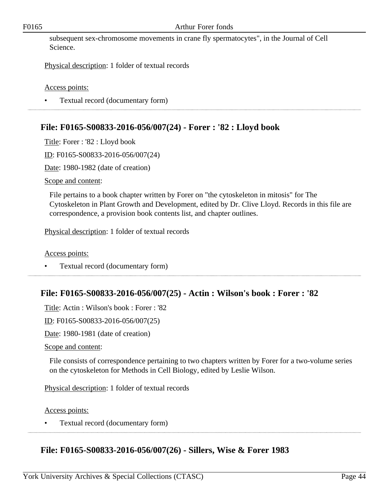#### F0165 Arthur Forer fonds

subsequent sex-chromosome movements in crane fly spermatocytes", in the Journal of Cell Science.

Physical description: 1 folder of textual records

Access points:

• Textual record (documentary form)

# **File: F0165-S00833-2016-056/007(24) - Forer : '82 : Lloyd book**

Title: Forer : '82 : Lloyd book

ID: F0165-S00833-2016-056/007(24)

Date: 1980-1982 (date of creation)

Scope and content:

File pertains to a book chapter written by Forer on "the cytoskeleton in mitosis" for The Cytoskeleton in Plant Growth and Development, edited by Dr. Clive Lloyd. Records in this file are correspondence, a provision book contents list, and chapter outlines.

Physical description: 1 folder of textual records

Access points:

• Textual record (documentary form)

# **File: F0165-S00833-2016-056/007(25) - Actin : Wilson's book : Forer : '82**

Title: Actin : Wilson's book : Forer : '82

ID: F0165-S00833-2016-056/007(25)

Date: 1980-1981 (date of creation)

Scope and content:

File consists of correspondence pertaining to two chapters written by Forer for a two-volume series on the cytoskeleton for Methods in Cell Biology, edited by Leslie Wilson.

Physical description: 1 folder of textual records

Access points:

• Textual record (documentary form)

# **File: F0165-S00833-2016-056/007(26) - Sillers, Wise & Forer 1983**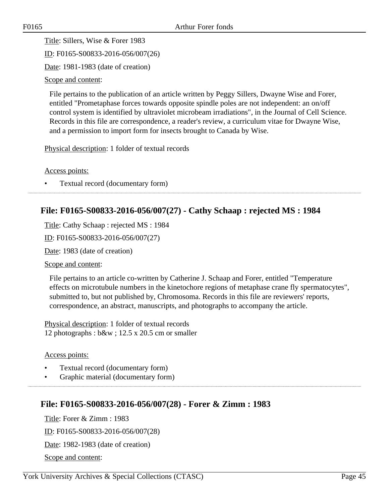Title: Sillers, Wise & Forer 1983

ID: F0165-S00833-2016-056/007(26)

Date: 1981-1983 (date of creation)

Scope and content:

File pertains to the publication of an article written by Peggy Sillers, Dwayne Wise and Forer, entitled "Prometaphase forces towards opposite spindle poles are not independent: an on/off control system is identified by ultraviolet microbeam irradiations", in the Journal of Cell Science. Records in this file are correspondence, a reader's review, a curriculum vitae for Dwayne Wise, and a permission to import form for insects brought to Canada by Wise.

Physical description: 1 folder of textual records

Access points:

• Textual record (documentary form)

# **File: F0165-S00833-2016-056/007(27) - Cathy Schaap : rejected MS : 1984**

Title: Cathy Schaap : rejected MS : 1984

ID: F0165-S00833-2016-056/007(27)

Date: 1983 (date of creation)

Scope and content:

File pertains to an article co-written by Catherine J. Schaap and Forer, entitled "Temperature effects on microtubule numbers in the kinetochore regions of metaphase crane fly spermatocytes", submitted to, but not published by, Chromosoma. Records in this file are reviewers' reports, correspondence, an abstract, manuscripts, and photographs to accompany the article.

Physical description: 1 folder of textual records 12 photographs : b&w ; 12.5 x 20.5 cm or smaller

#### Access points:

- Textual record (documentary form)
- Graphic material (documentary form)

## **File: F0165-S00833-2016-056/007(28) - Forer & Zimm : 1983**

Title: Forer & Zimm : 1983 ID: F0165-S00833-2016-056/007(28)

Date: 1982-1983 (date of creation)

Scope and content: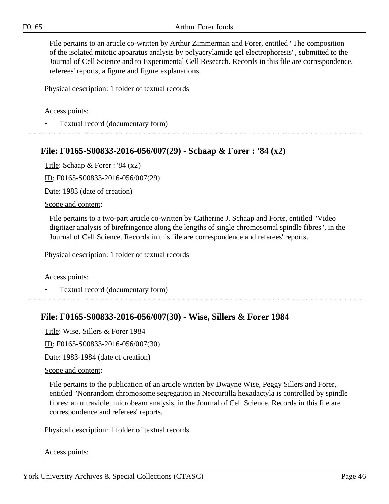File pertains to an article co-written by Arthur Zimmerman and Forer, entitled "The composition of the isolated mitotic apparatus analysis by polyacrylamide gel electrophoresis", submitted to the Journal of Cell Science and to Experimental Cell Research. Records in this file are correspondence, referees' reports, a figure and figure explanations.

Physical description: 1 folder of textual records

### Access points:

• Textual record (documentary form)

## **File: F0165-S00833-2016-056/007(29) - Schaap & Forer : '84 (x2)**

Title: Schaap & Forer : '84 (x2)

ID: F0165-S00833-2016-056/007(29)

Date: 1983 (date of creation)

#### Scope and content:

File pertains to a two-part article co-written by Catherine J. Schaap and Forer, entitled "Video digitizer analysis of birefringence along the lengths of single chromosomal spindle fibres", in the Journal of Cell Science. Records in this file are correspondence and referees' reports.

Physical description: 1 folder of textual records

#### Access points:

• Textual record (documentary form)

## **File: F0165-S00833-2016-056/007(30) - Wise, Sillers & Forer 1984**

Title: Wise, Sillers & Forer 1984

ID: F0165-S00833-2016-056/007(30)

Date: 1983-1984 (date of creation)

#### Scope and content:

File pertains to the publication of an article written by Dwayne Wise, Peggy Sillers and Forer, entitled "Nonrandom chromosome segregation in Neocurtilla hexadactyla is controlled by spindle fibres: an ultraviolet microbeam analysis, in the Journal of Cell Science. Records in this file are correspondence and referees' reports.

Physical description: 1 folder of textual records

#### Access points: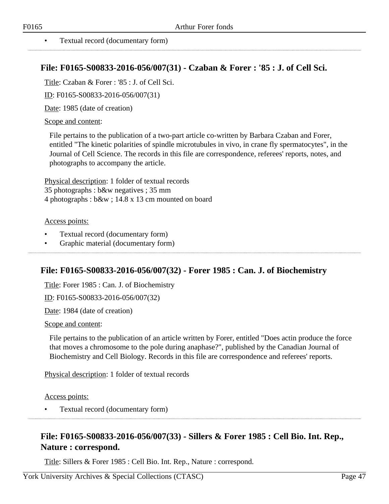## **File: F0165-S00833-2016-056/007(31) - Czaban & Forer : '85 : J. of Cell Sci.**

Title: Czaban & Forer : '85 : J. of Cell Sci.

ID: F0165-S00833-2016-056/007(31)

Date: 1985 (date of creation)

### Scope and content:

File pertains to the publication of a two-part article co-written by Barbara Czaban and Forer, entitled "The kinetic polarities of spindle microtubules in vivo, in crane fly spermatocytes", in the Journal of Cell Science. The records in this file are correspondence, referees' reports, notes, and photographs to accompany the article.

Physical description: 1 folder of textual records 35 photographs : b&w negatives ; 35 mm 4 photographs : b&w ; 14.8 x 13 cm mounted on board

### Access points:

- Textual record (documentary form)
- Graphic material (documentary form)

# **File: F0165-S00833-2016-056/007(32) - Forer 1985 : Can. J. of Biochemistry**

Title: Forer 1985 : Can. J. of Biochemistry

ID: F0165-S00833-2016-056/007(32)

Date: 1984 (date of creation)

#### Scope and content:

File pertains to the publication of an article written by Forer, entitled "Does actin produce the force that moves a chromosome to the pole during anaphase?", published by the Canadian Journal of Biochemistry and Cell Biology. Records in this file are correspondence and referees' reports.

Physical description: 1 folder of textual records

Access points:

• Textual record (documentary form)

# **File: F0165-S00833-2016-056/007(33) - Sillers & Forer 1985 : Cell Bio. Int. Rep., Nature : correspond.**

Title: Sillers & Forer 1985 : Cell Bio. Int. Rep., Nature : correspond.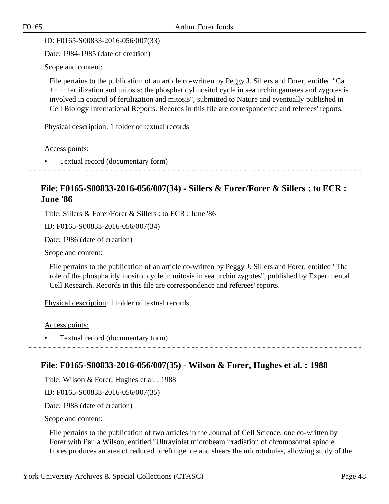ID: F0165-S00833-2016-056/007(33)

Date: 1984-1985 (date of creation)

Scope and content:

File pertains to the publication of an article co-written by Peggy J. Sillers and Forer, entitled "Ca ++ in fertilization and mitosis: the phosphatidylinositol cycle in sea urchin gametes and zygotes is involved in control of fertilization and mitosis", submitted to Nature and eventually published in Cell Biology International Reports. Records in this file are correspondence and referees' reports.

Physical description: 1 folder of textual records

Access points:

• Textual record (documentary form)

# **File: F0165-S00833-2016-056/007(34) - Sillers & Forer/Forer & Sillers : to ECR : June '86**

Title: Sillers & Forer/Forer & Sillers : to ECR : June '86

ID: F0165-S00833-2016-056/007(34)

Date: 1986 (date of creation)

Scope and content:

File pertains to the publication of an article co-written by Peggy J. Sillers and Forer, entitled "The role of the phosphatidylinositol cycle in mitosis in sea urchin zygotes", published by Experimental Cell Research. Records in this file are correspondence and referees' reports.

Physical description: 1 folder of textual records

Access points:

• Textual record (documentary form)

# **File: F0165-S00833-2016-056/007(35) - Wilson & Forer, Hughes et al. : 1988**

Title: Wilson & Forer, Hughes et al. : 1988

ID: F0165-S00833-2016-056/007(35)

Date: 1988 (date of creation)

Scope and content:

File pertains to the publication of two articles in the Journal of Cell Science, one co-written by Forer with Paula Wilson, entitled "Ultraviolet microbeam irradiation of chromosomal spindle fibres produces an area of reduced birefringence and shears the microtubules, allowing study of the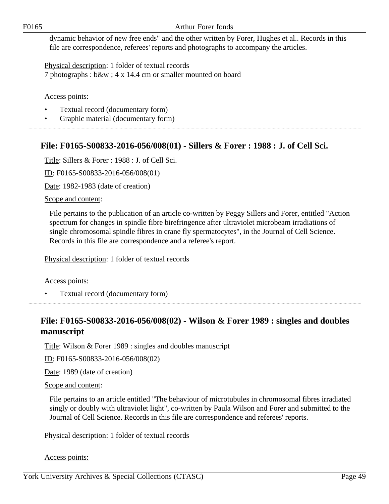### F0165 Arthur Forer fonds

dynamic behavior of new free ends" and the other written by Forer, Hughes et al.. Records in this file are correspondence, referees' reports and photographs to accompany the articles.

Physical description: 1 folder of textual records 7 photographs : b&w ; 4 x 14.4 cm or smaller mounted on board

Access points:

- Textual record (documentary form)
- Graphic material (documentary form)

# **File: F0165-S00833-2016-056/008(01) - Sillers & Forer : 1988 : J. of Cell Sci.**

Title: Sillers & Forer : 1988 : J. of Cell Sci.

ID: F0165-S00833-2016-056/008(01)

Date: 1982-1983 (date of creation)

Scope and content:

File pertains to the publication of an article co-written by Peggy Sillers and Forer, entitled "Action spectrum for changes in spindle fibre birefringence after ultraviolet microbeam irradiations of single chromosomal spindle fibres in crane fly spermatocytes", in the Journal of Cell Science. Records in this file are correspondence and a referee's report.

Physical description: 1 folder of textual records

Access points:

• Textual record (documentary form)

# **File: F0165-S00833-2016-056/008(02) - Wilson & Forer 1989 : singles and doubles manuscript**

Title: Wilson & Forer 1989 : singles and doubles manuscript

ID: F0165-S00833-2016-056/008(02)

Date: 1989 (date of creation)

Scope and content:

File pertains to an article entitled "The behaviour of microtubules in chromosomal fibres irradiated singly or doubly with ultraviolet light", co-written by Paula Wilson and Forer and submitted to the Journal of Cell Science. Records in this file are correspondence and referees' reports.

Physical description: 1 folder of textual records

Access points: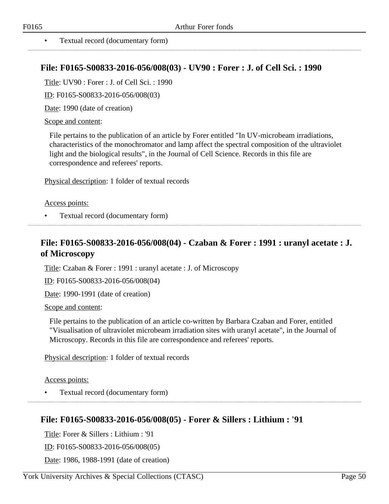#### • Textual record (documentary form)

## **File: F0165-S00833-2016-056/008(03) - UV90 : Forer : J. of Cell Sci. : 1990**

Title: UV90 : Forer : J. of Cell Sci. : 1990

ID: F0165-S00833-2016-056/008(03)

Date: 1990 (date of creation)

#### Scope and content:

File pertains to the publication of an article by Forer entitled "In UV-microbeam irradiations, characteristics of the monochromator and lamp affect the spectral composition of the ultraviolet light and the biological results", in the Journal of Cell Science. Records in this file are correspondence and referees' reports.

Physical description: 1 folder of textual records

#### Access points:

• Textual record (documentary form)

# **File: F0165-S00833-2016-056/008(04) - Czaban & Forer : 1991 : uranyl acetate : J. of Microscopy**

Title: Czaban & Forer : 1991 : uranyl acetate : J. of Microscopy

ID: F0165-S00833-2016-056/008(04)

Date: 1990-1991 (date of creation)

#### Scope and content:

File pertains to the publication of an article co-written by Barbara Czaban and Forer, entitled "Visualisation of ultraviolet microbeam irradiation sites with uranyl acetate", in the Journal of Microscopy. Records in this file are correspondence and referees' reports.

Physical description: 1 folder of textual records

Access points:

• Textual record (documentary form)

## **File: F0165-S00833-2016-056/008(05) - Forer & Sillers : Lithium : '91**

Title: Forer & Sillers : Lithium : '91

ID: F0165-S00833-2016-056/008(05)

Date: 1986, 1988-1991 (date of creation)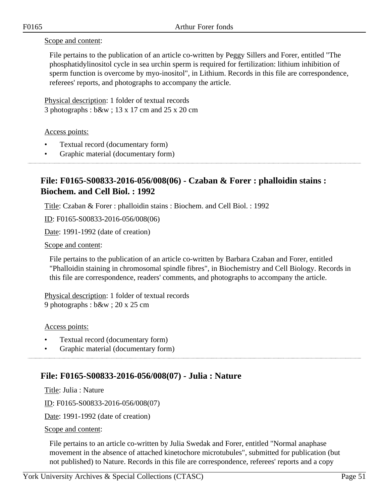Scope and content:

File pertains to the publication of an article co-written by Peggy Sillers and Forer, entitled "The phosphatidylinositol cycle in sea urchin sperm is required for fertilization: lithium inhibition of sperm function is overcome by myo-inositol", in Lithium. Records in this file are correspondence, referees' reports, and photographs to accompany the article.

Physical description: 1 folder of textual records 3 photographs : b&w ; 13 x 17 cm and 25 x 20 cm

Access points:

- Textual record (documentary form)
- Graphic material (documentary form)

# **File: F0165-S00833-2016-056/008(06) - Czaban & Forer : phalloidin stains : Biochem. and Cell Biol. : 1992**

Title: Czaban & Forer : phalloidin stains : Biochem. and Cell Biol. : 1992

ID: F0165-S00833-2016-056/008(06)

Date: 1991-1992 (date of creation)

#### Scope and content:

File pertains to the publication of an article co-written by Barbara Czaban and Forer, entitled "Phalloidin staining in chromosomal spindle fibres", in Biochemistry and Cell Biology. Records in this file are correspondence, readers' comments, and photographs to accompany the article.

Physical description: 1 folder of textual records 9 photographs : b&w ; 20 x 25 cm

Access points:

- Textual record (documentary form)
- Graphic material (documentary form)

# **File: F0165-S00833-2016-056/008(07) - Julia : Nature**

Title: Julia : Nature

ID: F0165-S00833-2016-056/008(07)

Date: 1991-1992 (date of creation)

Scope and content:

File pertains to an article co-written by Julia Swedak and Forer, entitled "Normal anaphase movement in the absence of attached kinetochore microtubules", submitted for publication (but not published) to Nature. Records in this file are correspondence, referees' reports and a copy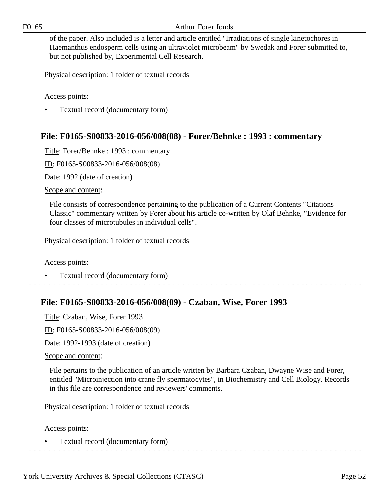F0165 Arthur Forer fonds

of the paper. Also included is a letter and article entitled "Irradiations of single kinetochores in Haemanthus endosperm cells using an ultraviolet microbeam" by Swedak and Forer submitted to, but not published by, Experimental Cell Research.

Physical description: 1 folder of textual records

Access points:

• Textual record (documentary form)

## **File: F0165-S00833-2016-056/008(08) - Forer/Behnke : 1993 : commentary**

Title: Forer/Behnke : 1993 : commentary

ID: F0165-S00833-2016-056/008(08)

Date: 1992 (date of creation)

Scope and content:

File consists of correspondence pertaining to the publication of a Current Contents "Citations Classic" commentary written by Forer about his article co-written by Olaf Behnke, "Evidence for four classes of microtubules in individual cells".

Physical description: 1 folder of textual records

Access points:

• Textual record (documentary form)

## **File: F0165-S00833-2016-056/008(09) - Czaban, Wise, Forer 1993**

Title: Czaban, Wise, Forer 1993

ID: F0165-S00833-2016-056/008(09)

Date: 1992-1993 (date of creation)

Scope and content:

File pertains to the publication of an article written by Barbara Czaban, Dwayne Wise and Forer, entitled "Microinjection into crane fly spermatocytes", in Biochemistry and Cell Biology. Records in this file are correspondence and reviewers' comments.

Physical description: 1 folder of textual records

Access points:

• Textual record (documentary form)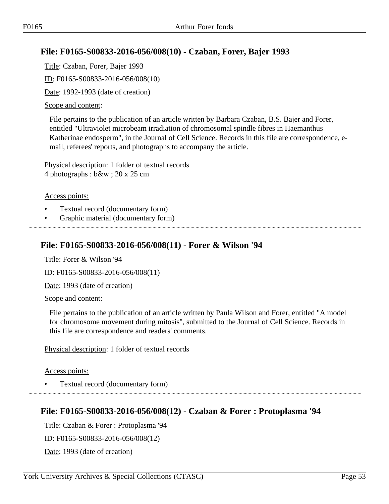# **File: F0165-S00833-2016-056/008(10) - Czaban, Forer, Bajer 1993**

Title: Czaban, Forer, Bajer 1993

ID: F0165-S00833-2016-056/008(10)

Date: 1992-1993 (date of creation)

### Scope and content:

File pertains to the publication of an article written by Barbara Czaban, B.S. Bajer and Forer, entitled "Ultraviolet microbeam irradiation of chromosomal spindle fibres in Haemanthus Katherinae endosperm", in the Journal of Cell Science. Records in this file are correspondence, email, referees' reports, and photographs to accompany the article.

Physical description: 1 folder of textual records 4 photographs : b&w ; 20 x 25 cm

### Access points:

- Textual record (documentary form)
- Graphic material (documentary form)

## **File: F0165-S00833-2016-056/008(11) - Forer & Wilson '94**

Title: Forer & Wilson '94

ID: F0165-S00833-2016-056/008(11)

Date: 1993 (date of creation)

Scope and content:

File pertains to the publication of an article written by Paula Wilson and Forer, entitled "A model for chromosome movement during mitosis", submitted to the Journal of Cell Science. Records in this file are correspondence and readers' comments.

Physical description: 1 folder of textual records

### Access points:

• Textual record (documentary form)

# **File: F0165-S00833-2016-056/008(12) - Czaban & Forer : Protoplasma '94**

Title: Czaban & Forer : Protoplasma '94 ID: F0165-S00833-2016-056/008(12) Date: 1993 (date of creation)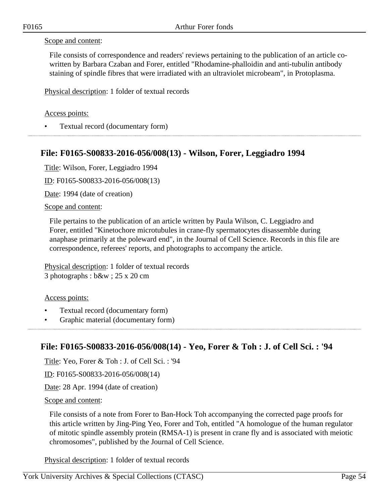### Scope and content:

File consists of correspondence and readers' reviews pertaining to the publication of an article cowritten by Barbara Czaban and Forer, entitled "Rhodamine-phalloidin and anti-tubulin antibody staining of spindle fibres that were irradiated with an ultraviolet microbeam", in Protoplasma.

Physical description: 1 folder of textual records

### Access points:

• Textual record (documentary form)

## **File: F0165-S00833-2016-056/008(13) - Wilson, Forer, Leggiadro 1994**

Title: Wilson, Forer, Leggiadro 1994

ID: F0165-S00833-2016-056/008(13)

Date: 1994 (date of creation)

Scope and content:

File pertains to the publication of an article written by Paula Wilson, C. Leggiadro and Forer, entitled "Kinetochore microtubules in crane-fly spermatocytes disassemble during anaphase primarily at the poleward end", in the Journal of Cell Science. Records in this file are correspondence, referees' reports, and photographs to accompany the article.

Physical description: 1 folder of textual records 3 photographs : b&w ; 25 x 20 cm

Access points:

- Textual record (documentary form)
- Graphic material (documentary form)

## **File: F0165-S00833-2016-056/008(14) - Yeo, Forer & Toh : J. of Cell Sci. : '94**

Title: Yeo, Forer & Toh : J. of Cell Sci. : '94

ID: F0165-S00833-2016-056/008(14)

Date: 28 Apr. 1994 (date of creation)

Scope and content:

File consists of a note from Forer to Ban-Hock Toh accompanying the corrected page proofs for this article written by Jing-Ping Yeo, Forer and Toh, entitled "A homologue of the human regulator of mitotic spindle assembly protein (RMSA-1) is present in crane fly and is associated with meiotic chromosomes", published by the Journal of Cell Science.

Physical description: 1 folder of textual records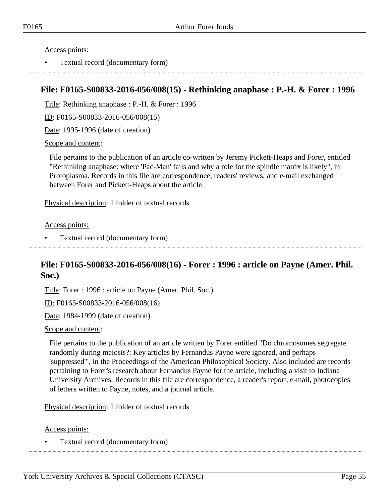Access points:

• Textual record (documentary form)

# **File: F0165-S00833-2016-056/008(15) - Rethinking anaphase : P.-H. & Forer : 1996**

Title: Rethinking anaphase : P.-H. & Forer : 1996

ID: F0165-S00833-2016-056/008(15)

Date: 1995-1996 (date of creation)

Scope and content:

File pertains to the publication of an article co-written by Jeremy Pickett-Heaps and Forer, entitled "Rethinking anaphase: where 'Pac-Man' fails and why a role for the spindle matrix is likely", in Protoplasma. Records in this file are correspondence, readers' reviews, and e-mail exchanged between Forer and Pickett-Heaps about the article.

Physical description: 1 folder of textual records

Access points:

• Textual record (documentary form)

# **File: F0165-S00833-2016-056/008(16) - Forer : 1996 : article on Payne (Amer. Phil. Soc.)**

Title: Forer : 1996 : article on Payne (Amer. Phil. Soc.)

ID: F0165-S00833-2016-056/008(16)

Date: 1984-1999 (date of creation)

#### Scope and content:

File pertains to the publication of an article written by Forer entitled "Do chromosomes segregate randomly during meiosis?: Key articles by Fernandus Payne were ignored, and perhaps 'suppressed'", in the Proceedings of the American Philosophical Society. Also included are records pertaining to Forer's research about Fernandus Payne for the article, including a visit to Indiana University Archives. Records in this file are correspondence, a reader's report, e-mail, photocopies of letters written to Payne, notes, and a journal article.

Physical description: 1 folder of textual records

#### Access points:

• Textual record (documentary form)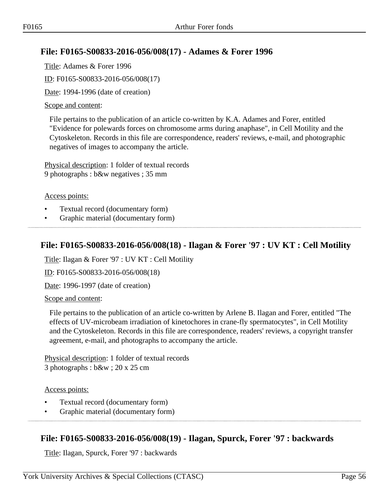# **File: F0165-S00833-2016-056/008(17) - Adames & Forer 1996**

Title: Adames & Forer 1996

ID: F0165-S00833-2016-056/008(17)

Date: 1994-1996 (date of creation)

### Scope and content:

File pertains to the publication of an article co-written by K.A. Adames and Forer, entitled "Evidence for polewards forces on chromosome arms during anaphase", in Cell Motility and the Cytoskeleton. Records in this file are correspondence, readers' reviews, e-mail, and photographic negatives of images to accompany the article.

Physical description: 1 folder of textual records 9 photographs : b&w negatives ; 35 mm

### Access points:

- Textual record (documentary form)
- Graphic material (documentary form)

# **File: F0165-S00833-2016-056/008(18) - Ilagan & Forer '97 : UV KT : Cell Motility**

Title: Ilagan & Forer '97 : UV KT : Cell Motility

ID: F0165-S00833-2016-056/008(18)

Date: 1996-1997 (date of creation)

Scope and content:

File pertains to the publication of an article co-written by Arlene B. Ilagan and Forer, entitled "The effects of UV-microbeam irradiation of kinetochores in crane-fly spermatocytes", in Cell Motility and the Cytoskeleton. Records in this file are correspondence, readers' reviews, a copyright transfer agreement, e-mail, and photographs to accompany the article.

Physical description: 1 folder of textual records 3 photographs : b&w ; 20 x 25 cm

### Access points:

- Textual record (documentary form)
- Graphic material (documentary form)

# **File: F0165-S00833-2016-056/008(19) - Ilagan, Spurck, Forer '97 : backwards**

Title: Ilagan, Spurck, Forer '97 : backwards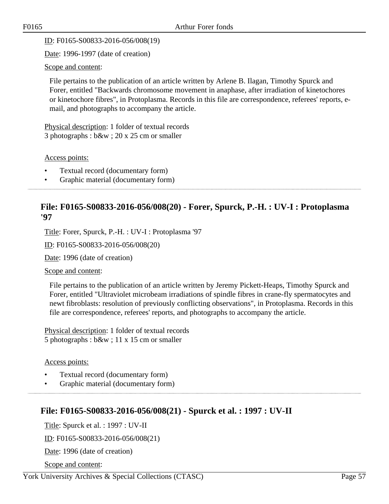ID: F0165-S00833-2016-056/008(19)

Date: 1996-1997 (date of creation)

Scope and content:

File pertains to the publication of an article written by Arlene B. Ilagan, Timothy Spurck and Forer, entitled "Backwards chromosome movement in anaphase, after irradiation of kinetochores or kinetochore fibres", in Protoplasma. Records in this file are correspondence, referees' reports, email, and photographs to accompany the article.

Physical description: 1 folder of textual records 3 photographs : b&w ; 20 x 25 cm or smaller

Access points:

- Textual record (documentary form)
- Graphic material (documentary form)

# **File: F0165-S00833-2016-056/008(20) - Forer, Spurck, P.-H. : UV-I : Protoplasma '97**

Title: Forer, Spurck, P.-H. : UV-I : Protoplasma '97

ID: F0165-S00833-2016-056/008(20)

Date: 1996 (date of creation)

Scope and content:

File pertains to the publication of an article written by Jeremy Pickett-Heaps, Timothy Spurck and Forer, entitled "Ultraviolet microbeam irradiations of spindle fibres in crane-fly spermatocytes and newt fibroblasts: resolution of previously conflicting observations", in Protoplasma. Records in this file are correspondence, referees' reports, and photographs to accompany the article.

Physical description: 1 folder of textual records 5 photographs : b&w ; 11 x 15 cm or smaller

### Access points:

- Textual record (documentary form)
- Graphic material (documentary form)

# **File: F0165-S00833-2016-056/008(21) - Spurck et al. : 1997 : UV-II**

Title: Spurck et al. : 1997 : UV-II

ID: F0165-S00833-2016-056/008(21)

Date: 1996 (date of creation)

Scope and content: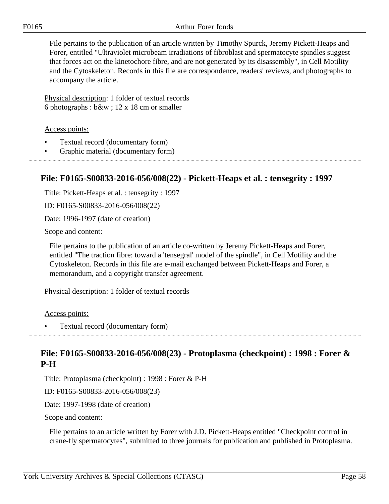File pertains to the publication of an article written by Timothy Spurck, Jeremy Pickett-Heaps and Forer, entitled "Ultraviolet microbeam irradiations of fibroblast and spermatocyte spindles suggest that forces act on the kinetochore fibre, and are not generated by its disassembly", in Cell Motility and the Cytoskeleton. Records in this file are correspondence, readers' reviews, and photographs to accompany the article.

Physical description: 1 folder of textual records 6 photographs : b&w ; 12 x 18 cm or smaller

Access points:

- Textual record (documentary form)
- Graphic material (documentary form)

# **File: F0165-S00833-2016-056/008(22) - Pickett-Heaps et al. : tensegrity : 1997**

Title: Pickett-Heaps et al. : tensegrity : 1997

ID: F0165-S00833-2016-056/008(22)

Date: 1996-1997 (date of creation)

#### Scope and content:

File pertains to the publication of an article co-written by Jeremy Pickett-Heaps and Forer, entitled "The traction fibre: toward a 'tensegral' model of the spindle", in Cell Motility and the Cytoskeleton. Records in this file are e-mail exchanged between Pickett-Heaps and Forer, a memorandum, and a copyright transfer agreement.

Physical description: 1 folder of textual records

Access points:

• Textual record (documentary form)

## **File: F0165-S00833-2016-056/008(23) - Protoplasma (checkpoint) : 1998 : Forer & P-H**

Title: Protoplasma (checkpoint) : 1998 : Forer & P-H

ID: F0165-S00833-2016-056/008(23)

Date: 1997-1998 (date of creation)

Scope and content:

File pertains to an article written by Forer with J.D. Pickett-Heaps entitled "Checkpoint control in crane-fly spermatocytes", submitted to three journals for publication and published in Protoplasma.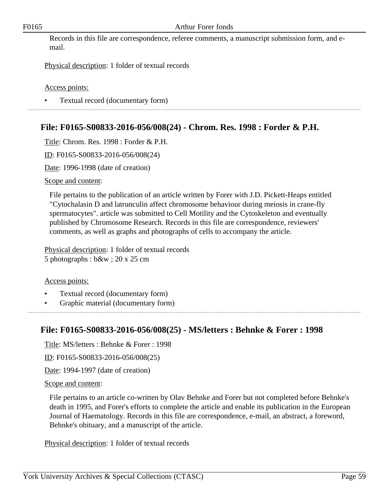Records in this file are correspondence, referee comments, a manuscript submission form, and email.

Physical description: 1 folder of textual records

Access points:

• Textual record (documentary form)

# **File: F0165-S00833-2016-056/008(24) - Chrom. Res. 1998 : Forder & P.H.**

Title: Chrom. Res. 1998 : Forder & P.H.

ID: F0165-S00833-2016-056/008(24)

Date: 1996-1998 (date of creation)

Scope and content:

File pertains to the publication of an article written by Forer with J.D. Pickett-Heaps entitled "Cytochalasin D and latrunculin affect chromosome behaviour during meiosis in crane-fly spermatocytes". article was submitted to Cell Motility and the Cytoskeleton and eventually published by Chromosome Research. Records in this file are correspondence, reviewers' comments, as well as graphs and photographs of cells to accompany the article.

Physical description: 1 folder of textual records 5 photographs : b&w ; 20 x 25 cm

### Access points:

- Textual record (documentary form)
- Graphic material (documentary form)

## **File: F0165-S00833-2016-056/008(25) - MS/letters : Behnke & Forer : 1998**

Title: MS/letters : Behnke & Forer : 1998

ID: F0165-S00833-2016-056/008(25)

Date: 1994-1997 (date of creation)

#### Scope and content:

File pertains to an article co-written by Olav Behnke and Forer but not completed before Behnke's death in 1995, and Forer's efforts to complete the article and enable its publication in the European Journal of Haematology. Records in this file are correspondence, e-mail, an abstract, a foreword, Behnke's obituary, and a manuscript of the article.

Physical description: 1 folder of textual records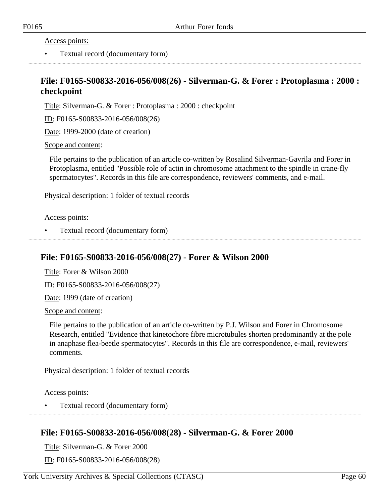Access points:

• Textual record (documentary form)

## **File: F0165-S00833-2016-056/008(26) - Silverman-G. & Forer : Protoplasma : 2000 : checkpoint**

Title: Silverman-G. & Forer : Protoplasma : 2000 : checkpoint

ID: F0165-S00833-2016-056/008(26)

Date: 1999-2000 (date of creation)

#### Scope and content:

File pertains to the publication of an article co-written by Rosalind Silverman-Gavrila and Forer in Protoplasma, entitled "Possible role of actin in chromosome attachment to the spindle in crane-fly spermatocytes". Records in this file are correspondence, reviewers' comments, and e-mail.

Physical description: 1 folder of textual records

Access points:

• Textual record (documentary form)

## **File: F0165-S00833-2016-056/008(27) - Forer & Wilson 2000**

Title: Forer & Wilson 2000

ID: F0165-S00833-2016-056/008(27)

Date: 1999 (date of creation)

Scope and content:

File pertains to the publication of an article co-written by P.J. Wilson and Forer in Chromosome Research, entitled "Evidence that kinetochore fibre microtubules shorten predominantly at the pole in anaphase flea-beetle spermatocytes". Records in this file are correspondence, e-mail, reviewers' comments.

Physical description: 1 folder of textual records

Access points:

• Textual record (documentary form)

## **File: F0165-S00833-2016-056/008(28) - Silverman-G. & Forer 2000**

Title: Silverman-G. & Forer 2000

ID: F0165-S00833-2016-056/008(28)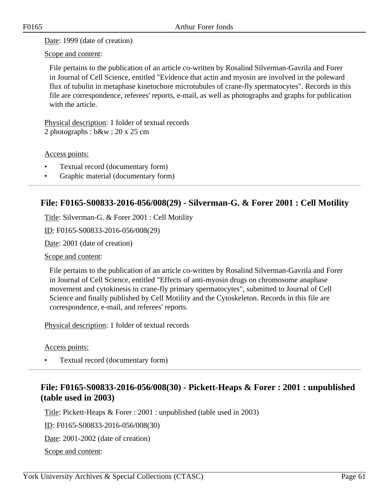Date: 1999 (date of creation)

Scope and content:

File pertains to the publication of an article co-written by Rosalind Silverman-Gavrila and Forer in Journal of Cell Science, entitled "Evidence that actin and myosin are involved in the poleward flux of tubulin in metaphase kinetochore microtubules of crane-fly spermatocytes". Records in this file are correspondence, referees' reports, e-mail, as well as photographs and graphs for publication with the article.

Physical description: 1 folder of textual records 2 photographs : b&w ; 20 x 25 cm

Access points:

- Textual record (documentary form)
- Graphic material (documentary form)

# **File: F0165-S00833-2016-056/008(29) - Silverman-G. & Forer 2001 : Cell Motility**

Title: Silverman-G. & Forer 2001 : Cell Motility

ID: F0165-S00833-2016-056/008(29)

Date: 2001 (date of creation)

Scope and content:

File pertains to the publication of an article co-written by Rosalind Silverman-Gavrila and Forer in Journal of Cell Science, entitled "Effects of anti-myosin drugs on chromosome anaphase movement and cytokinesis in crane-fly primary spermatocytes", submitted to Journal of Cell Science and finally published by Cell Motility and the Cytoskeleton. Records in this file are correspondence, e-mail, and referees' reports.

Physical description: 1 folder of textual records

Access points:

• Textual record (documentary form)

# **File: F0165-S00833-2016-056/008(30) - Pickett-Heaps & Forer : 2001 : unpublished (table used in 2003)**

Title: Pickett-Heaps & Forer : 2001 : unpublished (table used in 2003)

ID: F0165-S00833-2016-056/008(30)

Date: 2001-2002 (date of creation)

Scope and content: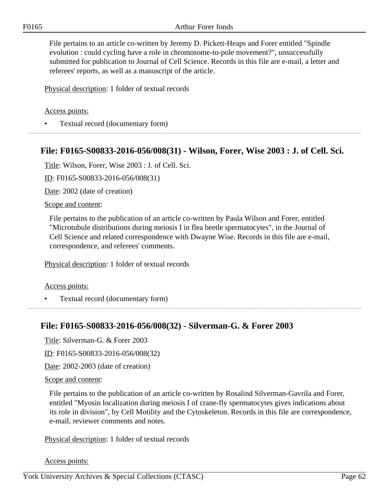File pertains to an article co-written by Jeremy D. Pickett-Heaps and Forer entitled "Spindle evolution : could cycling have a role in chromosome-to-pole movement?", unsuccessfully submitted for publication to Journal of Cell Science. Records in this file are e-mail, a letter and referees' reports, as well as a manuscript of the article.

Physical description: 1 folder of textual records

#### Access points:

• Textual record (documentary form)

## **File: F0165-S00833-2016-056/008(31) - Wilson, Forer, Wise 2003 : J. of Cell. Sci.**

Title: Wilson, Forer, Wise 2003 : J. of Cell. Sci.

ID: F0165-S00833-2016-056/008(31)

Date: 2002 (date of creation)

#### Scope and content:

File pertains to the publication of an article co-written by Paula Wilson and Forer, entitled "Microtubule distributions during meiosis I in flea beetle spermatocytes", in the Journal of Cell Science and related correspondence with Dwayne Wise. Records in this file are e-mail, correspondence, and referees' comments.

Physical description: 1 folder of textual records

#### Access points:

• Textual record (documentary form)

## **File: F0165-S00833-2016-056/008(32) - Silverman-G. & Forer 2003**

Title: Silverman-G. & Forer 2003

ID: F0165-S00833-2016-056/008(32)

Date: 2002-2003 (date of creation)

Scope and content:

File pertains to the publication of an article co-written by Rosalind Silverman-Gavrila and Forer, entitled "Myosin localization during meiosis I of crane-fly spermatocytes gives indications about its role in division", by Cell Motility and the Cytoskeleton. Records in this file are correspondence, e-mail, reviewer comments and notes.

Physical description: 1 folder of textual records

Access points: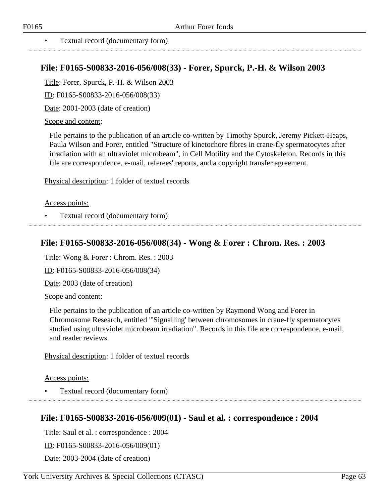#### • Textual record (documentary form)

## **File: F0165-S00833-2016-056/008(33) - Forer, Spurck, P.-H. & Wilson 2003**

Title: Forer, Spurck, P.-H. & Wilson 2003

ID: F0165-S00833-2016-056/008(33)

Date: 2001-2003 (date of creation)

Scope and content:

File pertains to the publication of an article co-written by Timothy Spurck, Jeremy Pickett-Heaps, Paula Wilson and Forer, entitled "Structure of kinetochore fibres in crane-fly spermatocytes after irradiation with an ultraviolet microbeam", in Cell Motility and the Cytoskeleton. Records in this file are correspondence, e-mail, referees' reports, and a copyright transfer agreement.

Physical description: 1 folder of textual records

#### Access points:

• Textual record (documentary form)

## **File: F0165-S00833-2016-056/008(34) - Wong & Forer : Chrom. Res. : 2003**

Title: Wong & Forer : Chrom. Res. : 2003

ID: F0165-S00833-2016-056/008(34)

Date: 2003 (date of creation)

Scope and content:

File pertains to the publication of an article co-written by Raymond Wong and Forer in Chromosome Research, entitled "'Signalling' between chromosomes in crane-fly spermatocytes studied using ultraviolet microbeam irradiation". Records in this file are correspondence, e-mail, and reader reviews.

Physical description: 1 folder of textual records

Access points:

• Textual record (documentary form)

## **File: F0165-S00833-2016-056/009(01) - Saul et al. : correspondence : 2004**

Title: Saul et al. : correspondence : 2004

ID: F0165-S00833-2016-056/009(01)

Date: 2003-2004 (date of creation)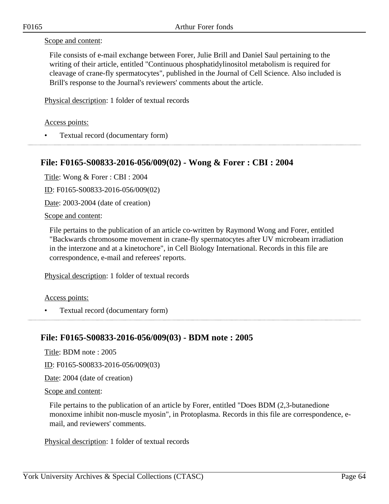### Scope and content:

File consists of e-mail exchange between Forer, Julie Brill and Daniel Saul pertaining to the writing of their article, entitled "Continuous phosphatidylinositol metabolism is required for cleavage of crane-fly spermatocytes", published in the Journal of Cell Science. Also included is Brill's response to the Journal's reviewers' comments about the article.

Physical description: 1 folder of textual records

Access points:

• Textual record (documentary form)

## **File: F0165-S00833-2016-056/009(02) - Wong & Forer : CBI : 2004**

Title: Wong & Forer : CBI : 2004

ID: F0165-S00833-2016-056/009(02)

Date: 2003-2004 (date of creation)

Scope and content:

File pertains to the publication of an article co-written by Raymond Wong and Forer, entitled "Backwards chromosome movement in crane-fly spermatocytes after UV microbeam irradiation in the interzone and at a kinetochore", in Cell Biology International. Records in this file are correspondence, e-mail and referees' reports.

Physical description: 1 folder of textual records

Access points:

• Textual record (documentary form)

## **File: F0165-S00833-2016-056/009(03) - BDM note : 2005**

Title: BDM note : 2005

ID: F0165-S00833-2016-056/009(03)

Date: 2004 (date of creation)

Scope and content:

File pertains to the publication of an article by Forer, entitled "Does BDM (2,3-butanedione monoxime inhibit non-muscle myosin", in Protoplasma. Records in this file are correspondence, email, and reviewers' comments.

Physical description: 1 folder of textual records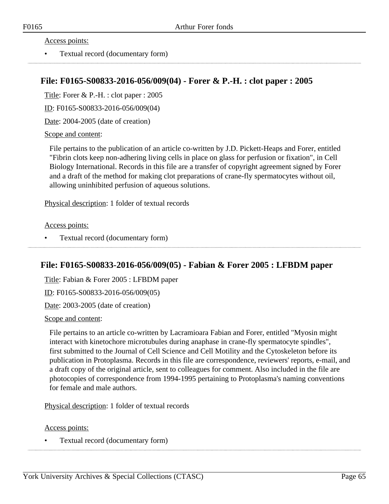Access points:

• Textual record (documentary form)

## **File: F0165-S00833-2016-056/009(04) - Forer & P.-H. : clot paper : 2005**

Title: Forer & P.-H. : clot paper : 2005

ID: F0165-S00833-2016-056/009(04)

Date: 2004-2005 (date of creation)

#### Scope and content:

File pertains to the publication of an article co-written by J.D. Pickett-Heaps and Forer, entitled "Fibrin clots keep non-adhering living cells in place on glass for perfusion or fixation", in Cell Biology International. Records in this file are a transfer of copyright agreement signed by Forer and a draft of the method for making clot preparations of crane-fly spermatocytes without oil, allowing uninhibited perfusion of aqueous solutions.

Physical description: 1 folder of textual records

#### Access points:

• Textual record (documentary form)

## **File: F0165-S00833-2016-056/009(05) - Fabian & Forer 2005 : LFBDM paper**

Title: Fabian & Forer 2005 : LFBDM paper

ID: F0165-S00833-2016-056/009(05)

Date: 2003-2005 (date of creation)

#### Scope and content:

File pertains to an article co-written by Lacramioara Fabian and Forer, entitled "Myosin might interact with kinetochore microtubules during anaphase in crane-fly spermatocyte spindles", first submitted to the Journal of Cell Science and Cell Motility and the Cytoskeleton before its publication in Protoplasma. Records in this file are correspondence, reviewers' reports, e-mail, and a draft copy of the original article, sent to colleagues for comment. Also included in the file are photocopies of correspondence from 1994-1995 pertaining to Protoplasma's naming conventions for female and male authors.

Physical description: 1 folder of textual records

#### Access points:

• Textual record (documentary form)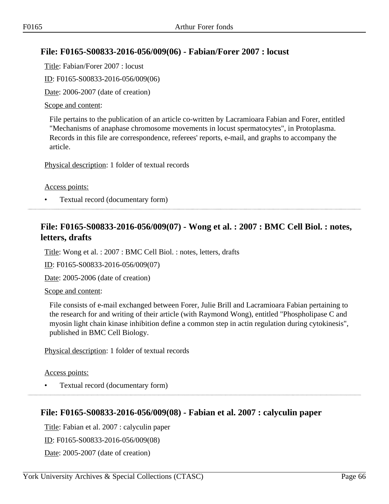# **File: F0165-S00833-2016-056/009(06) - Fabian/Forer 2007 : locust**

Title: Fabian/Forer 2007 : locust

ID: F0165-S00833-2016-056/009(06)

Date: 2006-2007 (date of creation)

### Scope and content:

File pertains to the publication of an article co-written by Lacramioara Fabian and Forer, entitled "Mechanisms of anaphase chromosome movements in locust spermatocytes", in Protoplasma. Records in this file are correspondence, referees' reports, e-mail, and graphs to accompany the article.

Physical description: 1 folder of textual records

### Access points:

• Textual record (documentary form)

# **File: F0165-S00833-2016-056/009(07) - Wong et al. : 2007 : BMC Cell Biol. : notes, letters, drafts**

Title: Wong et al. : 2007 : BMC Cell Biol. : notes, letters, drafts

ID: F0165-S00833-2016-056/009(07)

Date: 2005-2006 (date of creation)

### Scope and content:

File consists of e-mail exchanged between Forer, Julie Brill and Lacramioara Fabian pertaining to the research for and writing of their article (with Raymond Wong), entitled "Phospholipase C and myosin light chain kinase inhibition define a common step in actin regulation during cytokinesis", published in BMC Cell Biology.

Physical description: 1 folder of textual records

### Access points:

• Textual record (documentary form)

## **File: F0165-S00833-2016-056/009(08) - Fabian et al. 2007 : calyculin paper**

Title: Fabian et al. 2007 : calyculin paper ID: F0165-S00833-2016-056/009(08) Date: 2005-2007 (date of creation)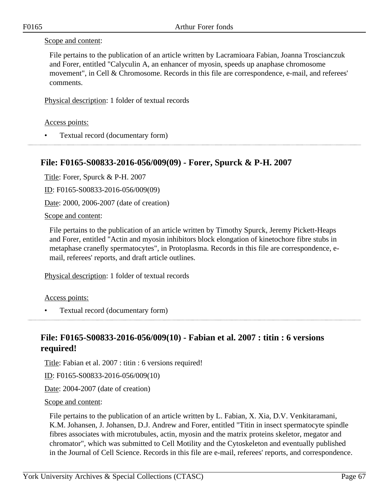### Scope and content:

File pertains to the publication of an article written by Lacramioara Fabian, Joanna Troscianczuk and Forer, entitled "Calyculin A, an enhancer of myosin, speeds up anaphase chromosome movement", in Cell & Chromosome. Records in this file are correspondence, e-mail, and referees' comments.

Physical description: 1 folder of textual records

Access points:

• Textual record (documentary form)

## **File: F0165-S00833-2016-056/009(09) - Forer, Spurck & P-H. 2007**

Title: Forer, Spurck & P-H. 2007

ID: F0165-S00833-2016-056/009(09)

Date: 2000, 2006-2007 (date of creation)

Scope and content:

File pertains to the publication of an article written by Timothy Spurck, Jeremy Pickett-Heaps and Forer, entitled "Actin and myosin inhibitors block elongation of kinetochore fibre stubs in metaphase cranefly spermatocytes", in Protoplasma. Records in this file are correspondence, email, referees' reports, and draft article outlines.

Physical description: 1 folder of textual records

Access points:

• Textual record (documentary form)

# **File: F0165-S00833-2016-056/009(10) - Fabian et al. 2007 : titin : 6 versions required!**

Title: Fabian et al. 2007 : titin : 6 versions required!

ID: F0165-S00833-2016-056/009(10)

Date: 2004-2007 (date of creation)

Scope and content:

File pertains to the publication of an article written by L. Fabian, X. Xia, D.V. Venkitaramani, K.M. Johansen, J. Johansen, D.J. Andrew and Forer, entitled "Titin in insect spermatocyte spindle fibres associates with microtubules, actin, myosin and the matrix proteins skeletor, megator and chromator", which was submitted to Cell Motility and the Cytoskeleton and eventually published in the Journal of Cell Science. Records in this file are e-mail, referees' reports, and correspondence.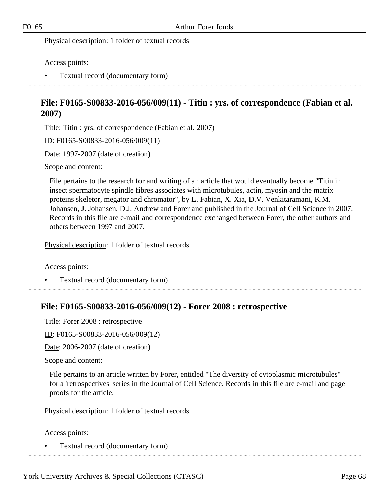Physical description: 1 folder of textual records

Access points:

• Textual record (documentary form)

# **File: F0165-S00833-2016-056/009(11) - Titin : yrs. of correspondence (Fabian et al. 2007)**

Title: Titin : yrs. of correspondence (Fabian et al. 2007)

ID: F0165-S00833-2016-056/009(11)

Date: 1997-2007 (date of creation)

#### Scope and content:

File pertains to the research for and writing of an article that would eventually become "Titin in insect spermatocyte spindle fibres associates with microtubules, actin, myosin and the matrix proteins skeletor, megator and chromator", by L. Fabian, X. Xia, D.V. Venkitaramani, K.M. Johansen, J. Johansen, D.J. Andrew and Forer and published in the Journal of Cell Science in 2007. Records in this file are e-mail and correspondence exchanged between Forer, the other authors and others between 1997 and 2007.

Physical description: 1 folder of textual records

Access points:

• Textual record (documentary form)

## **File: F0165-S00833-2016-056/009(12) - Forer 2008 : retrospective**

Title: Forer 2008 : retrospective

ID: F0165-S00833-2016-056/009(12)

Date: 2006-2007 (date of creation)

Scope and content:

File pertains to an article written by Forer, entitled "The diversity of cytoplasmic microtubules" for a 'retrospectives' series in the Journal of Cell Science. Records in this file are e-mail and page proofs for the article.

Physical description: 1 folder of textual records

Access points:

• Textual record (documentary form)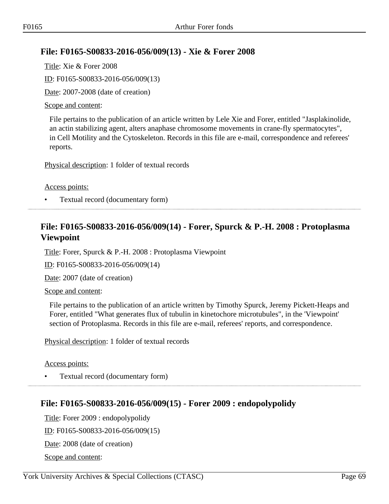# **File: F0165-S00833-2016-056/009(13) - Xie & Forer 2008**

Title: Xie & Forer 2008 ID: F0165-S00833-2016-056/009(13) Date: 2007-2008 (date of creation)

### Scope and content:

File pertains to the publication of an article written by Lele Xie and Forer, entitled "Jasplakinolide, an actin stabilizing agent, alters anaphase chromosome movements in crane-fly spermatocytes", in Cell Motility and the Cytoskeleton. Records in this file are e-mail, correspondence and referees' reports.

Physical description: 1 folder of textual records

Access points:

• Textual record (documentary form)

# **File: F0165-S00833-2016-056/009(14) - Forer, Spurck & P.-H. 2008 : Protoplasma Viewpoint**

Title: Forer, Spurck & P.-H. 2008 : Protoplasma Viewpoint

ID: F0165-S00833-2016-056/009(14)

Date: 2007 (date of creation)

Scope and content:

File pertains to the publication of an article written by Timothy Spurck, Jeremy Pickett-Heaps and Forer, entitled "What generates flux of tubulin in kinetochore microtubules", in the 'Viewpoint' section of Protoplasma. Records in this file are e-mail, referees' reports, and correspondence.

Physical description: 1 folder of textual records

Access points:

• Textual record (documentary form)

## **File: F0165-S00833-2016-056/009(15) - Forer 2009 : endopolypolidy**

Title: Forer 2009 : endopolypolidy ID: F0165-S00833-2016-056/009(15) Date: 2008 (date of creation) Scope and content: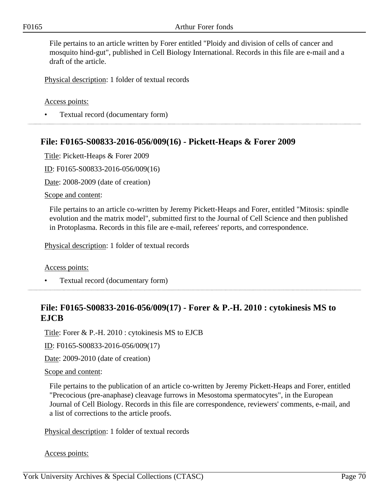File pertains to an article written by Forer entitled "Ploidy and division of cells of cancer and mosquito hind-gut", published in Cell Biology International. Records in this file are e-mail and a draft of the article.

Physical description: 1 folder of textual records

Access points:

• Textual record (documentary form)

## **File: F0165-S00833-2016-056/009(16) - Pickett-Heaps & Forer 2009**

Title: Pickett-Heaps & Forer 2009

ID: F0165-S00833-2016-056/009(16)

Date: 2008-2009 (date of creation)

Scope and content:

File pertains to an article co-written by Jeremy Pickett-Heaps and Forer, entitled "Mitosis: spindle evolution and the matrix model", submitted first to the Journal of Cell Science and then published in Protoplasma. Records in this file are e-mail, referees' reports, and correspondence.

Physical description: 1 folder of textual records

Access points:

• Textual record (documentary form)

# **File: F0165-S00833-2016-056/009(17) - Forer & P.-H. 2010 : cytokinesis MS to EJCB**

Title: Forer & P.-H. 2010 : cytokinesis MS to EJCB

ID: F0165-S00833-2016-056/009(17)

Date: 2009-2010 (date of creation)

#### Scope and content:

File pertains to the publication of an article co-written by Jeremy Pickett-Heaps and Forer, entitled "Precocious (pre-anaphase) cleavage furrows in Mesostoma spermatocytes", in the European Journal of Cell Biology. Records in this file are correspondence, reviewers' comments, e-mail, and a list of corrections to the article proofs.

Physical description: 1 folder of textual records

Access points: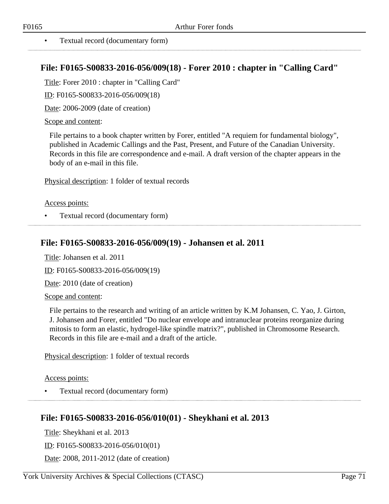# **File: F0165-S00833-2016-056/009(18) - Forer 2010 : chapter in "Calling Card"**

Title: Forer 2010 : chapter in "Calling Card"

ID: F0165-S00833-2016-056/009(18)

Date: 2006-2009 (date of creation)

### Scope and content:

File pertains to a book chapter written by Forer, entitled "A requiem for fundamental biology", published in Academic Callings and the Past, Present, and Future of the Canadian University. Records in this file are correspondence and e-mail. A draft version of the chapter appears in the body of an e-mail in this file.

Physical description: 1 folder of textual records

### Access points:

• Textual record (documentary form)

## **File: F0165-S00833-2016-056/009(19) - Johansen et al. 2011**

Title: Johansen et al. 2011

ID: F0165-S00833-2016-056/009(19)

Date: 2010 (date of creation)

Scope and content:

File pertains to the research and writing of an article written by K.M Johansen, C. Yao, J. Girton, J. Johansen and Forer, entitled "Do nuclear envelope and intranuclear proteins reorganize during mitosis to form an elastic, hydrogel-like spindle matrix?", published in Chromosome Research. Records in this file are e-mail and a draft of the article.

Physical description: 1 folder of textual records

Access points:

• Textual record (documentary form)

# **File: F0165-S00833-2016-056/010(01) - Sheykhani et al. 2013**

Title: Sheykhani et al. 2013

ID: F0165-S00833-2016-056/010(01)

Date: 2008, 2011-2012 (date of creation)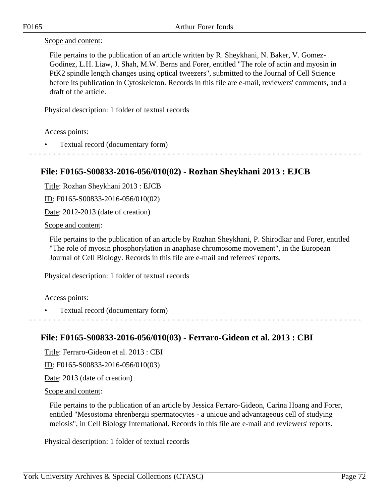#### Scope and content:

File pertains to the publication of an article written by R. Sheykhani, N. Baker, V. Gomez-Godinez, L.H. Liaw, J. Shah, M.W. Berns and Forer, entitled "The role of actin and myosin in PtK2 spindle length changes using optical tweezers", submitted to the Journal of Cell Science before its publication in Cytoskeleton. Records in this file are e-mail, reviewers' comments, and a draft of the article.

Physical description: 1 folder of textual records

#### Access points:

• Textual record (documentary form) 

# **File: F0165-S00833-2016-056/010(02) - Rozhan Sheykhani 2013 : EJCB**

Title: Rozhan Sheykhani 2013 : EJCB

ID: F0165-S00833-2016-056/010(02)

Date: 2012-2013 (date of creation)

Scope and content:

File pertains to the publication of an article by Rozhan Sheykhani, P. Shirodkar and Forer, entitled "The role of myosin phosphorylation in anaphase chromosome movement", in the European Journal of Cell Biology. Records in this file are e-mail and referees' reports.

Physical description: 1 folder of textual records

Access points:

• Textual record (documentary form)

## **File: F0165-S00833-2016-056/010(03) - Ferraro-Gideon et al. 2013 : CBI**

Title: Ferraro-Gideon et al. 2013 : CBI

ID: F0165-S00833-2016-056/010(03)

Date: 2013 (date of creation)

#### Scope and content:

File pertains to the publication of an article by Jessica Ferraro-Gideon, Carina Hoang and Forer, entitled "Mesostoma ehrenbergii spermatocytes - a unique and advantageous cell of studying meiosis", in Cell Biology International. Records in this file are e-mail and reviewers' reports.

Physical description: 1 folder of textual records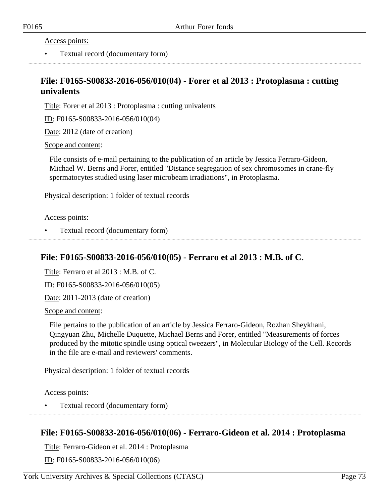Access points:

• Textual record (documentary form)

## **File: F0165-S00833-2016-056/010(04) - Forer et al 2013 : Protoplasma : cutting univalents**

Title: Forer et al 2013 : Protoplasma : cutting univalents

ID: F0165-S00833-2016-056/010(04)

Date: 2012 (date of creation)

Scope and content:

File consists of e-mail pertaining to the publication of an article by Jessica Ferraro-Gideon, Michael W. Berns and Forer, entitled "Distance segregation of sex chromosomes in crane-fly spermatocytes studied using laser microbeam irradiations", in Protoplasma.

Physical description: 1 folder of textual records

Access points:

• Textual record (documentary form)

### **File: F0165-S00833-2016-056/010(05) - Ferraro et al 2013 : M.B. of C.**

Title: Ferraro et al 2013 : M.B. of C.

ID: F0165-S00833-2016-056/010(05)

Date: 2011-2013 (date of creation)

Scope and content:

File pertains to the publication of an article by Jessica Ferraro-Gideon, Rozhan Sheykhani, Qingyuan Zhu, Michelle Duquette, Michael Berns and Forer, entitled "Measurements of forces produced by the mitotic spindle using optical tweezers", in Molecular Biology of the Cell. Records in the file are e-mail and reviewers' comments.

Physical description: 1 folder of textual records

Access points:

• Textual record (documentary form)

### **File: F0165-S00833-2016-056/010(06) - Ferraro-Gideon et al. 2014 : Protoplasma**

Title: Ferraro-Gideon et al. 2014 : Protoplasma

ID: F0165-S00833-2016-056/010(06)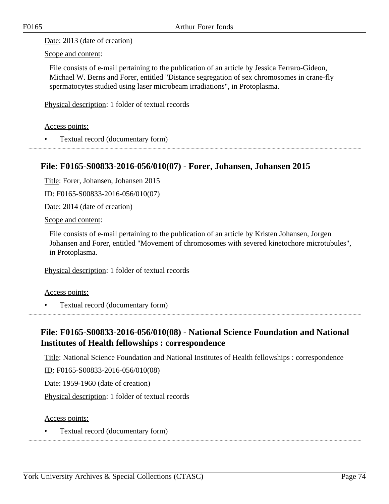Date: 2013 (date of creation)

Scope and content:

File consists of e-mail pertaining to the publication of an article by Jessica Ferraro-Gideon, Michael W. Berns and Forer, entitled "Distance segregation of sex chromosomes in crane-fly spermatocytes studied using laser microbeam irradiations", in Protoplasma.

Physical description: 1 folder of textual records

### Access points:

• Textual record (documentary form)

## **File: F0165-S00833-2016-056/010(07) - Forer, Johansen, Johansen 2015**

Title: Forer, Johansen, Johansen 2015

ID: F0165-S00833-2016-056/010(07)

Date: 2014 (date of creation)

Scope and content:

File consists of e-mail pertaining to the publication of an article by Kristen Johansen, Jorgen Johansen and Forer, entitled "Movement of chromosomes with severed kinetochore microtubules", in Protoplasma.

Physical description: 1 folder of textual records

Access points:

• Textual record (documentary form)

# **File: F0165-S00833-2016-056/010(08) - National Science Foundation and National Institutes of Health fellowships : correspondence**

Title: National Science Foundation and National Institutes of Health fellowships : correspondence

ID: F0165-S00833-2016-056/010(08)

Date: 1959-1960 (date of creation)

Physical description: 1 folder of textual records

### Access points:

• Textual record (documentary form)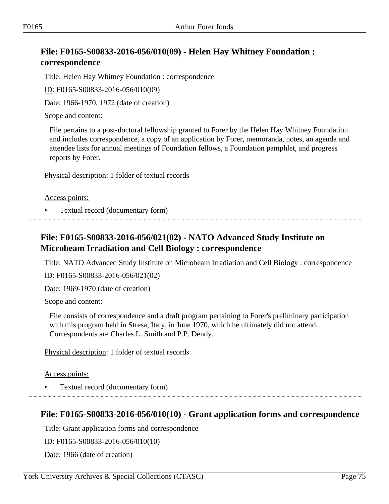# **File: F0165-S00833-2016-056/010(09) - Helen Hay Whitney Foundation : correspondence**

Title: Helen Hay Whitney Foundation : correspondence

ID: F0165-S00833-2016-056/010(09)

Date: 1966-1970, 1972 (date of creation)

Scope and content:

File pertains to a post-doctoral fellowship granted to Forer by the Helen Hay Whitney Foundation and includes correspondence, a copy of an application by Forer, memoranda, notes, an agenda and attendee lists for annual meetings of Foundation fellows, a Foundation pamphlet, and progress reports by Forer.

Physical description: 1 folder of textual records

Access points:

• Textual record (documentary form)

# **File: F0165-S00833-2016-056/021(02) - NATO Advanced Study Institute on Microbeam Irradiation and Cell Biology : correspondence**

Title: NATO Advanced Study Institute on Microbeam Irradiation and Cell Biology : correspondence

ID: F0165-S00833-2016-056/021(02)

Date: 1969-1970 (date of creation)

Scope and content:

File consists of correspondence and a draft program pertaining to Forer's preliminary participation with this program held in Stresa, Italy, in June 1970, which he ultimately did not attend. Correspondents are Charles L. Smith and P.P. Dendy.

Physical description: 1 folder of textual records

Access points:

• Textual record (documentary form)

# **File: F0165-S00833-2016-056/010(10) - Grant application forms and correspondence**

Title: Grant application forms and correspondence

ID: F0165-S00833-2016-056/010(10)

Date: 1966 (date of creation)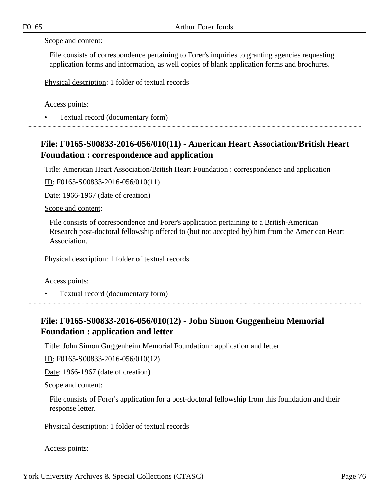#### Scope and content:

File consists of correspondence pertaining to Forer's inquiries to granting agencies requesting application forms and information, as well copies of blank application forms and brochures.

Physical description: 1 folder of textual records

Access points:

• Textual record (documentary form)

# **File: F0165-S00833-2016-056/010(11) - American Heart Association/British Heart Foundation : correspondence and application**

Title: American Heart Association/British Heart Foundation : correspondence and application

ID: F0165-S00833-2016-056/010(11)

Date: 1966-1967 (date of creation)

#### Scope and content:

File consists of correspondence and Forer's application pertaining to a British-American Research post-doctoral fellowship offered to (but not accepted by) him from the American Heart Association.

Physical description: 1 folder of textual records

#### Access points:

• Textual record (documentary form)

# **File: F0165-S00833-2016-056/010(12) - John Simon Guggenheim Memorial Foundation : application and letter**

Title: John Simon Guggenheim Memorial Foundation : application and letter

ID: F0165-S00833-2016-056/010(12)

Date: 1966-1967 (date of creation)

Scope and content:

File consists of Forer's application for a post-doctoral fellowship from this foundation and their response letter.

Physical description: 1 folder of textual records

Access points: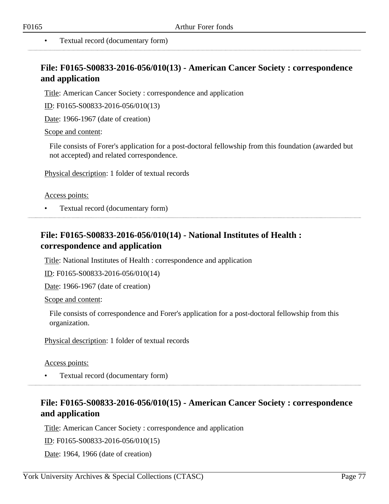# **File: F0165-S00833-2016-056/010(13) - American Cancer Society : correspondence and application**

Title: American Cancer Society : correspondence and application

ID: F0165-S00833-2016-056/010(13)

Date: 1966-1967 (date of creation)

Scope and content:

File consists of Forer's application for a post-doctoral fellowship from this foundation (awarded but not accepted) and related correspondence.

Physical description: 1 folder of textual records

#### Access points:

• Textual record (documentary form)

## **File: F0165-S00833-2016-056/010(14) - National Institutes of Health : correspondence and application**

Title: National Institutes of Health : correspondence and application

ID: F0165-S00833-2016-056/010(14)

Date: 1966-1967 (date of creation)

Scope and content:

File consists of correspondence and Forer's application for a post-doctoral fellowship from this organization.

Physical description: 1 folder of textual records

#### Access points:

• Textual record (documentary form)

## **File: F0165-S00833-2016-056/010(15) - American Cancer Society : correspondence and application**

Title: American Cancer Society : correspondence and application

ID: F0165-S00833-2016-056/010(15)

Date: 1964, 1966 (date of creation)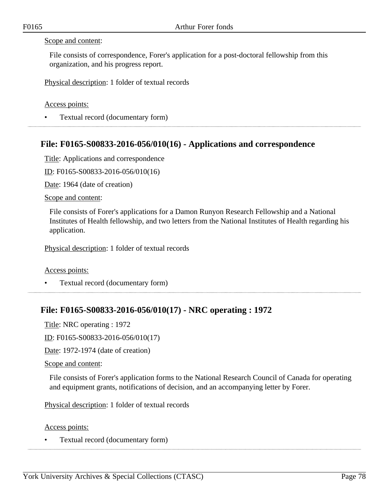#### Scope and content:

File consists of correspondence, Forer's application for a post-doctoral fellowship from this organization, and his progress report.

Physical description: 1 folder of textual records

Access points:

• Textual record (documentary form)

## **File: F0165-S00833-2016-056/010(16) - Applications and correspondence**

Title: Applications and correspondence

ID: F0165-S00833-2016-056/010(16)

Date: 1964 (date of creation)

Scope and content:

File consists of Forer's applications for a Damon Runyon Research Fellowship and a National Institutes of Health fellowship, and two letters from the National Institutes of Health regarding his application.

Physical description: 1 folder of textual records

Access points:

• Textual record (documentary form)

## **File: F0165-S00833-2016-056/010(17) - NRC operating : 1972**

Title: NRC operating : 1972

ID: F0165-S00833-2016-056/010(17)

Date: 1972-1974 (date of creation)

Scope and content:

File consists of Forer's application forms to the National Research Council of Canada for operating and equipment grants, notifications of decision, and an accompanying letter by Forer.

Physical description: 1 folder of textual records

Access points:

• Textual record (documentary form)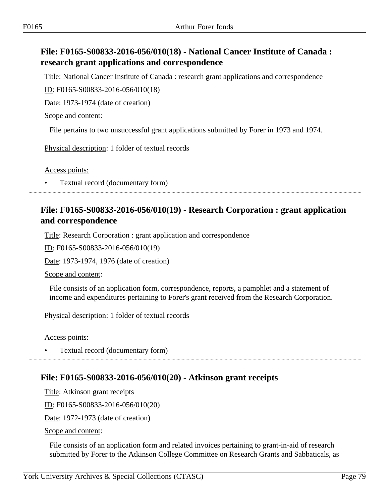# **File: F0165-S00833-2016-056/010(18) - National Cancer Institute of Canada : research grant applications and correspondence**

Title: National Cancer Institute of Canada : research grant applications and correspondence ID: F0165-S00833-2016-056/010(18)

Date: 1973-1974 (date of creation)

Scope and content:

File pertains to two unsuccessful grant applications submitted by Forer in 1973 and 1974.

Physical description: 1 folder of textual records

Access points:

• Textual record (documentary form)

## **File: F0165-S00833-2016-056/010(19) - Research Corporation : grant application and correspondence**

Title: Research Corporation : grant application and correspondence

ID: F0165-S00833-2016-056/010(19)

Date: 1973-1974, 1976 (date of creation)

Scope and content:

File consists of an application form, correspondence, reports, a pamphlet and a statement of income and expenditures pertaining to Forer's grant received from the Research Corporation.

Physical description: 1 folder of textual records

Access points:

• Textual record (documentary form)

# **File: F0165-S00833-2016-056/010(20) - Atkinson grant receipts**

Title: Atkinson grant receipts

ID: F0165-S00833-2016-056/010(20)

Date: 1972-1973 (date of creation)

Scope and content:

File consists of an application form and related invoices pertaining to grant-in-aid of research submitted by Forer to the Atkinson College Committee on Research Grants and Sabbaticals, as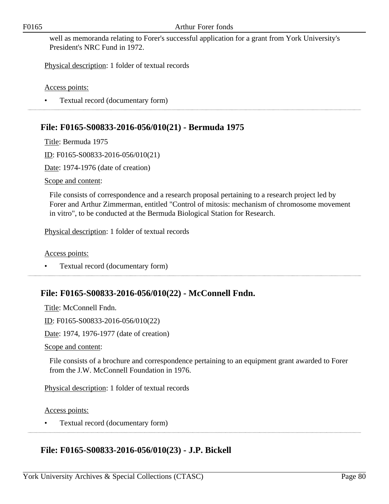well as memoranda relating to Forer's successful application for a grant from York University's President's NRC Fund in 1972.

Physical description: 1 folder of textual records

Access points:

• Textual record (documentary form)

# **File: F0165-S00833-2016-056/010(21) - Bermuda 1975**

Title: Bermuda 1975

ID: F0165-S00833-2016-056/010(21)

Date: 1974-1976 (date of creation)

Scope and content:

File consists of correspondence and a research proposal pertaining to a research project led by Forer and Arthur Zimmerman, entitled "Control of mitosis: mechanism of chromosome movement in vitro", to be conducted at the Bermuda Biological Station for Research.

Physical description: 1 folder of textual records

Access points:

• Textual record (documentary form)

# **File: F0165-S00833-2016-056/010(22) - McConnell Fndn.**

Title: McConnell Fndn. ID: F0165-S00833-2016-056/010(22) Date: 1974, 1976-1977 (date of creation) Scope and content:

File consists of a brochure and correspondence pertaining to an equipment grant awarded to Forer from the J.W. McConnell Foundation in 1976.

Physical description: 1 folder of textual records

Access points:

• Textual record (documentary form)

# **File: F0165-S00833-2016-056/010(23) - J.P. Bickell**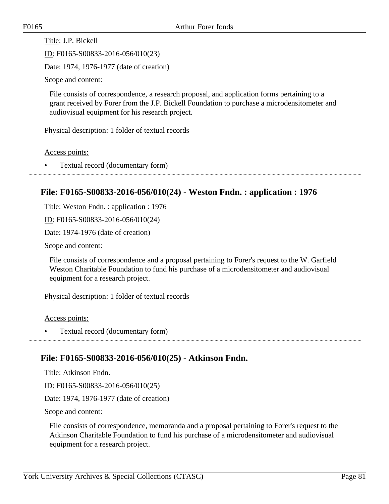Title: J.P. Bickell

ID: F0165-S00833-2016-056/010(23)

Date: 1974, 1976-1977 (date of creation)

Scope and content:

File consists of correspondence, a research proposal, and application forms pertaining to a grant received by Forer from the J.P. Bickell Foundation to purchase a microdensitometer and audiovisual equipment for his research project.

Physical description: 1 folder of textual records

Access points:

• Textual record (documentary form)

## **File: F0165-S00833-2016-056/010(24) - Weston Fndn. : application : 1976**

Title: Weston Fndn. : application : 1976

ID: F0165-S00833-2016-056/010(24)

Date: 1974-1976 (date of creation)

Scope and content:

File consists of correspondence and a proposal pertaining to Forer's request to the W. Garfield Weston Charitable Foundation to fund his purchase of a microdensitometer and audiovisual equipment for a research project.

Physical description: 1 folder of textual records

Access points:

• Textual record (documentary form)

### **File: F0165-S00833-2016-056/010(25) - Atkinson Fndn.**

Title: Atkinson Fndn. ID: F0165-S00833-2016-056/010(25) Date: 1974, 1976-1977 (date of creation) Scope and content:

File consists of correspondence, memoranda and a proposal pertaining to Forer's request to the Atkinson Charitable Foundation to fund his purchase of a microdensitometer and audiovisual equipment for a research project.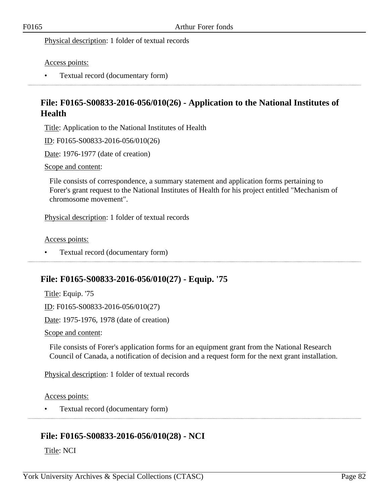Physical description: 1 folder of textual records

Access points:

• Textual record (documentary form)

# **File: F0165-S00833-2016-056/010(26) - Application to the National Institutes of Health**

Title: Application to the National Institutes of Health

ID: F0165-S00833-2016-056/010(26)

Date: 1976-1977 (date of creation)

Scope and content:

File consists of correspondence, a summary statement and application forms pertaining to Forer's grant request to the National Institutes of Health for his project entitled "Mechanism of chromosome movement".

Physical description: 1 folder of textual records

Access points:

• Textual record (documentary form) 

## **File: F0165-S00833-2016-056/010(27) - Equip. '75**

Title: Equip. '75 ID: F0165-S00833-2016-056/010(27) Date: 1975-1976, 1978 (date of creation)

Scope and content:

File consists of Forer's application forms for an equipment grant from the National Research Council of Canada, a notification of decision and a request form for the next grant installation.

Physical description: 1 folder of textual records

Access points:

• Textual record (documentary form)

# **File: F0165-S00833-2016-056/010(28) - NCI**

Title: NCI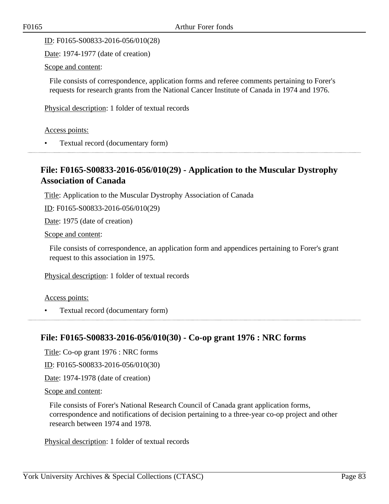ID: F0165-S00833-2016-056/010(28)

Date: 1974-1977 (date of creation)

Scope and content:

File consists of correspondence, application forms and referee comments pertaining to Forer's requests for research grants from the National Cancer Institute of Canada in 1974 and 1976.

Physical description: 1 folder of textual records

Access points:

• Textual record (documentary form)

## **File: F0165-S00833-2016-056/010(29) - Application to the Muscular Dystrophy Association of Canada**

Title: Application to the Muscular Dystrophy Association of Canada

ID: F0165-S00833-2016-056/010(29)

Date: 1975 (date of creation)

Scope and content:

File consists of correspondence, an application form and appendices pertaining to Forer's grant request to this association in 1975.

Physical description: 1 folder of textual records

Access points:

• Textual record (documentary form)

## **File: F0165-S00833-2016-056/010(30) - Co-op grant 1976 : NRC forms**

Title: Co-op grant 1976 : NRC forms

ID: F0165-S00833-2016-056/010(30)

Date: 1974-1978 (date of creation)

Scope and content:

File consists of Forer's National Research Council of Canada grant application forms, correspondence and notifications of decision pertaining to a three-year co-op project and other research between 1974 and 1978.

Physical description: 1 folder of textual records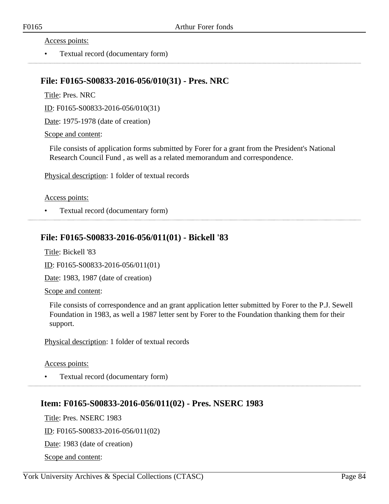#### Access points:

• Textual record (documentary form)

### **File: F0165-S00833-2016-056/010(31) - Pres. NRC**

Title: Pres. NRC

ID: F0165-S00833-2016-056/010(31)

Date: 1975-1978 (date of creation)

Scope and content:

File consists of application forms submitted by Forer for a grant from the President's National Research Council Fund , as well as a related memorandum and correspondence.

Physical description: 1 folder of textual records

#### Access points:

• Textual record (documentary form)

### **File: F0165-S00833-2016-056/011(01) - Bickell '83**

Title: Bickell '83

ID: F0165-S00833-2016-056/011(01)

Date: 1983, 1987 (date of creation)

Scope and content:

File consists of correspondence and an grant application letter submitted by Forer to the P.J. Sewell Foundation in 1983, as well a 1987 letter sent by Forer to the Foundation thanking them for their support.

Physical description: 1 folder of textual records

Access points:

• Textual record (documentary form)

## **Item: F0165-S00833-2016-056/011(02) - Pres. NSERC 1983**

Title: Pres. NSERC 1983

ID: F0165-S00833-2016-056/011(02)

Date: 1983 (date of creation)

Scope and content: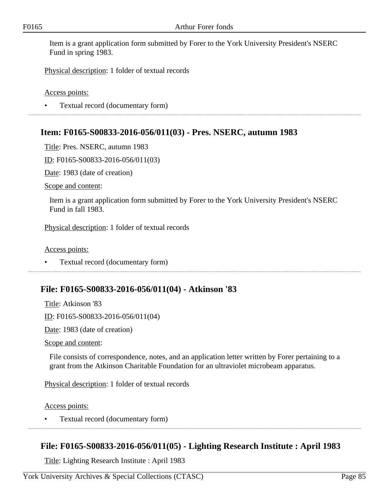Item is a grant application form submitted by Forer to the York University President's NSERC Fund in spring 1983.

Physical description: 1 folder of textual records

Access points:

• Textual record (documentary form)

## **Item: F0165-S00833-2016-056/011(03) - Pres. NSERC, autumn 1983**

Title: Pres. NSERC, autumn 1983

ID: F0165-S00833-2016-056/011(03)

Date: 1983 (date of creation)

Scope and content:

Item is a grant application form submitted by Forer to the York University President's NSERC Fund in fall 1983.

Physical description: 1 folder of textual records

Access points:

• Textual record (documentary form)

### **File: F0165-S00833-2016-056/011(04) - Atkinson '83**

Title: Atkinson '83 ID: F0165-S00833-2016-056/011(04)

Date: 1983 (date of creation)

Scope and content:

File consists of correspondence, notes, and an application letter written by Forer pertaining to a grant from the Atkinson Charitable Foundation for an ultraviolet microbeam apparatus.

Physical description: 1 folder of textual records

Access points:

• Textual record (documentary form)

## **File: F0165-S00833-2016-056/011(05) - Lighting Research Institute : April 1983**

Title: Lighting Research Institute : April 1983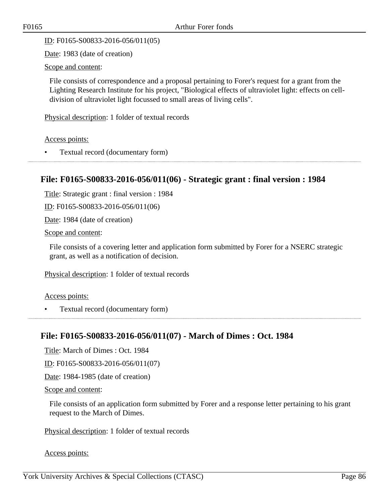ID: F0165-S00833-2016-056/011(05)

Date: 1983 (date of creation)

Scope and content:

File consists of correspondence and a proposal pertaining to Forer's request for a grant from the Lighting Research Institute for his project, "Biological effects of ultraviolet light: effects on celldivision of ultraviolet light focussed to small areas of living cells".

Physical description: 1 folder of textual records

Access points:

• Textual record (documentary form)

### **File: F0165-S00833-2016-056/011(06) - Strategic grant : final version : 1984**

Title: Strategic grant : final version : 1984

ID: F0165-S00833-2016-056/011(06)

Date: 1984 (date of creation)

Scope and content:

File consists of a covering letter and application form submitted by Forer for a NSERC strategic grant, as well as a notification of decision.

Physical description: 1 folder of textual records

Access points:

• Textual record (documentary form)

## **File: F0165-S00833-2016-056/011(07) - March of Dimes : Oct. 1984**

Title: March of Dimes : Oct. 1984

ID: F0165-S00833-2016-056/011(07)

Date: 1984-1985 (date of creation)

Scope and content:

File consists of an application form submitted by Forer and a response letter pertaining to his grant request to the March of Dimes.

Physical description: 1 folder of textual records

Access points: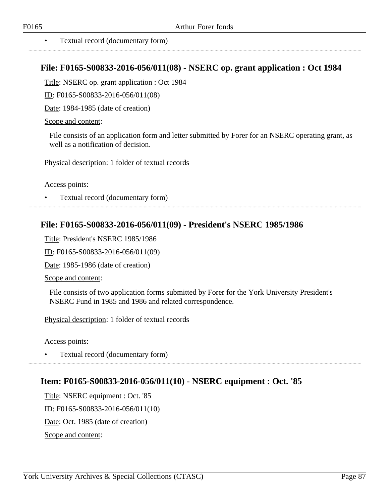## **File: F0165-S00833-2016-056/011(08) - NSERC op. grant application : Oct 1984**

Title: NSERC op. grant application : Oct 1984

ID: F0165-S00833-2016-056/011(08)

Date: 1984-1985 (date of creation)

### Scope and content:

File consists of an application form and letter submitted by Forer for an NSERC operating grant, as well as a notification of decision.

Physical description: 1 folder of textual records

Access points:

• Textual record (documentary form)

# **File: F0165-S00833-2016-056/011(09) - President's NSERC 1985/1986**

Title: President's NSERC 1985/1986

ID: F0165-S00833-2016-056/011(09)

Date: 1985-1986 (date of creation)

Scope and content:

File consists of two application forms submitted by Forer for the York University President's NSERC Fund in 1985 and 1986 and related correspondence.

Physical description: 1 folder of textual records

Access points:

• Textual record (documentary form)

# **Item: F0165-S00833-2016-056/011(10) - NSERC equipment : Oct. '85**

Title: NSERC equipment : Oct. '85 ID: F0165-S00833-2016-056/011(10) Date: Oct. 1985 (date of creation) Scope and content: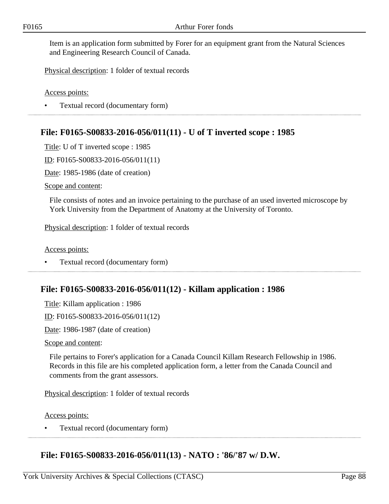Item is an application form submitted by Forer for an equipment grant from the Natural Sciences and Engineering Research Council of Canada.

Physical description: 1 folder of textual records

Access points:

• Textual record (documentary form)

## **File: F0165-S00833-2016-056/011(11) - U of T inverted scope : 1985**

Title: U of T inverted scope : 1985

ID: F0165-S00833-2016-056/011(11)

Date: 1985-1986 (date of creation)

Scope and content:

File consists of notes and an invoice pertaining to the purchase of an used inverted microscope by York University from the Department of Anatomy at the University of Toronto.

Physical description: 1 folder of textual records

Access points:

• Textual record (documentary form)

### **File: F0165-S00833-2016-056/011(12) - Killam application : 1986**

Title: Killam application : 1986

ID: F0165-S00833-2016-056/011(12)

Date: 1986-1987 (date of creation)

Scope and content:

File pertains to Forer's application for a Canada Council Killam Research Fellowship in 1986. Records in this file are his completed application form, a letter from the Canada Council and comments from the grant assessors.

Physical description: 1 folder of textual records

Access points:

• Textual record (documentary form)

### **File: F0165-S00833-2016-056/011(13) - NATO : '86/'87 w/ D.W.**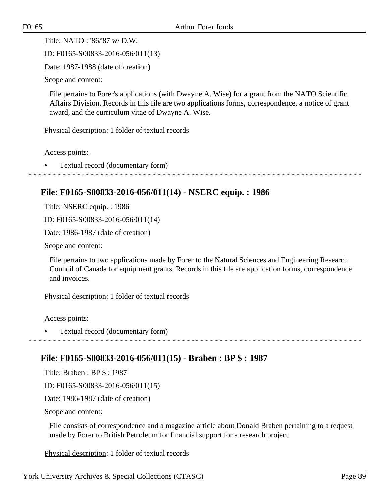Title: NATO : '86/'87 w/ D.W.

ID: F0165-S00833-2016-056/011(13)

Date: 1987-1988 (date of creation)

Scope and content:

File pertains to Forer's applications (with Dwayne A. Wise) for a grant from the NATO Scientific Affairs Division. Records in this file are two applications forms, correspondence, a notice of grant award, and the curriculum vitae of Dwayne A. Wise.

Physical description: 1 folder of textual records

Access points:

• Textual record (documentary form)

## **File: F0165-S00833-2016-056/011(14) - NSERC equip. : 1986**

Title: NSERC equip. : 1986

ID: F0165-S00833-2016-056/011(14)

Date: 1986-1987 (date of creation)

Scope and content:

File pertains to two applications made by Forer to the Natural Sciences and Engineering Research Council of Canada for equipment grants. Records in this file are application forms, correspondence and invoices.

Physical description: 1 folder of textual records

Access points:

• Textual record (documentary form)

## **File: F0165-S00833-2016-056/011(15) - Braben : BP \$ : 1987**

Title: Braben : BP \$ : 1987

ID: F0165-S00833-2016-056/011(15)

Date: 1986-1987 (date of creation)

Scope and content:

File consists of correspondence and a magazine article about Donald Braben pertaining to a request made by Forer to British Petroleum for financial support for a research project.

Physical description: 1 folder of textual records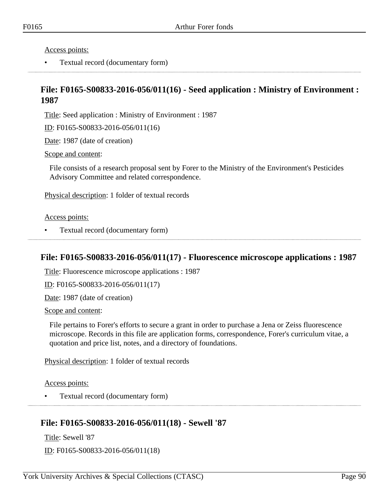Access points:

• Textual record (documentary form) 

## **File: F0165-S00833-2016-056/011(16) - Seed application : Ministry of Environment : 1987**

Title: Seed application : Ministry of Environment : 1987

ID: F0165-S00833-2016-056/011(16)

Date: 1987 (date of creation)

Scope and content:

File consists of a research proposal sent by Forer to the Ministry of the Environment's Pesticides Advisory Committee and related correspondence.

Physical description: 1 folder of textual records

Access points:

• Textual record (documentary form)

## **File: F0165-S00833-2016-056/011(17) - Fluorescence microscope applications : 1987**

Title: Fluorescence microscope applications : 1987

ID: F0165-S00833-2016-056/011(17)

Date: 1987 (date of creation)

Scope and content:

File pertains to Forer's efforts to secure a grant in order to purchase a Jena or Zeiss fluorescence microscope. Records in this file are application forms, correspondence, Forer's curriculum vitae, a quotation and price list, notes, and a directory of foundations.

Physical description: 1 folder of textual records

Access points:

• Textual record (documentary form)

# **File: F0165-S00833-2016-056/011(18) - Sewell '87**

Title: Sewell '87

ID: F0165-S00833-2016-056/011(18)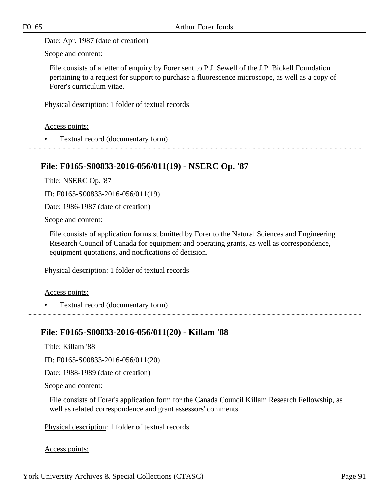Date: Apr. 1987 (date of creation)

Scope and content:

File consists of a letter of enquiry by Forer sent to P.J. Sewell of the J.P. Bickell Foundation pertaining to a request for support to purchase a fluorescence microscope, as well as a copy of Forer's curriculum vitae.

Physical description: 1 folder of textual records

Access points:

• Textual record (documentary form)

## **File: F0165-S00833-2016-056/011(19) - NSERC Op. '87**

Title: NSERC Op. '87

ID: F0165-S00833-2016-056/011(19)

Date: 1986-1987 (date of creation)

Scope and content:

File consists of application forms submitted by Forer to the Natural Sciences and Engineering Research Council of Canada for equipment and operating grants, as well as correspondence, equipment quotations, and notifications of decision.

Physical description: 1 folder of textual records

Access points:

• Textual record (documentary form) 

### **File: F0165-S00833-2016-056/011(20) - Killam '88**

Title: Killam '88

ID: F0165-S00833-2016-056/011(20)

Date: 1988-1989 (date of creation)

Scope and content:

File consists of Forer's application form for the Canada Council Killam Research Fellowship, as well as related correspondence and grant assessors' comments.

Physical description: 1 folder of textual records

Access points: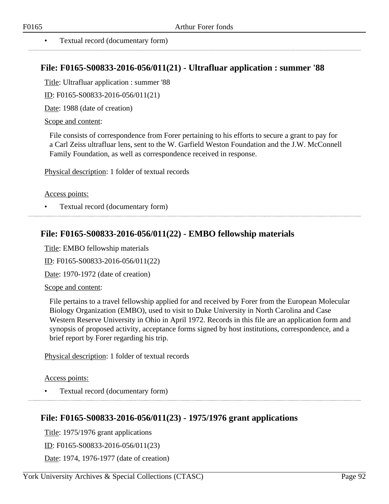### **File: F0165-S00833-2016-056/011(21) - Ultrafluar application : summer '88**

Title: Ultrafluar application : summer '88

ID: F0165-S00833-2016-056/011(21)

Date: 1988 (date of creation)

Scope and content:

File consists of correspondence from Forer pertaining to his efforts to secure a grant to pay for a Carl Zeiss ultrafluar lens, sent to the W. Garfield Weston Foundation and the J.W. McConnell Family Foundation, as well as correspondence received in response.

Physical description: 1 folder of textual records

#### Access points:

• Textual record (documentary form)

## **File: F0165-S00833-2016-056/011(22) - EMBO fellowship materials**

Title: EMBO fellowship materials

ID: F0165-S00833-2016-056/011(22)

Date: 1970-1972 (date of creation)

#### Scope and content:

File pertains to a travel fellowship applied for and received by Forer from the European Molecular Biology Organization (EMBO), used to visit to Duke University in North Carolina and Case Western Reserve University in Ohio in April 1972. Records in this file are an application form and synopsis of proposed activity, acceptance forms signed by host institutions, correspondence, and a brief report by Forer regarding his trip.

Physical description: 1 folder of textual records

#### Access points:

• Textual record (documentary form)

## **File: F0165-S00833-2016-056/011(23) - 1975/1976 grant applications**

Title: 1975/1976 grant applications

ID: F0165-S00833-2016-056/011(23)

Date: 1974, 1976-1977 (date of creation)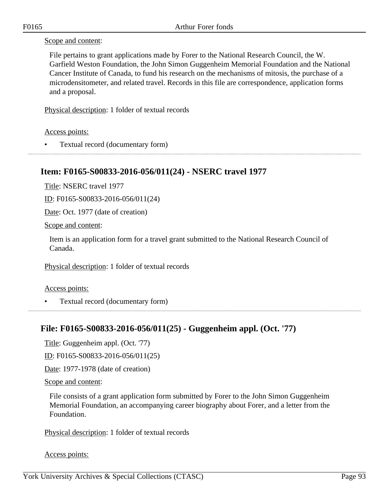### Scope and content:

File pertains to grant applications made by Forer to the National Research Council, the W. Garfield Weston Foundation, the John Simon Guggenheim Memorial Foundation and the National Cancer Institute of Canada, to fund his research on the mechanisms of mitosis, the purchase of a microdensitometer, and related travel. Records in this file are correspondence, application forms and a proposal.

Physical description: 1 folder of textual records

### Access points:

• Textual record (documentary form)

## **Item: F0165-S00833-2016-056/011(24) - NSERC travel 1977**

Title: NSERC travel 1977

ID: F0165-S00833-2016-056/011(24)

Date: Oct. 1977 (date of creation)

Scope and content:

Item is an application form for a travel grant submitted to the National Research Council of Canada.

Physical description: 1 folder of textual records

#### Access points:

• Textual record (documentary form)

## **File: F0165-S00833-2016-056/011(25) - Guggenheim appl. (Oct. '77)**

Title: Guggenheim appl. (Oct. '77)

ID: F0165-S00833-2016-056/011(25)

Date: 1977-1978 (date of creation)

#### Scope and content:

File consists of a grant application form submitted by Forer to the John Simon Guggenheim Memorial Foundation, an accompanying career biography about Forer, and a letter from the Foundation.

Physical description: 1 folder of textual records

#### Access points: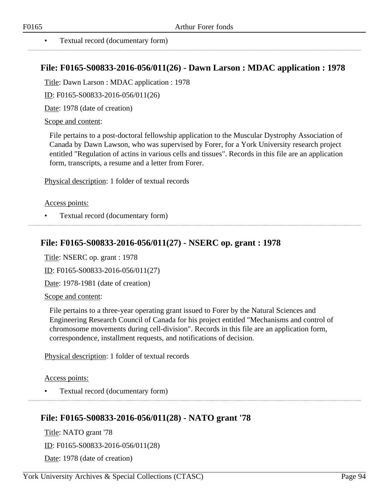## **File: F0165-S00833-2016-056/011(26) - Dawn Larson : MDAC application : 1978**

Title: Dawn Larson : MDAC application : 1978

ID: F0165-S00833-2016-056/011(26)

Date: 1978 (date of creation)

Scope and content:

File pertains to a post-doctoral fellowship application to the Muscular Dystrophy Association of Canada by Dawn Lawson, who was supervised by Forer, for a York University research project entitled "Regulation of actins in various cells and tissues". Records in this file are an application form, transcripts, a resume and a letter from Forer.

Physical description: 1 folder of textual records

### Access points:

• Textual record (documentary form)

# **File: F0165-S00833-2016-056/011(27) - NSERC op. grant : 1978**

Title: NSERC op. grant : 1978

ID: F0165-S00833-2016-056/011(27)

Date: 1978-1981 (date of creation)

Scope and content:

File pertains to a three-year operating grant issued to Forer by the Natural Sciences and Engineering Research Council of Canada for his project entitled "Mechanisms and control of chromosome movements during cell-division". Records in this file are an application form, correspondence, installment requests, and notifications of decision.

Physical description: 1 folder of textual records

Access points:

• Textual record (documentary form)

# **File: F0165-S00833-2016-056/011(28) - NATO grant '78**

Title: NATO grant '78 ID: F0165-S00833-2016-056/011(28) Date: 1978 (date of creation)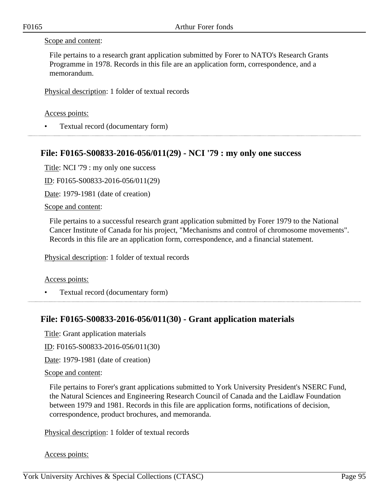#### Scope and content:

File pertains to a research grant application submitted by Forer to NATO's Research Grants Programme in 1978. Records in this file are an application form, correspondence, and a memorandum.

Physical description: 1 folder of textual records

#### Access points:

• Textual record (documentary form)

### **File: F0165-S00833-2016-056/011(29) - NCI '79 : my only one success**

Title: NCI '79 : my only one success

ID: F0165-S00833-2016-056/011(29)

Date: 1979-1981 (date of creation)

Scope and content:

File pertains to a successful research grant application submitted by Forer 1979 to the National Cancer Institute of Canada for his project, "Mechanisms and control of chromosome movements". Records in this file are an application form, correspondence, and a financial statement.

Physical description: 1 folder of textual records

#### Access points:

• Textual record (documentary form)

## **File: F0165-S00833-2016-056/011(30) - Grant application materials**

Title: Grant application materials

ID: F0165-S00833-2016-056/011(30)

Date: 1979-1981 (date of creation)

#### Scope and content:

File pertains to Forer's grant applications submitted to York University President's NSERC Fund, the Natural Sciences and Engineering Research Council of Canada and the Laidlaw Foundation between 1979 and 1981. Records in this file are application forms, notifications of decision, correspondence, product brochures, and memoranda.

Physical description: 1 folder of textual records

#### Access points: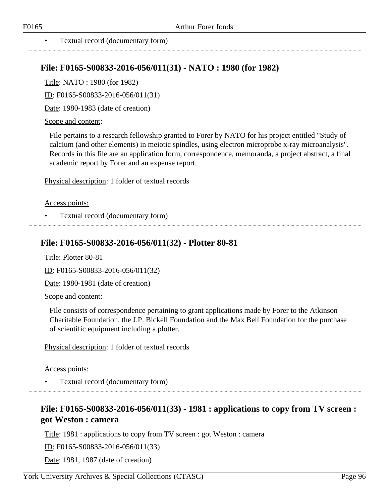#### • Textual record (documentary form)

## **File: F0165-S00833-2016-056/011(31) - NATO : 1980 (for 1982)**

Title: NATO : 1980 (for 1982)

ID: F0165-S00833-2016-056/011(31)

Date: 1980-1983 (date of creation)

#### Scope and content:

File pertains to a research fellowship granted to Forer by NATO for his project entitled "Study of calcium (and other elements) in meiotic spindles, using electron microprobe x-ray microanalysis". Records in this file are an application form, correspondence, memoranda, a project abstract, a final academic report by Forer and an expense report.

Physical description: 1 folder of textual records

#### Access points:

• Textual record (documentary form)

## **File: F0165-S00833-2016-056/011(32) - Plotter 80-81**

Title: Plotter 80-81

ID: F0165-S00833-2016-056/011(32)

Date: 1980-1981 (date of creation)

Scope and content:

File consists of correspondence pertaining to grant applications made by Forer to the Atkinson Charitable Foundation, the J.P. Bickell Foundation and the Max Bell Foundation for the purchase of scientific equipment including a plotter.

Physical description: 1 folder of textual records

Access points:

• Textual record (documentary form)

# **File: F0165-S00833-2016-056/011(33) - 1981 : applications to copy from TV screen : got Weston : camera**

Title: 1981 : applications to copy from TV screen : got Weston : camera

ID: F0165-S00833-2016-056/011(33)

Date: 1981, 1987 (date of creation)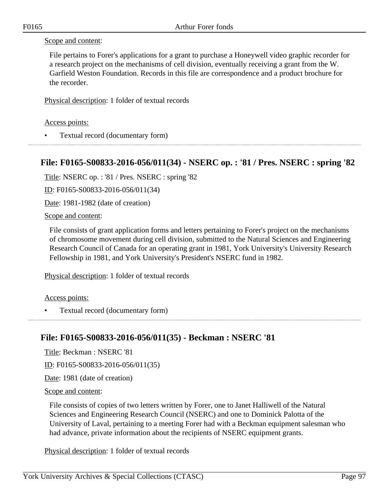#### Scope and content:

File pertains to Forer's applications for a grant to purchase a Honeywell video graphic recorder for a research project on the mechanisms of cell division, eventually receiving a grant from the W. Garfield Weston Foundation. Records in this file are correspondence and a product brochure for the recorder.

Physical description: 1 folder of textual records

Access points:

• Textual record (documentary form)

## **File: F0165-S00833-2016-056/011(34) - NSERC op. : '81 / Pres. NSERC : spring '82**

Title: NSERC op. : '81 / Pres. NSERC : spring '82

ID: F0165-S00833-2016-056/011(34)

Date: 1981-1982 (date of creation)

Scope and content:

File consists of grant application forms and letters pertaining to Forer's project on the mechanisms of chromosome movement during cell division, submitted to the Natural Sciences and Engineering Research Council of Canada for an operating grant in 1981, York University's University Research Fellowship in 1981, and York University's President's NSERC fund in 1982.

Physical description: 1 folder of textual records

Access points:

• Textual record (documentary form)

## **File: F0165-S00833-2016-056/011(35) - Beckman : NSERC '81**

Title: Beckman : NSERC '81

ID: F0165-S00833-2016-056/011(35)

Date: 1981 (date of creation)

Scope and content:

File consists of copies of two letters written by Forer, one to Janet Halliwell of the Natural Sciences and Engineering Research Council (NSERC) and one to Dominick Palotta of the University of Laval, pertaining to a meeting Forer had with a Beckman equipment salesman who had advance, private information about the recipients of NSERC equipment grants.

Physical description: 1 folder of textual records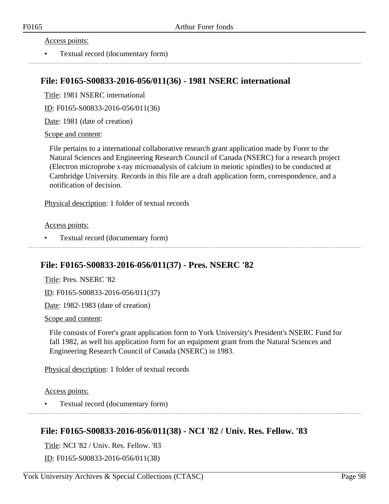#### Access points:

• Textual record (documentary form)

### **File: F0165-S00833-2016-056/011(36) - 1981 NSERC international**

Title: 1981 NSERC international

ID: F0165-S00833-2016-056/011(36)

Date: 1981 (date of creation)

#### Scope and content:

File pertains to a international collaborative research grant application made by Forer to the Natural Sciences and Engineering Research Council of Canada (NSERC) for a research project (Electron microprobe x-ray microanalysis of calcium in meiotic spindles) to be conducted at Cambridge University. Records in this file are a draft application form, correspondence, and a notification of decision.

Physical description: 1 folder of textual records

#### Access points:

• Textual record (documentary form) 

## **File: F0165-S00833-2016-056/011(37) - Pres. NSERC '82**

Title: Pres. NSERC '82

ID: F0165-S00833-2016-056/011(37)

Date: 1982-1983 (date of creation)

#### Scope and content:

File consists of Forer's grant application form to York University's President's NSERC Fund for fall 1982, as well his application form for an equipment grant from the Natural Sciences and Engineering Research Council of Canada (NSERC) in 1983.

Physical description: 1 folder of textual records

#### Access points:

• Textual record (documentary form)

## **File: F0165-S00833-2016-056/011(38) - NCI '82 / Univ. Res. Fellow. '83**

Title: NCI '82 / Univ. Res. Fellow. '83

ID: F0165-S00833-2016-056/011(38)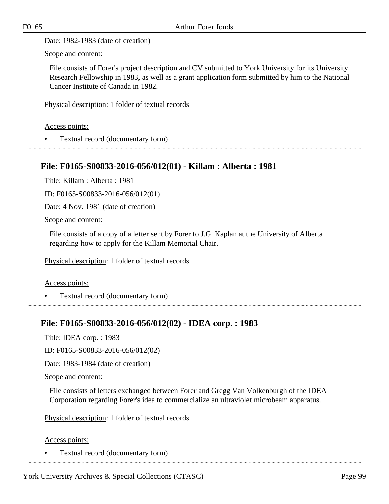Date: 1982-1983 (date of creation)

Scope and content:

File consists of Forer's project description and CV submitted to York University for its University Research Fellowship in 1983, as well as a grant application form submitted by him to the National Cancer Institute of Canada in 1982.

Physical description: 1 folder of textual records

Access points:

• Textual record (documentary form)

## **File: F0165-S00833-2016-056/012(01) - Killam : Alberta : 1981**

Title: Killam : Alberta : 1981

ID: F0165-S00833-2016-056/012(01)

Date: 4 Nov. 1981 (date of creation)

Scope and content:

File consists of a copy of a letter sent by Forer to J.G. Kaplan at the University of Alberta regarding how to apply for the Killam Memorial Chair.

Physical description: 1 folder of textual records

Access points:

• Textual record (documentary form)

# **File: F0165-S00833-2016-056/012(02) - IDEA corp. : 1983**

Title: IDEA corp. : 1983

ID: F0165-S00833-2016-056/012(02)

Date: 1983-1984 (date of creation)

Scope and content:

File consists of letters exchanged between Forer and Gregg Van Volkenburgh of the IDEA Corporation regarding Forer's idea to commercialize an ultraviolet microbeam apparatus.

Physical description: 1 folder of textual records

Access points:

• Textual record (documentary form)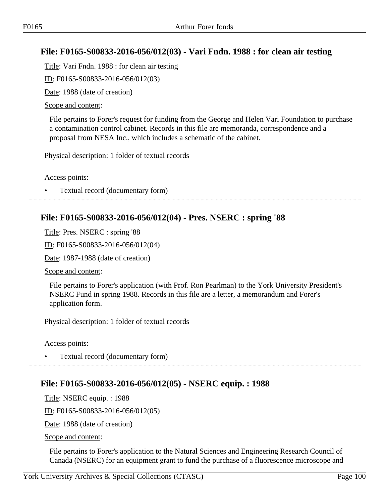# **File: F0165-S00833-2016-056/012(03) - Vari Fndn. 1988 : for clean air testing**

Title: Vari Fndn. 1988 : for clean air testing

ID: F0165-S00833-2016-056/012(03)

Date: 1988 (date of creation)

### Scope and content:

File pertains to Forer's request for funding from the George and Helen Vari Foundation to purchase a contamination control cabinet. Records in this file are memoranda, correspondence and a proposal from NESA Inc., which includes a schematic of the cabinet.

Physical description: 1 folder of textual records

### Access points:

• Textual record (documentary form)

## **File: F0165-S00833-2016-056/012(04) - Pres. NSERC : spring '88**

Title: Pres. NSERC : spring '88

ID: F0165-S00833-2016-056/012(04)

Date: 1987-1988 (date of creation)

Scope and content:

File pertains to Forer's application (with Prof. Ron Pearlman) to the York University President's NSERC Fund in spring 1988. Records in this file are a letter, a memorandum and Forer's application form.

Physical description: 1 folder of textual records

Access points:

• Textual record (documentary form)

# **File: F0165-S00833-2016-056/012(05) - NSERC equip. : 1988**

Title: NSERC equip. : 1988

ID: F0165-S00833-2016-056/012(05)

Date: 1988 (date of creation)

Scope and content:

File pertains to Forer's application to the Natural Sciences and Engineering Research Council of Canada (NSERC) for an equipment grant to fund the purchase of a fluorescence microscope and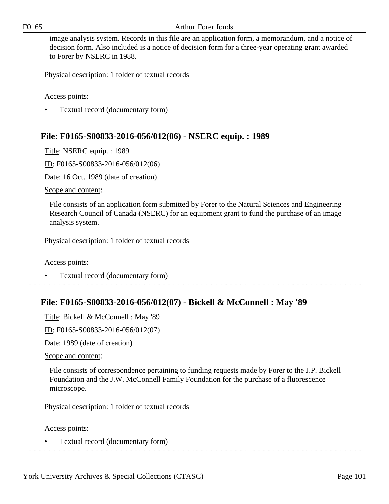image analysis system. Records in this file are an application form, a memorandum, and a notice of decision form. Also included is a notice of decision form for a three-year operating grant awarded to Forer by NSERC in 1988.

Physical description: 1 folder of textual records

Access points:

• Textual record (documentary form) 

## **File: F0165-S00833-2016-056/012(06) - NSERC equip. : 1989**

Title: NSERC equip. : 1989

ID: F0165-S00833-2016-056/012(06)

Date: 16 Oct. 1989 (date of creation)

Scope and content:

File consists of an application form submitted by Forer to the Natural Sciences and Engineering Research Council of Canada (NSERC) for an equipment grant to fund the purchase of an image analysis system.

Physical description: 1 folder of textual records

Access points:

• Textual record (documentary form)

## **File: F0165-S00833-2016-056/012(07) - Bickell & McConnell : May '89**

Title: Bickell & McConnell : May '89

ID: F0165-S00833-2016-056/012(07)

Date: 1989 (date of creation)

Scope and content:

File consists of correspondence pertaining to funding requests made by Forer to the J.P. Bickell Foundation and the J.W. McConnell Family Foundation for the purchase of a fluorescence microscope.

Physical description: 1 folder of textual records

Access points:

• Textual record (documentary form)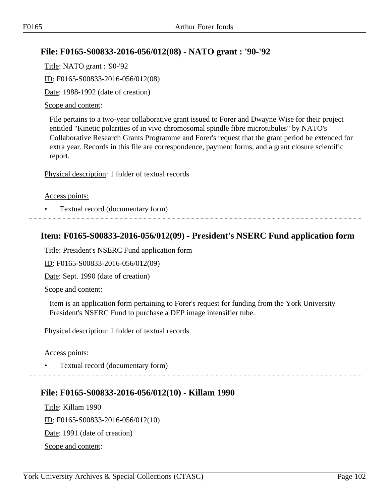# **File: F0165-S00833-2016-056/012(08) - NATO grant : '90-'92**

Title: NATO grant : '90-'92 ID: F0165-S00833-2016-056/012(08) Date: 1988-1992 (date of creation)

### Scope and content:

File pertains to a two-year collaborative grant issued to Forer and Dwayne Wise for their project entitled "Kinetic polarities of in vivo chromosomal spindle fibre microtubules" by NATO's Collaborative Research Grants Programme and Forer's request that the grant period be extended for extra year. Records in this file are correspondence, payment forms, and a grant closure scientific report.

Physical description: 1 folder of textual records

#### Access points:

• Textual record (documentary form)

## **Item: F0165-S00833-2016-056/012(09) - President's NSERC Fund application form**

Title: President's NSERC Fund application form

ID: F0165-S00833-2016-056/012(09)

Date: Sept. 1990 (date of creation)

Scope and content:

Item is an application form pertaining to Forer's request for funding from the York University President's NSERC Fund to purchase a DEP image intensifier tube.

Physical description: 1 folder of textual records

Access points:

• Textual record (documentary form)

## **File: F0165-S00833-2016-056/012(10) - Killam 1990**

Title: Killam 1990 ID: F0165-S00833-2016-056/012(10) Date: 1991 (date of creation) Scope and content: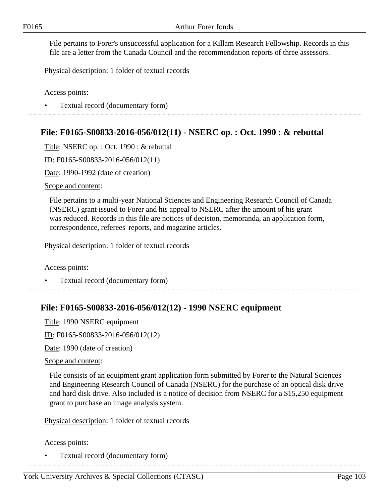File pertains to Forer's unsuccessful application for a Killam Research Fellowship. Records in this file are a letter from the Canada Council and the recommendation reports of three assessors.

Physical description: 1 folder of textual records

Access points:

• Textual record (documentary form)

## **File: F0165-S00833-2016-056/012(11) - NSERC op. : Oct. 1990 : & rebuttal**

Title: NSERC op. : Oct. 1990 : & rebuttal

ID: F0165-S00833-2016-056/012(11)

Date: 1990-1992 (date of creation)

Scope and content:

File pertains to a multi-year National Sciences and Engineering Research Council of Canada (NSERC) grant issued to Forer and his appeal to NSERC after the amount of his grant was reduced. Records in this file are notices of decision, memoranda, an application form, correspondence, referees' reports, and magazine articles.

Physical description: 1 folder of textual records

Access points:

• Textual record (documentary form) 

## **File: F0165-S00833-2016-056/012(12) - 1990 NSERC equipment**

Title: 1990 NSERC equipment

ID: F0165-S00833-2016-056/012(12)

Date: 1990 (date of creation)

#### Scope and content:

File consists of an equipment grant application form submitted by Forer to the Natural Sciences and Engineering Research Council of Canada (NSERC) for the purchase of an optical disk drive and hard disk drive. Also included is a notice of decision from NSERC for a \$15,250 equipment grant to purchase an image analysis system.

Physical description: 1 folder of textual records

Access points:

• Textual record (documentary form)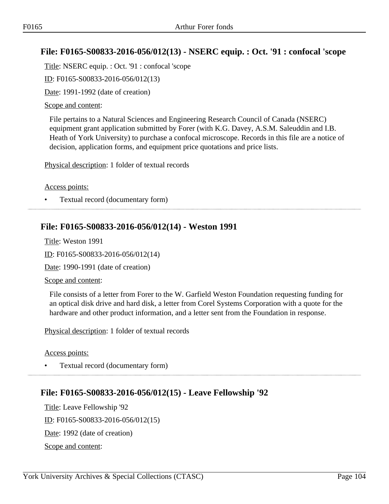## **File: F0165-S00833-2016-056/012(13) - NSERC equip. : Oct. '91 : confocal 'scope**

Title: NSERC equip. : Oct. '91 : confocal 'scope

ID: F0165-S00833-2016-056/012(13)

Date: 1991-1992 (date of creation)

#### Scope and content:

File pertains to a Natural Sciences and Engineering Research Council of Canada (NSERC) equipment grant application submitted by Forer (with K.G. Davey, A.S.M. Saleuddin and I.B. Heath of York University) to purchase a confocal microscope. Records in this file are a notice of decision, application forms, and equipment price quotations and price lists.

Physical description: 1 folder of textual records

Access points:

• Textual record (documentary form)

## **File: F0165-S00833-2016-056/012(14) - Weston 1991**

Title: Weston 1991

ID: F0165-S00833-2016-056/012(14)

Date: 1990-1991 (date of creation)

Scope and content:

File consists of a letter from Forer to the W. Garfield Weston Foundation requesting funding for an optical disk drive and hard disk, a letter from Corel Systems Corporation with a quote for the hardware and other product information, and a letter sent from the Foundation in response.

Physical description: 1 folder of textual records

Access points:

• Textual record (documentary form)

## **File: F0165-S00833-2016-056/012(15) - Leave Fellowship '92**

Title: Leave Fellowship '92 ID: F0165-S00833-2016-056/012(15) Date: 1992 (date of creation) Scope and content: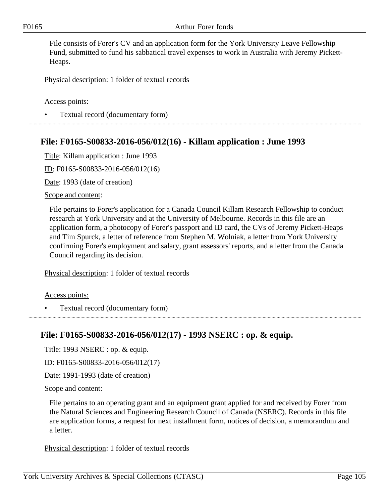File consists of Forer's CV and an application form for the York University Leave Fellowship Fund, submitted to fund his sabbatical travel expenses to work in Australia with Jeremy Pickett-Heaps.

Physical description: 1 folder of textual records

Access points:

• Textual record (documentary form)

## **File: F0165-S00833-2016-056/012(16) - Killam application : June 1993**

Title: Killam application : June 1993

ID: F0165-S00833-2016-056/012(16)

Date: 1993 (date of creation)

Scope and content:

File pertains to Forer's application for a Canada Council Killam Research Fellowship to conduct research at York University and at the University of Melbourne. Records in this file are an application form, a photocopy of Forer's passport and ID card, the CVs of Jeremy Pickett-Heaps and Tim Spurck, a letter of reference from Stephen M. Wolniak, a letter from York University confirming Forer's employment and salary, grant assessors' reports, and a letter from the Canada Council regarding its decision.

Physical description: 1 folder of textual records

Access points:

• Textual record (documentary form)

# **File: F0165-S00833-2016-056/012(17) - 1993 NSERC : op. & equip.**

Title: 1993 NSERC : op. & equip.

ID: F0165-S00833-2016-056/012(17)

Date: 1991-1993 (date of creation)

Scope and content:

File pertains to an operating grant and an equipment grant applied for and received by Forer from the Natural Sciences and Engineering Research Council of Canada (NSERC). Records in this file are application forms, a request for next installment form, notices of decision, a memorandum and a letter.

Physical description: 1 folder of textual records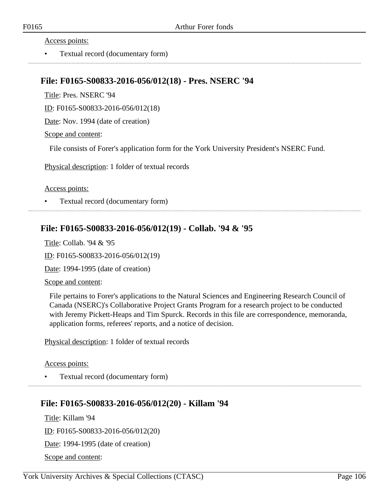Access points:

• Textual record (documentary form)

### **File: F0165-S00833-2016-056/012(18) - Pres. NSERC '94**

Title: Pres. NSERC '94

ID: F0165-S00833-2016-056/012(18)

Date: Nov. 1994 (date of creation)

Scope and content:

File consists of Forer's application form for the York University President's NSERC Fund.

Physical description: 1 folder of textual records

#### Access points:

• Textual record (documentary form)

# **File: F0165-S00833-2016-056/012(19) - Collab. '94 & '95**

Title: Collab. '94 & '95

ID: F0165-S00833-2016-056/012(19)

Date: 1994-1995 (date of creation)

#### Scope and content:

File pertains to Forer's applications to the Natural Sciences and Engineering Research Council of Canada (NSERC)'s Collaborative Project Grants Program for a research project to be conducted with Jeremy Pickett-Heaps and Tim Spurck. Records in this file are correspondence, memoranda, application forms, referees' reports, and a notice of decision.

Physical description: 1 folder of textual records

#### Access points:

• Textual record (documentary form)

## **File: F0165-S00833-2016-056/012(20) - Killam '94**

Title: Killam '94 ID: F0165-S00833-2016-056/012(20) Date: 1994-1995 (date of creation) Scope and content:

York University Archives & Special Collections (CTASC) Page 106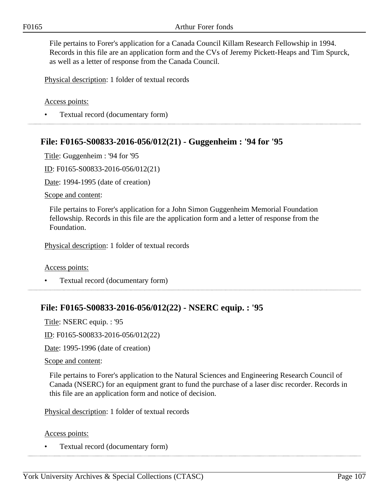File pertains to Forer's application for a Canada Council Killam Research Fellowship in 1994. Records in this file are an application form and the CVs of Jeremy Pickett-Heaps and Tim Spurck, as well as a letter of response from the Canada Council.

Physical description: 1 folder of textual records

Access points:

• Textual record (documentary form)

## **File: F0165-S00833-2016-056/012(21) - Guggenheim : '94 for '95**

Title: Guggenheim : '94 for '95

ID: F0165-S00833-2016-056/012(21)

Date: 1994-1995 (date of creation)

Scope and content:

File pertains to Forer's application for a John Simon Guggenheim Memorial Foundation fellowship. Records in this file are the application form and a letter of response from the Foundation.

Physical description: 1 folder of textual records

Access points:

• Textual record (documentary form)

## **File: F0165-S00833-2016-056/012(22) - NSERC equip. : '95**

Title: NSERC equip. : '95

ID: F0165-S00833-2016-056/012(22)

Date: 1995-1996 (date of creation)

#### Scope and content:

File pertains to Forer's application to the Natural Sciences and Engineering Research Council of Canada (NSERC) for an equipment grant to fund the purchase of a laser disc recorder. Records in this file are an application form and notice of decision.

Physical description: 1 folder of textual records

#### Access points:

• Textual record (documentary form)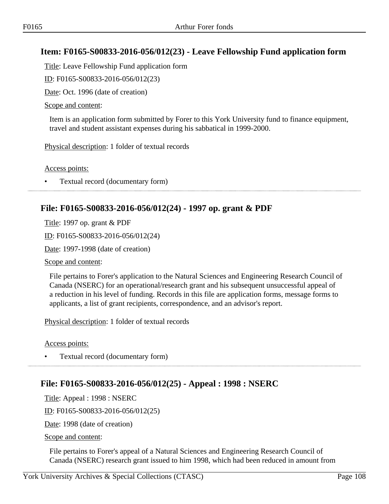## **Item: F0165-S00833-2016-056/012(23) - Leave Fellowship Fund application form**

Title: Leave Fellowship Fund application form

ID: F0165-S00833-2016-056/012(23)

Date: Oct. 1996 (date of creation)

#### Scope and content:

Item is an application form submitted by Forer to this York University fund to finance equipment, travel and student assistant expenses during his sabbatical in 1999-2000.

Physical description: 1 folder of textual records

Access points:

• Textual record (documentary form)

### **File: F0165-S00833-2016-056/012(24) - 1997 op. grant & PDF**

Title: 1997 op. grant & PDF

ID: F0165-S00833-2016-056/012(24)

Date: 1997-1998 (date of creation)

Scope and content:

File pertains to Forer's application to the Natural Sciences and Engineering Research Council of Canada (NSERC) for an operational/research grant and his subsequent unsuccessful appeal of a reduction in his level of funding. Records in this file are application forms, message forms to applicants, a list of grant recipients, correspondence, and an advisor's report.

Physical description: 1 folder of textual records

Access points:

• Textual record (documentary form)

## **File: F0165-S00833-2016-056/012(25) - Appeal : 1998 : NSERC**

Title: Appeal : 1998 : NSERC

ID: F0165-S00833-2016-056/012(25)

Date: 1998 (date of creation)

Scope and content:

File pertains to Forer's appeal of a Natural Sciences and Engineering Research Council of Canada (NSERC) research grant issued to him 1998, which had been reduced in amount from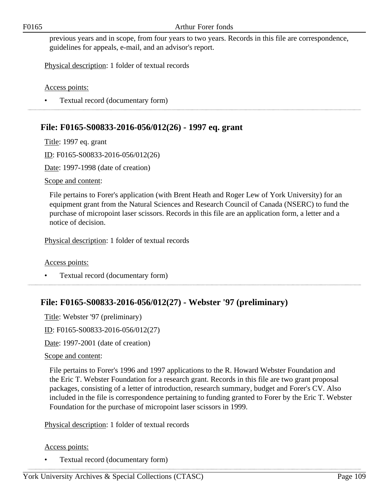previous years and in scope, from four years to two years. Records in this file are correspondence, guidelines for appeals, e-mail, and an advisor's report.

Physical description: 1 folder of textual records

Access points:

• Textual record (documentary form)

## **File: F0165-S00833-2016-056/012(26) - 1997 eq. grant**

Title: 1997 eq. grant

ID: F0165-S00833-2016-056/012(26)

Date: 1997-1998 (date of creation)

Scope and content:

File pertains to Forer's application (with Brent Heath and Roger Lew of York University) for an equipment grant from the Natural Sciences and Research Council of Canada (NSERC) to fund the purchase of micropoint laser scissors. Records in this file are an application form, a letter and a notice of decision.

Physical description: 1 folder of textual records

Access points:

• Textual record (documentary form)

# **File: F0165-S00833-2016-056/012(27) - Webster '97 (preliminary)**

Title: Webster '97 (preliminary)

ID: F0165-S00833-2016-056/012(27)

Date: 1997-2001 (date of creation)

Scope and content:

File pertains to Forer's 1996 and 1997 applications to the R. Howard Webster Foundation and the Eric T. Webster Foundation for a research grant. Records in this file are two grant proposal packages, consisting of a letter of introduction, research summary, budget and Forer's CV. Also included in the file is correspondence pertaining to funding granted to Forer by the Eric T. Webster Foundation for the purchase of micropoint laser scissors in 1999.

Physical description: 1 folder of textual records

#### Access points: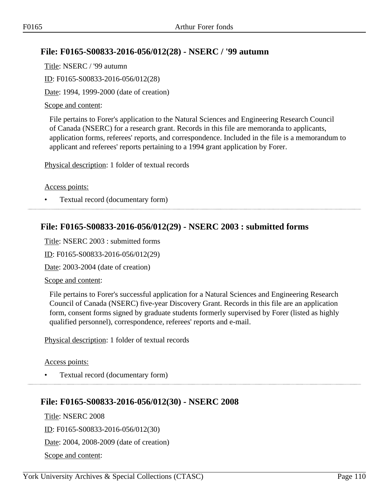## **File: F0165-S00833-2016-056/012(28) - NSERC / '99 autumn**

Title: NSERC / '99 autumn ID: F0165-S00833-2016-056/012(28) Date: 1994, 1999-2000 (date of creation)

#### Scope and content:

File pertains to Forer's application to the Natural Sciences and Engineering Research Council of Canada (NSERC) for a research grant. Records in this file are memoranda to applicants, application forms, referees' reports, and correspondence. Included in the file is a memorandum to applicant and referees' reports pertaining to a 1994 grant application by Forer.

Physical description: 1 folder of textual records

Access points:

• Textual record (documentary form)

## **File: F0165-S00833-2016-056/012(29) - NSERC 2003 : submitted forms**

Title: NSERC 2003 : submitted forms

ID: F0165-S00833-2016-056/012(29)

Date: 2003-2004 (date of creation)

Scope and content:

File pertains to Forer's successful application for a Natural Sciences and Engineering Research Council of Canada (NSERC) five-year Discovery Grant. Records in this file are an application form, consent forms signed by graduate students formerly supervised by Forer (listed as highly qualified personnel), correspondence, referees' reports and e-mail.

Physical description: 1 folder of textual records

Access points:

• Textual record (documentary form)

### **File: F0165-S00833-2016-056/012(30) - NSERC 2008**

Title: NSERC 2008 ID: F0165-S00833-2016-056/012(30) Date: 2004, 2008-2009 (date of creation) Scope and content: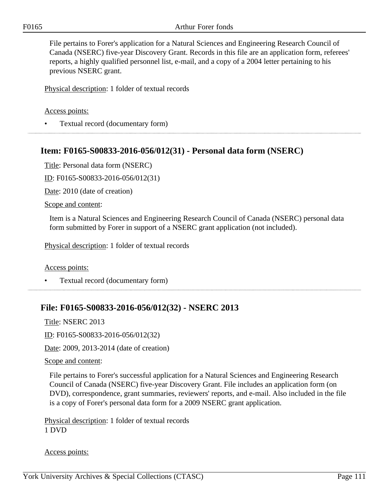File pertains to Forer's application for a Natural Sciences and Engineering Research Council of Canada (NSERC) five-year Discovery Grant. Records in this file are an application form, referees' reports, a highly qualified personnel list, e-mail, and a copy of a 2004 letter pertaining to his previous NSERC grant.

Physical description: 1 folder of textual records

#### Access points:

• Textual record (documentary form)

### **Item: F0165-S00833-2016-056/012(31) - Personal data form (NSERC)**

Title: Personal data form (NSERC)

ID: F0165-S00833-2016-056/012(31)

Date: 2010 (date of creation)

Scope and content:

Item is a Natural Sciences and Engineering Research Council of Canada (NSERC) personal data form submitted by Forer in support of a NSERC grant application (not included).

Physical description: 1 folder of textual records

Access points:

• Textual record (documentary form)

### **File: F0165-S00833-2016-056/012(32) - NSERC 2013**

Title: NSERC 2013

ID: F0165-S00833-2016-056/012(32)

Date: 2009, 2013-2014 (date of creation)

#### Scope and content:

File pertains to Forer's successful application for a Natural Sciences and Engineering Research Council of Canada (NSERC) five-year Discovery Grant. File includes an application form (on DVD), correspondence, grant summaries, reviewers' reports, and e-mail. Also included in the file is a copy of Forer's personal data form for a 2009 NSERC grant application.

Physical description: 1 folder of textual records 1 DVD

Access points: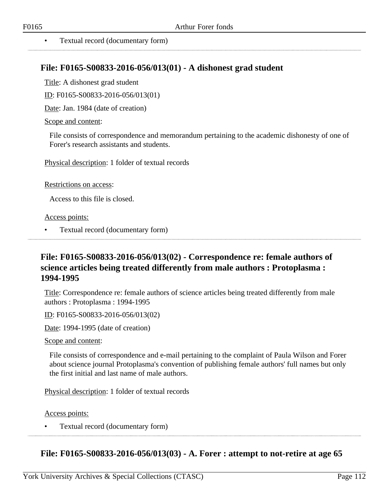. . . . . . . . . . . . . . . . . . .

• Textual record (documentary form)

#### **File: F0165-S00833-2016-056/013(01) - A dishonest grad student**

Title: A dishonest grad student

ID: F0165-S00833-2016-056/013(01)

Date: Jan. 1984 (date of creation)

#### Scope and content:

File consists of correspondence and memorandum pertaining to the academic dishonesty of one of Forer's research assistants and students.

Physical description: 1 folder of textual records

Restrictions on access:

Access to this file is closed.

Access points:

• Textual record (documentary form)

# **File: F0165-S00833-2016-056/013(02) - Correspondence re: female authors of science articles being treated differently from male authors : Protoplasma : 1994-1995**

Title: Correspondence re: female authors of science articles being treated differently from male authors : Protoplasma : 1994-1995

ID: F0165-S00833-2016-056/013(02)

Date: 1994-1995 (date of creation)

Scope and content:

File consists of correspondence and e-mail pertaining to the complaint of Paula Wilson and Forer about science journal Protoplasma's convention of publishing female authors' full names but only the first initial and last name of male authors.

Physical description: 1 folder of textual records

Access points:

• Textual record (documentary form)

#### **File: F0165-S00833-2016-056/013(03) - A. Forer : attempt to not-retire at age 65**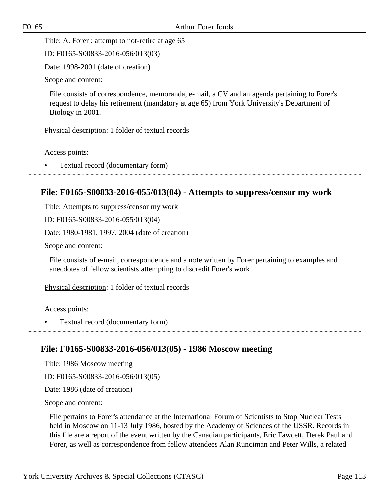Title: A. Forer : attempt to not-retire at age 65

ID: F0165-S00833-2016-056/013(03)

Date: 1998-2001 (date of creation)

Scope and content:

File consists of correspondence, memoranda, e-mail, a CV and an agenda pertaining to Forer's request to delay his retirement (mandatory at age 65) from York University's Department of Biology in 2001.

Physical description: 1 folder of textual records

Access points:

• Textual record (documentary form)

#### **File: F0165-S00833-2016-055/013(04) - Attempts to suppress/censor my work**

Title: Attempts to suppress/censor my work

ID: F0165-S00833-2016-055/013(04)

Date: 1980-1981, 1997, 2004 (date of creation)

Scope and content:

File consists of e-mail, correspondence and a note written by Forer pertaining to examples and anecdotes of fellow scientists attempting to discredit Forer's work.

Physical description: 1 folder of textual records

Access points:

• Textual record (documentary form)

### **File: F0165-S00833-2016-056/013(05) - 1986 Moscow meeting**

Title: 1986 Moscow meeting

ID: F0165-S00833-2016-056/013(05)

Date: 1986 (date of creation)

Scope and content:

File pertains to Forer's attendance at the International Forum of Scientists to Stop Nuclear Tests held in Moscow on 11-13 July 1986, hosted by the Academy of Sciences of the USSR. Records in this file are a report of the event written by the Canadian participants, Eric Fawcett, Derek Paul and Forer, as well as correspondence from fellow attendees Alan Runciman and Peter Wills, a related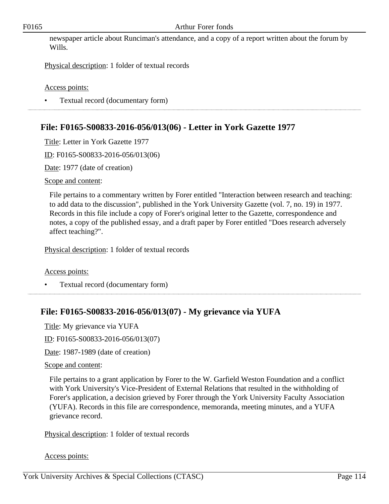newspaper article about Runciman's attendance, and a copy of a report written about the forum by Wills.

Physical description: 1 folder of textual records

Access points:

• Textual record (documentary form)

# **File: F0165-S00833-2016-056/013(06) - Letter in York Gazette 1977**

Title: Letter in York Gazette 1977

ID: F0165-S00833-2016-056/013(06)

Date: 1977 (date of creation)

Scope and content:

File pertains to a commentary written by Forer entitled "Interaction between research and teaching: to add data to the discussion", published in the York University Gazette (vol. 7, no. 19) in 1977. Records in this file include a copy of Forer's original letter to the Gazette, correspondence and notes, a copy of the published essay, and a draft paper by Forer entitled "Does research adversely affect teaching?".

Physical description: 1 folder of textual records

Access points:

• Textual record (documentary form)

# **File: F0165-S00833-2016-056/013(07) - My grievance via YUFA**

Title: My grievance via YUFA

ID: F0165-S00833-2016-056/013(07)

Date: 1987-1989 (date of creation)

#### Scope and content:

File pertains to a grant application by Forer to the W. Garfield Weston Foundation and a conflict with York University's Vice-President of External Relations that resulted in the withholding of Forer's application, a decision grieved by Forer through the York University Faculty Association (YUFA). Records in this file are correspondence, memoranda, meeting minutes, and a YUFA grievance record.

Physical description: 1 folder of textual records

Access points: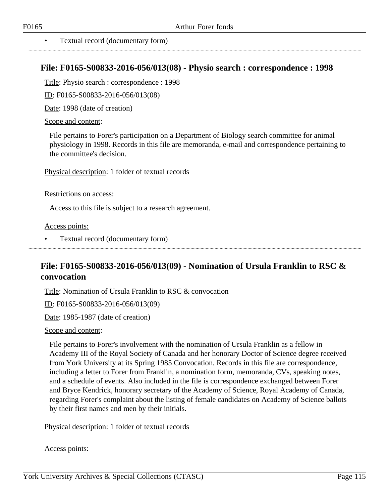#### **File: F0165-S00833-2016-056/013(08) - Physio search : correspondence : 1998**

Title: Physio search : correspondence : 1998

ID: F0165-S00833-2016-056/013(08)

Date: 1998 (date of creation)

#### Scope and content:

File pertains to Forer's participation on a Department of Biology search committee for animal physiology in 1998. Records in this file are memoranda, e-mail and correspondence pertaining to the committee's decision.

Physical description: 1 folder of textual records

#### Restrictions on access:

Access to this file is subject to a research agreement.

Access points:

• Textual record (documentary form)

# **File: F0165-S00833-2016-056/013(09) - Nomination of Ursula Franklin to RSC & convocation**

Title: Nomination of Ursula Franklin to RSC & convocation

ID: F0165-S00833-2016-056/013(09)

Date: 1985-1987 (date of creation)

#### Scope and content:

File pertains to Forer's involvement with the nomination of Ursula Franklin as a fellow in Academy III of the Royal Society of Canada and her honorary Doctor of Science degree received from York University at its Spring 1985 Convocation. Records in this file are correspondence, including a letter to Forer from Franklin, a nomination form, memoranda, CVs, speaking notes, and a schedule of events. Also included in the file is correspondence exchanged between Forer and Bryce Kendrick, honorary secretary of the Academy of Science, Royal Academy of Canada, regarding Forer's complaint about the listing of female candidates on Academy of Science ballots by their first names and men by their initials.

Physical description: 1 folder of textual records

#### Access points: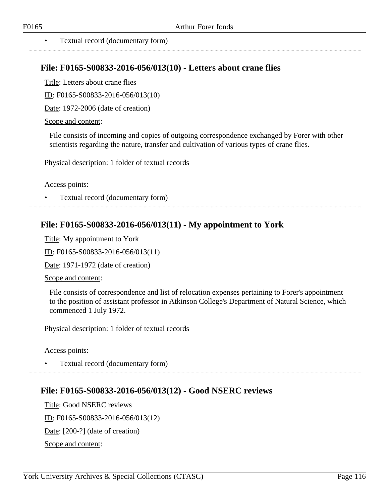#### • Textual record (documentary form)

#### **File: F0165-S00833-2016-056/013(10) - Letters about crane flies**

Title: Letters about crane flies

ID: F0165-S00833-2016-056/013(10)

Date: 1972-2006 (date of creation)

#### Scope and content:

File consists of incoming and copies of outgoing correspondence exchanged by Forer with other scientists regarding the nature, transfer and cultivation of various types of crane flies.

Physical description: 1 folder of textual records

Access points:

• Textual record (documentary form)

#### **File: F0165-S00833-2016-056/013(11) - My appointment to York**

Title: My appointment to York

ID: F0165-S00833-2016-056/013(11)

Date: 1971-1972 (date of creation)

Scope and content:

File consists of correspondence and list of relocation expenses pertaining to Forer's appointment to the position of assistant professor in Atkinson College's Department of Natural Science, which commenced 1 July 1972.

Physical description: 1 folder of textual records

Access points:

• Textual record (documentary form)

#### **File: F0165-S00833-2016-056/013(12) - Good NSERC reviews**

Title: Good NSERC reviews ID: F0165-S00833-2016-056/013(12) Date: [200-?] (date of creation) Scope and content: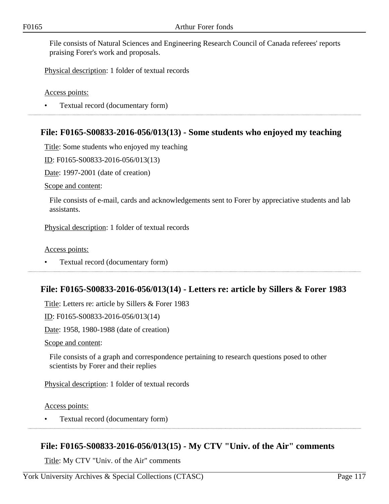File consists of Natural Sciences and Engineering Research Council of Canada referees' reports praising Forer's work and proposals.

Physical description: 1 folder of textual records

Access points:

• Textual record (documentary form)

### **File: F0165-S00833-2016-056/013(13) - Some students who enjoyed my teaching**

Title: Some students who enjoyed my teaching

ID: F0165-S00833-2016-056/013(13)

Date: 1997-2001 (date of creation)

Scope and content:

File consists of e-mail, cards and acknowledgements sent to Forer by appreciative students and lab assistants.

Physical description: 1 folder of textual records

Access points:

• Textual record (documentary form)

#### **File: F0165-S00833-2016-056/013(14) - Letters re: article by Sillers & Forer 1983**

Title: Letters re: article by Sillers & Forer 1983

ID: F0165-S00833-2016-056/013(14)

Date: 1958, 1980-1988 (date of creation)

Scope and content:

File consists of a graph and correspondence pertaining to research questions posed to other scientists by Forer and their replies

Physical description: 1 folder of textual records

Access points:

• Textual record (documentary form)

### **File: F0165-S00833-2016-056/013(15) - My CTV "Univ. of the Air" comments**

Title: My CTV "Univ. of the Air" comments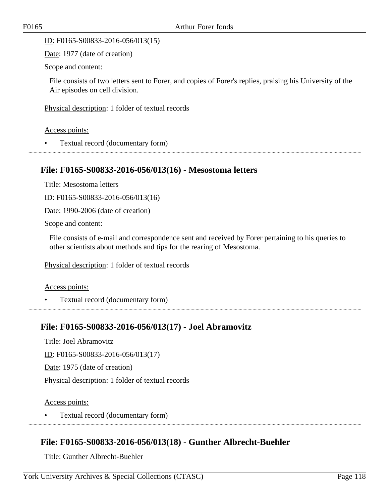ID: F0165-S00833-2016-056/013(15)

Date: 1977 (date of creation)

Scope and content:

File consists of two letters sent to Forer, and copies of Forer's replies, praising his University of the Air episodes on cell division.

Physical description: 1 folder of textual records

Access points:

• Textual record (documentary form)

#### **File: F0165-S00833-2016-056/013(16) - Mesostoma letters**

Title: Mesostoma letters

ID: F0165-S00833-2016-056/013(16)

Date: 1990-2006 (date of creation)

Scope and content:

File consists of e-mail and correspondence sent and received by Forer pertaining to his queries to other scientists about methods and tips for the rearing of Mesostoma.

Physical description: 1 folder of textual records

#### Access points:

• Textual record (documentary form)

### **File: F0165-S00833-2016-056/013(17) - Joel Abramovitz**

Title: Joel Abramovitz

ID: F0165-S00833-2016-056/013(17)

Date: 1975 (date of creation)

Physical description: 1 folder of textual records

Access points:

• Textual record (documentary form)

### **File: F0165-S00833-2016-056/013(18) - Gunther Albrecht-Buehler**

Title: Gunther Albrecht-Buehler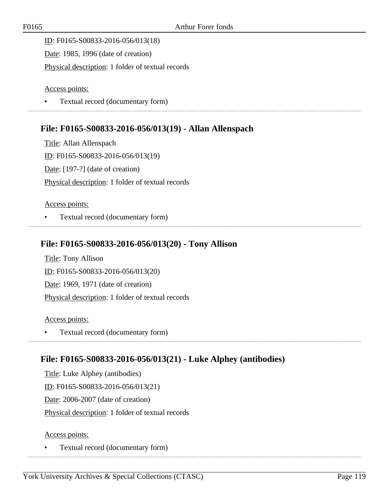ID: F0165-S00833-2016-056/013(18) Date: 1985, 1996 (date of creation) Physical description: 1 folder of textual records

#### Access points:

• Textual record (documentary form)

## **File: F0165-S00833-2016-056/013(19) - Allan Allenspach**

Title: Allan Allenspach ID: F0165-S00833-2016-056/013(19) Date: [197-?] (date of creation) Physical description: 1 folder of textual records

#### Access points:

• Textual record (documentary form) 

# **File: F0165-S00833-2016-056/013(20) - Tony Allison**

Title: Tony Allison ID: F0165-S00833-2016-056/013(20) Date: 1969, 1971 (date of creation) Physical description: 1 folder of textual records

#### Access points:

• Textual record (documentary form)

### **File: F0165-S00833-2016-056/013(21) - Luke Alphey (antibodies)**

Title: Luke Alphey (antibodies) ID: F0165-S00833-2016-056/013(21) Date: 2006-2007 (date of creation) Physical description: 1 folder of textual records

#### Access points: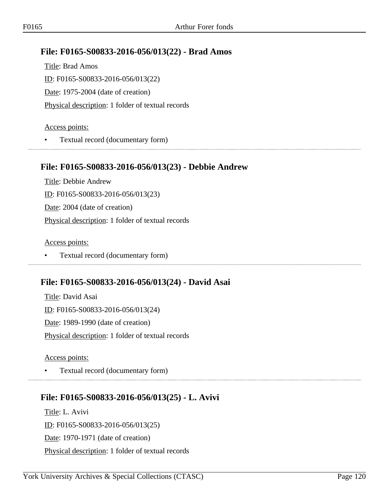### **File: F0165-S00833-2016-056/013(22) - Brad Amos**

Title: Brad Amos ID: F0165-S00833-2016-056/013(22) Date: 1975-2004 (date of creation) Physical description: 1 folder of textual records

#### Access points:

• Textual record (documentary form) 

#### **File: F0165-S00833-2016-056/013(23) - Debbie Andrew**

Title: Debbie Andrew ID: F0165-S00833-2016-056/013(23) Date: 2004 (date of creation) Physical description: 1 folder of textual records

Access points:

• Textual record (documentary form)

### **File: F0165-S00833-2016-056/013(24) - David Asai**

Title: David Asai ID: F0165-S00833-2016-056/013(24) Date: 1989-1990 (date of creation) Physical description: 1 folder of textual records

Access points:

• Textual record (documentary form)

# **File: F0165-S00833-2016-056/013(25) - L. Avivi**

Title: L. Avivi ID: F0165-S00833-2016-056/013(25) Date: 1970-1971 (date of creation) Physical description: 1 folder of textual records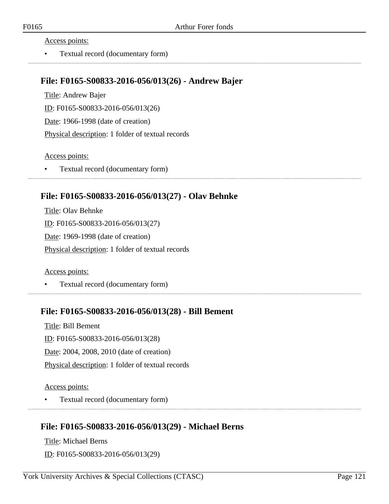Access points:

• Textual record (documentary form)

#### **File: F0165-S00833-2016-056/013(26) - Andrew Bajer**

Title: Andrew Bajer ID: F0165-S00833-2016-056/013(26) Date: 1966-1998 (date of creation) Physical description: 1 folder of textual records

Access points:

• Textual record (documentary form)

### **File: F0165-S00833-2016-056/013(27) - Olav Behnke**

Title: Olav Behnke ID: F0165-S00833-2016-056/013(27) Date: 1969-1998 (date of creation) Physical description: 1 folder of textual records

Access points:

• Textual record (documentary form)

#### **File: F0165-S00833-2016-056/013(28) - Bill Bement**

Title: Bill Bement ID: F0165-S00833-2016-056/013(28) Date: 2004, 2008, 2010 (date of creation) Physical description: 1 folder of textual records

Access points:

• Textual record (documentary form)

### **File: F0165-S00833-2016-056/013(29) - Michael Berns**

Title: Michael Berns ID: F0165-S00833-2016-056/013(29)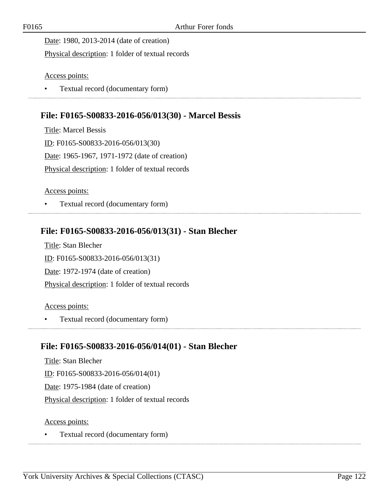Date: 1980, 2013-2014 (date of creation)

Physical description: 1 folder of textual records

Access points:

• Textual record (documentary form)

# **File: F0165-S00833-2016-056/013(30) - Marcel Bessis**

Title: Marcel Bessis ID: F0165-S00833-2016-056/013(30) Date: 1965-1967, 1971-1972 (date of creation) Physical description: 1 folder of textual records

Access points:

• Textual record (documentary form) 

# **File: F0165-S00833-2016-056/013(31) - Stan Blecher**

Title: Stan Blecher ID: F0165-S00833-2016-056/013(31) Date: 1972-1974 (date of creation) Physical description: 1 folder of textual records

Access points:

• Textual record (documentary form) 

# **File: F0165-S00833-2016-056/014(01) - Stan Blecher**

Title: Stan Blecher ID: F0165-S00833-2016-056/014(01) Date: 1975-1984 (date of creation) Physical description: 1 folder of textual records

Access points: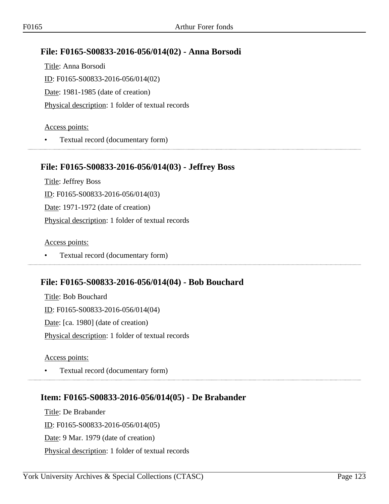## **File: F0165-S00833-2016-056/014(02) - Anna Borsodi**

Title: Anna Borsodi ID: F0165-S00833-2016-056/014(02) Date: 1981-1985 (date of creation) Physical description: 1 folder of textual records

#### Access points:

• Textual record (documentary form) 

#### **File: F0165-S00833-2016-056/014(03) - Jeffrey Boss**

Title: Jeffrey Boss ID: F0165-S00833-2016-056/014(03) Date: 1971-1972 (date of creation) Physical description: 1 folder of textual records

Access points:

• Textual record (documentary form)

### **File: F0165-S00833-2016-056/014(04) - Bob Bouchard**

Title: Bob Bouchard ID: F0165-S00833-2016-056/014(04) Date: [ca. 1980] (date of creation) Physical description: 1 folder of textual records

Access points:

• Textual record (documentary form)

# **Item: F0165-S00833-2016-056/014(05) - De Brabander**

Title: De Brabander ID: F0165-S00833-2016-056/014(05) Date: 9 Mar. 1979 (date of creation) Physical description: 1 folder of textual records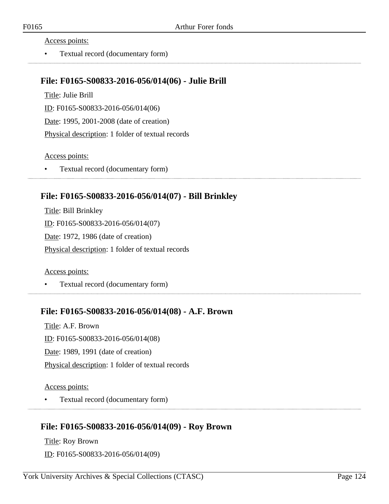Access points:

• Textual record (documentary form)

#### **File: F0165-S00833-2016-056/014(06) - Julie Brill**

Title: Julie Brill ID: F0165-S00833-2016-056/014(06) Date: 1995, 2001-2008 (date of creation) Physical description: 1 folder of textual records

#### Access points:

• Textual record (documentary form)

#### **File: F0165-S00833-2016-056/014(07) - Bill Brinkley**

Title: Bill Brinkley ID: F0165-S00833-2016-056/014(07) Date: 1972, 1986 (date of creation) Physical description: 1 folder of textual records

Access points:

• Textual record (documentary form)

#### **File: F0165-S00833-2016-056/014(08) - A.F. Brown**

Title: A.F. Brown ID: F0165-S00833-2016-056/014(08) Date: 1989, 1991 (date of creation) Physical description: 1 folder of textual records

Access points:

• Textual record (documentary form)

### **File: F0165-S00833-2016-056/014(09) - Roy Brown**

Title: Roy Brown ID: F0165-S00833-2016-056/014(09)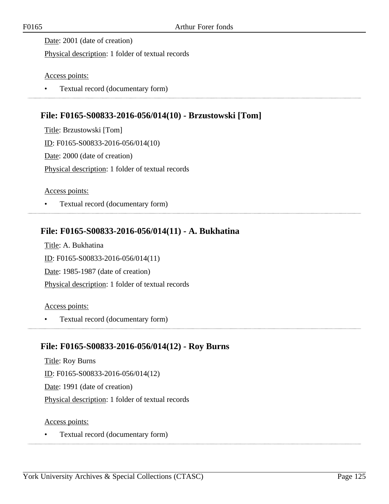Date: 2001 (date of creation)

Physical description: 1 folder of textual records

Access points:

• Textual record (documentary form)

# **File: F0165-S00833-2016-056/014(10) - Brzustowski [Tom]**

Title: Brzustowski [Tom] ID: F0165-S00833-2016-056/014(10) Date: 2000 (date of creation) Physical description: 1 folder of textual records

Access points:

• Textual record (documentary form) 

# **File: F0165-S00833-2016-056/014(11) - A. Bukhatina**

Title: A. Bukhatina ID: F0165-S00833-2016-056/014(11) Date: 1985-1987 (date of creation) Physical description: 1 folder of textual records

Access points:

• Textual record (documentary form) 

# **File: F0165-S00833-2016-056/014(12) - Roy Burns**

Title: Roy Burns ID: F0165-S00833-2016-056/014(12) Date: 1991 (date of creation) Physical description: 1 folder of textual records

Access points: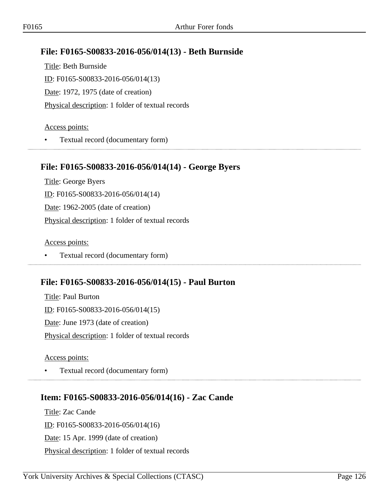## **File: F0165-S00833-2016-056/014(13) - Beth Burnside**

Title: Beth Burnside ID: F0165-S00833-2016-056/014(13) Date: 1972, 1975 (date of creation) Physical description: 1 folder of textual records

#### Access points:

• Textual record (documentary form) 

#### **File: F0165-S00833-2016-056/014(14) - George Byers**

Title: George Byers ID: F0165-S00833-2016-056/014(14) Date: 1962-2005 (date of creation) Physical description: 1 folder of textual records

Access points:

• Textual record (documentary form)

### **File: F0165-S00833-2016-056/014(15) - Paul Burton**

Title: Paul Burton ID: F0165-S00833-2016-056/014(15) Date: June 1973 (date of creation) Physical description: 1 folder of textual records

Access points:

• Textual record (documentary form)

# **Item: F0165-S00833-2016-056/014(16) - Zac Cande**

Title: Zac Cande ID: F0165-S00833-2016-056/014(16) Date: 15 Apr. 1999 (date of creation) Physical description: 1 folder of textual records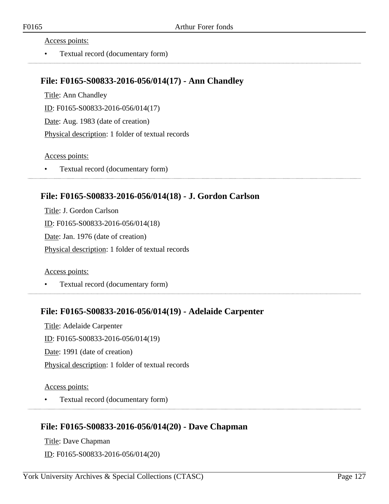Access points:

• Textual record (documentary form)

#### **File: F0165-S00833-2016-056/014(17) - Ann Chandley**

Title: Ann Chandley ID: F0165-S00833-2016-056/014(17) Date: Aug. 1983 (date of creation) Physical description: 1 folder of textual records

Access points:

• Textual record (documentary form)

### **File: F0165-S00833-2016-056/014(18) - J. Gordon Carlson**

Title: J. Gordon Carlson ID: F0165-S00833-2016-056/014(18) Date: Jan. 1976 (date of creation) Physical description: 1 folder of textual records

Access points:

• Textual record (documentary form)

#### **File: F0165-S00833-2016-056/014(19) - Adelaide Carpenter**

Title: Adelaide Carpenter ID: F0165-S00833-2016-056/014(19) Date: 1991 (date of creation) Physical description: 1 folder of textual records

Access points:

• Textual record (documentary form)

### **File: F0165-S00833-2016-056/014(20) - Dave Chapman**

Title: Dave Chapman ID: F0165-S00833-2016-056/014(20)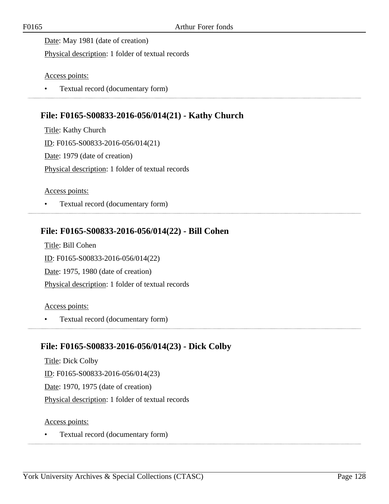Date: May 1981 (date of creation)

Physical description: 1 folder of textual records

Access points:

• Textual record (documentary form)

# **File: F0165-S00833-2016-056/014(21) - Kathy Church**

Title: Kathy Church ID: F0165-S00833-2016-056/014(21) Date: 1979 (date of creation) Physical description: 1 folder of textual records

Access points:

• Textual record (documentary form) 

# **File: F0165-S00833-2016-056/014(22) - Bill Cohen**

Title: Bill Cohen ID: F0165-S00833-2016-056/014(22) Date: 1975, 1980 (date of creation) Physical description: 1 folder of textual records

Access points:

• Textual record (documentary form) 

# **File: F0165-S00833-2016-056/014(23) - Dick Colby**

Title: Dick Colby ID: F0165-S00833-2016-056/014(23) Date: 1970, 1975 (date of creation) Physical description: 1 folder of textual records

Access points: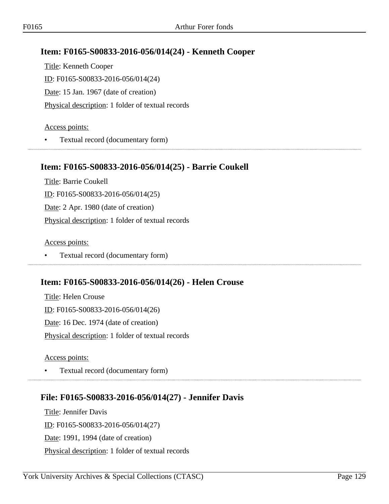# **Item: F0165-S00833-2016-056/014(24) - Kenneth Cooper**

Title: Kenneth Cooper ID: F0165-S00833-2016-056/014(24) Date: 15 Jan. 1967 (date of creation) Physical description: 1 folder of textual records

#### Access points:

• Textual record (documentary form)

### **Item: F0165-S00833-2016-056/014(25) - Barrie Coukell**

Title: Barrie Coukell ID: F0165-S00833-2016-056/014(25) Date: 2 Apr. 1980 (date of creation) Physical description: 1 folder of textual records

Access points:

• Textual record (documentary form)

# **Item: F0165-S00833-2016-056/014(26) - Helen Crouse**

Title: Helen Crouse ID: F0165-S00833-2016-056/014(26) Date: 16 Dec. 1974 (date of creation) Physical description: 1 folder of textual records

Access points:

• Textual record (documentary form)

# **File: F0165-S00833-2016-056/014(27) - Jennifer Davis**

Title: Jennifer Davis ID: F0165-S00833-2016-056/014(27) Date: 1991, 1994 (date of creation) Physical description: 1 folder of textual records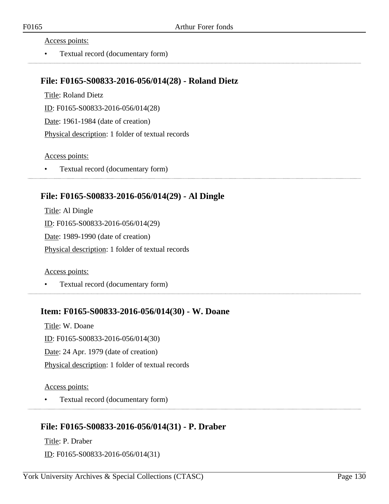Access points:

• Textual record (documentary form)

#### **File: F0165-S00833-2016-056/014(28) - Roland Dietz**

Title: Roland Dietz

ID: F0165-S00833-2016-056/014(28)

Date: 1961-1984 (date of creation)

Physical description: 1 folder of textual records

Access points:

• Textual record (documentary form)

## **File: F0165-S00833-2016-056/014(29) - Al Dingle**

Title: Al Dingle ID: F0165-S00833-2016-056/014(29) Date: 1989-1990 (date of creation) Physical description: 1 folder of textual records

Access points:

• Textual record (documentary form)

### **Item: F0165-S00833-2016-056/014(30) - W. Doane**

Title: W. Doane ID: F0165-S00833-2016-056/014(30) Date: 24 Apr. 1979 (date of creation) Physical description: 1 folder of textual records

Access points:

• Textual record (documentary form)

# **File: F0165-S00833-2016-056/014(31) - P. Draber**

Title: P. Draber ID: F0165-S00833-2016-056/014(31)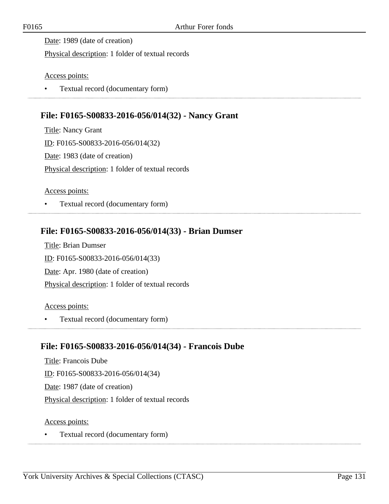Date: 1989 (date of creation)

Physical description: 1 folder of textual records

Access points:

• Textual record (documentary form)

# **File: F0165-S00833-2016-056/014(32) - Nancy Grant**

Title: Nancy Grant ID: F0165-S00833-2016-056/014(32) Date: 1983 (date of creation) Physical description: 1 folder of textual records

Access points:

• Textual record (documentary form) 

# **File: F0165-S00833-2016-056/014(33) - Brian Dumser**

Title: Brian Dumser ID: F0165-S00833-2016-056/014(33) Date: Apr. 1980 (date of creation) Physical description: 1 folder of textual records

Access points:

• Textual record (documentary form)

# **File: F0165-S00833-2016-056/014(34) - Francois Dube**

Title: Francois Dube ID: F0165-S00833-2016-056/014(34) Date: 1987 (date of creation) Physical description: 1 folder of textual records

Access points: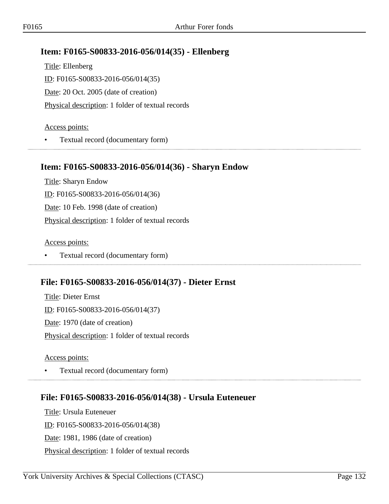## **Item: F0165-S00833-2016-056/014(35) - Ellenberg**

Title: Ellenberg ID: F0165-S00833-2016-056/014(35) Date: 20 Oct. 2005 (date of creation) Physical description: 1 folder of textual records

#### Access points:

• Textual record (documentary form)

#### **Item: F0165-S00833-2016-056/014(36) - Sharyn Endow**

Title: Sharyn Endow ID: F0165-S00833-2016-056/014(36) Date: 10 Feb. 1998 (date of creation) Physical description: 1 folder of textual records

Access points:

• Textual record (documentary form)

# **File: F0165-S00833-2016-056/014(37) - Dieter Ernst**

Title: Dieter Ernst ID: F0165-S00833-2016-056/014(37) Date: 1970 (date of creation) Physical description: 1 folder of textual records

Access points:

• Textual record (documentary form)

# **File: F0165-S00833-2016-056/014(38) - Ursula Euteneuer**

Title: Ursula Euteneuer ID: F0165-S00833-2016-056/014(38) Date: 1981, 1986 (date of creation) Physical description: 1 folder of textual records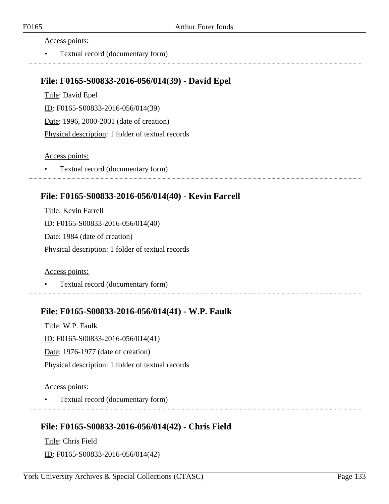Access points:

• Textual record (documentary form)

#### **File: F0165-S00833-2016-056/014(39) - David Epel**

Title: David Epel ID: F0165-S00833-2016-056/014(39) Date: 1996, 2000-2001 (date of creation) Physical description: 1 folder of textual records

#### Access points:

• Textual record (documentary form)

### **File: F0165-S00833-2016-056/014(40) - Kevin Farrell**

Title: Kevin Farrell ID: F0165-S00833-2016-056/014(40) Date: 1984 (date of creation) Physical description: 1 folder of textual records

Access points:

• Textual record (documentary form)

#### **File: F0165-S00833-2016-056/014(41) - W.P. Faulk**

Title: W.P. Faulk ID: F0165-S00833-2016-056/014(41) Date: 1976-1977 (date of creation) Physical description: 1 folder of textual records

Access points:

• Textual record (documentary form)

# **File: F0165-S00833-2016-056/014(42) - Chris Field**

Title: Chris Field ID: F0165-S00833-2016-056/014(42)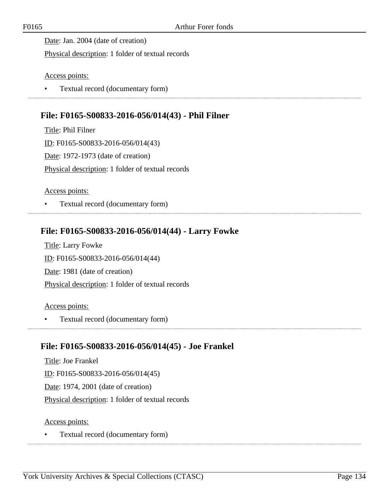Date: Jan. 2004 (date of creation)

Physical description: 1 folder of textual records

Access points:

• Textual record (documentary form)

## **File: F0165-S00833-2016-056/014(43) - Phil Filner**

Title: Phil Filner ID: F0165-S00833-2016-056/014(43) Date: 1972-1973 (date of creation) Physical description: 1 folder of textual records

Access points:

• Textual record (documentary form) 

## **File: F0165-S00833-2016-056/014(44) - Larry Fowke**

Title: Larry Fowke ID: F0165-S00833-2016-056/014(44) Date: 1981 (date of creation) Physical description: 1 folder of textual records

Access points:

• Textual record (documentary form)

### **File: F0165-S00833-2016-056/014(45) - Joe Frankel**

Title: Joe Frankel ID: F0165-S00833-2016-056/014(45) Date: 1974, 2001 (date of creation) Physical description: 1 folder of textual records

Access points: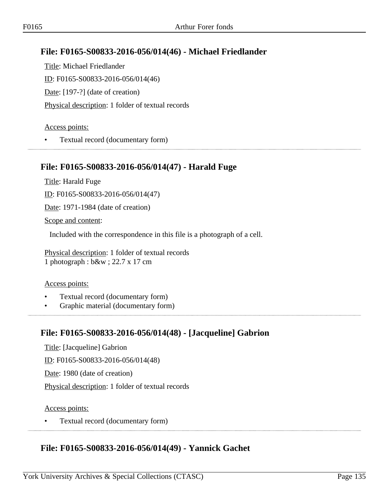# **File: F0165-S00833-2016-056/014(46) - Michael Friedlander**

Title: Michael Friedlander ID: F0165-S00833-2016-056/014(46) Date: [197-?] (date of creation) Physical description: 1 folder of textual records

#### Access points:

• Textual record (documentary form)

#### **File: F0165-S00833-2016-056/014(47) - Harald Fuge**

Title: Harald Fuge

ID: F0165-S00833-2016-056/014(47)

Date: 1971-1984 (date of creation)

Scope and content:

Included with the correspondence in this file is a photograph of a cell.

Physical description: 1 folder of textual records 1 photograph : b&w ; 22.7 x 17 cm

#### Access points:

- Textual record (documentary form)
- Graphic material (documentary form)

### **File: F0165-S00833-2016-056/014(48) - [Jacqueline] Gabrion**

Title: [Jacqueline] Gabrion

ID: F0165-S00833-2016-056/014(48)

Date: 1980 (date of creation)

Physical description: 1 folder of textual records

#### Access points:

• Textual record (documentary form)

### **File: F0165-S00833-2016-056/014(49) - Yannick Gachet**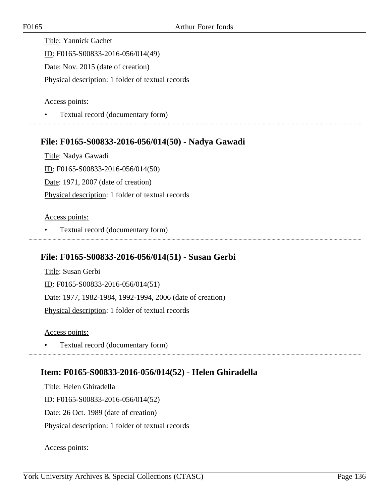Title: Yannick Gachet ID: F0165-S00833-2016-056/014(49) Date: Nov. 2015 (date of creation) Physical description: 1 folder of textual records

Access points:

• Textual record (documentary form)

## **File: F0165-S00833-2016-056/014(50) - Nadya Gawadi**

Title: Nadya Gawadi ID: F0165-S00833-2016-056/014(50) Date: 1971, 2007 (date of creation) Physical description: 1 folder of textual records

#### Access points:

• Textual record (documentary form)

### **File: F0165-S00833-2016-056/014(51) - Susan Gerbi**

Title: Susan Gerbi ID: F0165-S00833-2016-056/014(51) Date: 1977, 1982-1984, 1992-1994, 2006 (date of creation) Physical description: 1 folder of textual records

Access points:

• Textual record (documentary form) 

### **Item: F0165-S00833-2016-056/014(52) - Helen Ghiradella**

Title: Helen Ghiradella ID: F0165-S00833-2016-056/014(52) Date: 26 Oct. 1989 (date of creation) Physical description: 1 folder of textual records

Access points: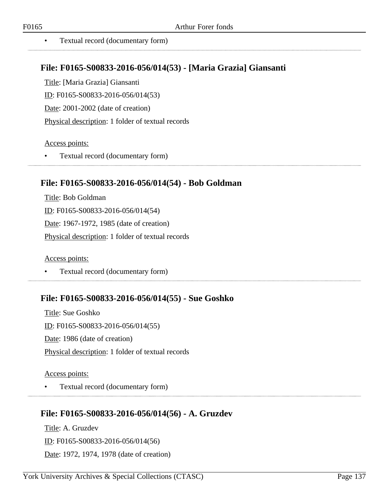# **File: F0165-S00833-2016-056/014(53) - [Maria Grazia] Giansanti**

Title: [Maria Grazia] Giansanti

ID: F0165-S00833-2016-056/014(53)

Date: 2001-2002 (date of creation)

Physical description: 1 folder of textual records

#### Access points:

• Textual record (documentary form)

# **File: F0165-S00833-2016-056/014(54) - Bob Goldman**

Title: Bob Goldman ID: F0165-S00833-2016-056/014(54) Date: 1967-1972, 1985 (date of creation) Physical description: 1 folder of textual records

Access points:

• Textual record (documentary form)

# **File: F0165-S00833-2016-056/014(55) - Sue Goshko**

Title: Sue Goshko ID: F0165-S00833-2016-056/014(55) Date: 1986 (date of creation) Physical description: 1 folder of textual records

#### Access points:

• Textual record (documentary form)

# **File: F0165-S00833-2016-056/014(56) - A. Gruzdev**

Title: A. Gruzdev ID: F0165-S00833-2016-056/014(56) Date: 1972, 1974, 1978 (date of creation)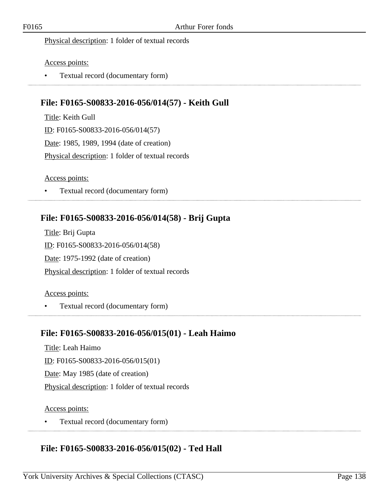#### Physical description: 1 folder of textual records

#### Access points:

• Textual record (documentary form)

# **File: F0165-S00833-2016-056/014(57) - Keith Gull**

Title: Keith Gull ID: F0165-S00833-2016-056/014(57) Date: 1985, 1989, 1994 (date of creation) Physical description: 1 folder of textual records

#### Access points:

• Textual record (documentary form)

# **File: F0165-S00833-2016-056/014(58) - Brij Gupta**

Title: Brij Gupta ID: F0165-S00833-2016-056/014(58) Date: 1975-1992 (date of creation) Physical description: 1 folder of textual records

#### Access points:

• Textual record (documentary form)

### **File: F0165-S00833-2016-056/015(01) - Leah Haimo**

Title: Leah Haimo ID: F0165-S00833-2016-056/015(01) Date: May 1985 (date of creation) Physical description: 1 folder of textual records

#### Access points:

• Textual record (documentary form)

### **File: F0165-S00833-2016-056/015(02) - Ted Hall**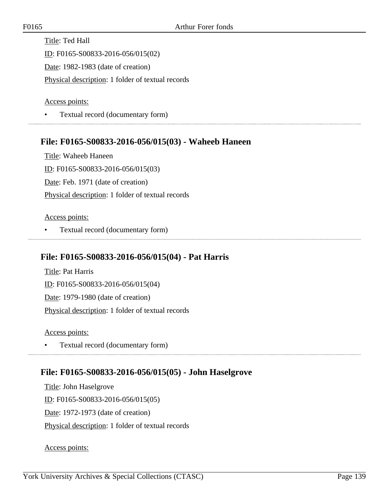Title: Ted Hall ID: F0165-S00833-2016-056/015(02) Date: 1982-1983 (date of creation) Physical description: 1 folder of textual records

Access points:

• Textual record (documentary form)

### **File: F0165-S00833-2016-056/015(03) - Waheeb Haneen**

Title: Waheeb Haneen ID: F0165-S00833-2016-056/015(03) Date: Feb. 1971 (date of creation) Physical description: 1 folder of textual records

#### Access points:

• Textual record (documentary form)

### **File: F0165-S00833-2016-056/015(04) - Pat Harris**

Title: Pat Harris ID: F0165-S00833-2016-056/015(04) Date: 1979-1980 (date of creation) Physical description: 1 folder of textual records

Access points:

• Textual record (documentary form) 

### **File: F0165-S00833-2016-056/015(05) - John Haselgrove**

Title: John Haselgrove ID: F0165-S00833-2016-056/015(05) Date: 1972-1973 (date of creation) Physical description: 1 folder of textual records

Access points: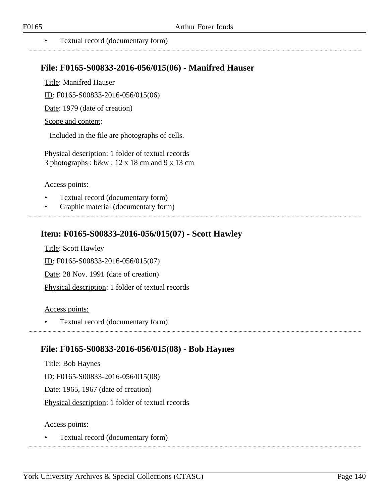• Textual record (documentary form)

### **File: F0165-S00833-2016-056/015(06) - Manifred Hauser**

Title: Manifred Hauser

ID: F0165-S00833-2016-056/015(06)

Date: 1979 (date of creation)

Scope and content:

Included in the file are photographs of cells.

Physical description: 1 folder of textual records 3 photographs : b&w ; 12 x 18 cm and 9 x 13 cm

#### Access points:

- Textual record (documentary form)
- Graphic material (documentary form)

## **Item: F0165-S00833-2016-056/015(07) - Scott Hawley**

Title: Scott Hawley

ID: F0165-S00833-2016-056/015(07)

Date: 28 Nov. 1991 (date of creation)

Physical description: 1 folder of textual records

#### Access points:

• Textual record (documentary form)

### **File: F0165-S00833-2016-056/015(08) - Bob Haynes**

Title: Bob Haynes ID: F0165-S00833-2016-056/015(08) Date: 1965, 1967 (date of creation) Physical description: 1 folder of textual records

#### Access points: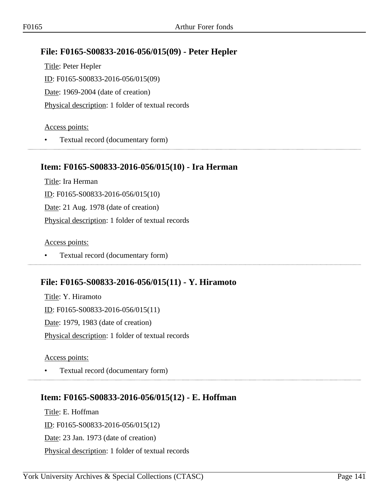# **File: F0165-S00833-2016-056/015(09) - Peter Hepler**

Title: Peter Hepler ID: F0165-S00833-2016-056/015(09) Date: 1969-2004 (date of creation) Physical description: 1 folder of textual records

#### Access points:

• Textual record (documentary form) 

### **Item: F0165-S00833-2016-056/015(10) - Ira Herman**

Title: Ira Herman ID: F0165-S00833-2016-056/015(10) Date: 21 Aug. 1978 (date of creation) Physical description: 1 folder of textual records

Access points:

• Textual record (documentary form)

# **File: F0165-S00833-2016-056/015(11) - Y. Hiramoto**

Title: Y. Hiramoto ID: F0165-S00833-2016-056/015(11) Date: 1979, 1983 (date of creation) Physical description: 1 folder of textual records

Access points:

• Textual record (documentary form)

### **Item: F0165-S00833-2016-056/015(12) - E. Hoffman**

Title: E. Hoffman ID: F0165-S00833-2016-056/015(12) Date: 23 Jan. 1973 (date of creation) Physical description: 1 folder of textual records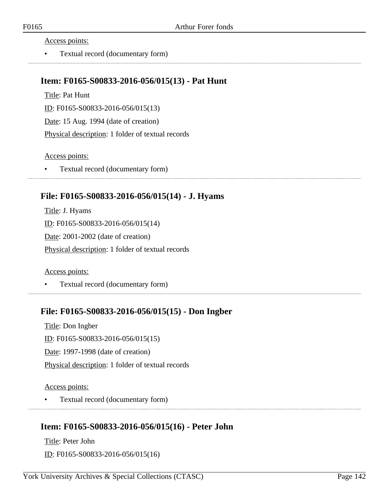Access points:

• Textual record (documentary form)

#### **Item: F0165-S00833-2016-056/015(13) - Pat Hunt**

Title: Pat Hunt

ID: F0165-S00833-2016-056/015(13)

Date: 15 Aug. 1994 (date of creation)

Physical description: 1 folder of textual records

#### Access points:

• Textual record (documentary form)

## **File: F0165-S00833-2016-056/015(14) - J. Hyams**

Title: J. Hyams ID: F0165-S00833-2016-056/015(14) Date: 2001-2002 (date of creation) Physical description: 1 folder of textual records

Access points:

• Textual record (documentary form)

### **File: F0165-S00833-2016-056/015(15) - Don Ingber**

Title: Don Ingber ID: F0165-S00833-2016-056/015(15) Date: 1997-1998 (date of creation) Physical description: 1 folder of textual records

Access points:

• Textual record (documentary form)

# **Item: F0165-S00833-2016-056/015(16) - Peter John**

Title: Peter John ID: F0165-S00833-2016-056/015(16)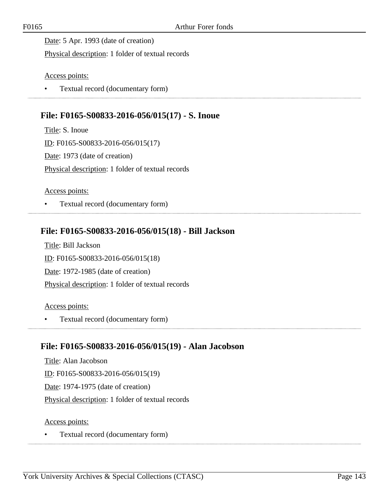Date: 5 Apr. 1993 (date of creation)

Physical description: 1 folder of textual records

Access points:

• Textual record (documentary form)

# **File: F0165-S00833-2016-056/015(17) - S. Inoue**

Title: S. Inoue ID: F0165-S00833-2016-056/015(17) Date: 1973 (date of creation) Physical description: 1 folder of textual records

Access points:

• Textual record (documentary form) 

## **File: F0165-S00833-2016-056/015(18) - Bill Jackson**

Title: Bill Jackson ID: F0165-S00833-2016-056/015(18) Date: 1972-1985 (date of creation) Physical description: 1 folder of textual records

Access points:

• Textual record (documentary form)

### **File: F0165-S00833-2016-056/015(19) - Alan Jacobson**

Title: Alan Jacobson ID: F0165-S00833-2016-056/015(19) Date: 1974-1975 (date of creation) Physical description: 1 folder of textual records

Access points: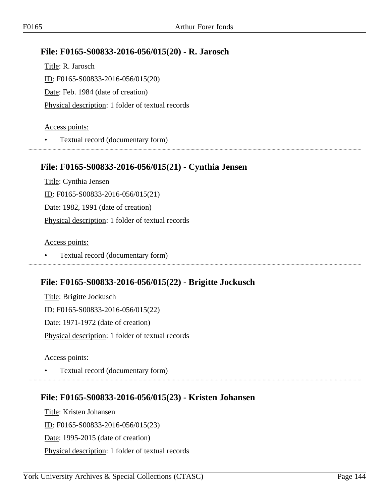## **File: F0165-S00833-2016-056/015(20) - R. Jarosch**

Title: R. Jarosch ID: F0165-S00833-2016-056/015(20) Date: Feb. 1984 (date of creation) Physical description: 1 folder of textual records

#### Access points:

• Textual record (documentary form)

#### **File: F0165-S00833-2016-056/015(21) - Cynthia Jensen**

Title: Cynthia Jensen ID: F0165-S00833-2016-056/015(21) Date: 1982, 1991 (date of creation) Physical description: 1 folder of textual records

Access points:

• Textual record (documentary form)

### **File: F0165-S00833-2016-056/015(22) - Brigitte Jockusch**

Title: Brigitte Jockusch ID: F0165-S00833-2016-056/015(22) Date: 1971-1972 (date of creation) Physical description: 1 folder of textual records

Access points:

• Textual record (documentary form)

# **File: F0165-S00833-2016-056/015(23) - Kristen Johansen**

Title: Kristen Johansen ID: F0165-S00833-2016-056/015(23) Date: 1995-2015 (date of creation) Physical description: 1 folder of textual records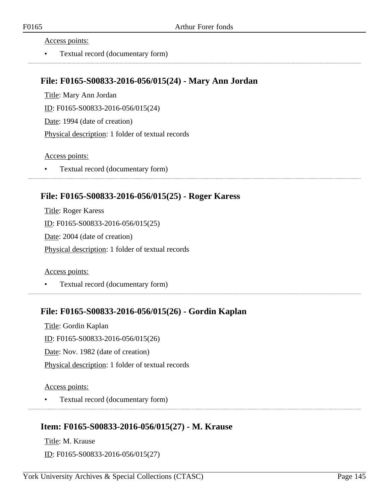• Textual record (documentary form)

### **File: F0165-S00833-2016-056/015(24) - Mary Ann Jordan**

Title: Mary Ann Jordan ID: F0165-S00833-2016-056/015(24) Date: 1994 (date of creation) Physical description: 1 folder of textual records

Access points:

• Textual record (documentary form)

### **File: F0165-S00833-2016-056/015(25) - Roger Karess**

Title: Roger Karess ID: F0165-S00833-2016-056/015(25) Date: 2004 (date of creation) Physical description: 1 folder of textual records

Access points:

• Textual record (documentary form)

### **File: F0165-S00833-2016-056/015(26) - Gordin Kaplan**

Title: Gordin Kaplan ID: F0165-S00833-2016-056/015(26) Date: Nov. 1982 (date of creation) Physical description: 1 folder of textual records

Access points:

• Textual record (documentary form)

### **Item: F0165-S00833-2016-056/015(27) - M. Krause**

Title: M. Krause ID: F0165-S00833-2016-056/015(27)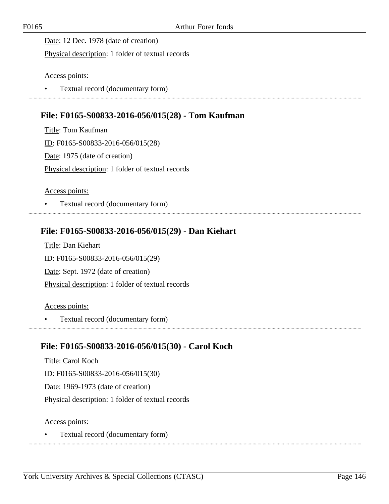Date: 12 Dec. 1978 (date of creation)

Physical description: 1 folder of textual records

Access points:

• Textual record (documentary form)

# **File: F0165-S00833-2016-056/015(28) - Tom Kaufman**

Title: Tom Kaufman ID: F0165-S00833-2016-056/015(28) Date: 1975 (date of creation) Physical description: 1 folder of textual records

Access points:

• Textual record (documentary form) 

## **File: F0165-S00833-2016-056/015(29) - Dan Kiehart**

Title: Dan Kiehart ID: F0165-S00833-2016-056/015(29) Date: Sept. 1972 (date of creation) Physical description: 1 folder of textual records

Access points:

• Textual record (documentary form) 

### **File: F0165-S00833-2016-056/015(30) - Carol Koch**

Title: Carol Koch ID: F0165-S00833-2016-056/015(30) Date: 1969-1973 (date of creation) Physical description: 1 folder of textual records

Access points:

• Textual record (documentary form)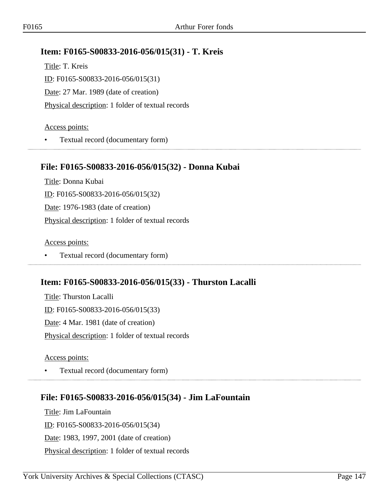## **Item: F0165-S00833-2016-056/015(31) - T. Kreis**

Title: T. Kreis ID: F0165-S00833-2016-056/015(31) Date: 27 Mar. 1989 (date of creation) Physical description: 1 folder of textual records

#### Access points:

• Textual record (documentary form) 

### **File: F0165-S00833-2016-056/015(32) - Donna Kubai**

Title: Donna Kubai ID: F0165-S00833-2016-056/015(32) Date: 1976-1983 (date of creation) Physical description: 1 folder of textual records

Access points:

• Textual record (documentary form)

### **Item: F0165-S00833-2016-056/015(33) - Thurston Lacalli**

Title: Thurston Lacalli ID: F0165-S00833-2016-056/015(33) Date: 4 Mar. 1981 (date of creation) Physical description: 1 folder of textual records

Access points:

• Textual record (documentary form)

# **File: F0165-S00833-2016-056/015(34) - Jim LaFountain**

Title: Jim LaFountain ID: F0165-S00833-2016-056/015(34) Date: 1983, 1997, 2001 (date of creation) Physical description: 1 folder of textual records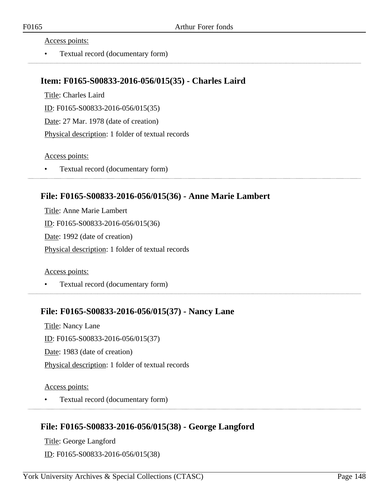• Textual record (documentary form)

## **Item: F0165-S00833-2016-056/015(35) - Charles Laird**

Title: Charles Laird ID: F0165-S00833-2016-056/015(35) Date: 27 Mar. 1978 (date of creation) Physical description: 1 folder of textual records

Access points:

• Textual record (documentary form)

## **File: F0165-S00833-2016-056/015(36) - Anne Marie Lambert**

Title: Anne Marie Lambert ID: F0165-S00833-2016-056/015(36) Date: 1992 (date of creation) Physical description: 1 folder of textual records

Access points:

• Textual record (documentary form)

### **File: F0165-S00833-2016-056/015(37) - Nancy Lane**

Title: Nancy Lane ID: F0165-S00833-2016-056/015(37) Date: 1983 (date of creation) Physical description: 1 folder of textual records

Access points:

• Textual record (documentary form)

# **File: F0165-S00833-2016-056/015(38) - George Langford**

Title: George Langford ID: F0165-S00833-2016-056/015(38)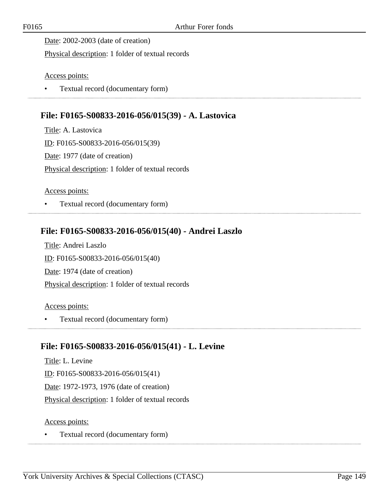Date: 2002-2003 (date of creation)

Physical description: 1 folder of textual records

Access points:

• Textual record (documentary form)

# **File: F0165-S00833-2016-056/015(39) - A. Lastovica**

Title: A. Lastovica ID: F0165-S00833-2016-056/015(39) Date: 1977 (date of creation) Physical description: 1 folder of textual records

Access points:

• Textual record (documentary form) 

## **File: F0165-S00833-2016-056/015(40) - Andrei Laszlo**

Title: Andrei Laszlo ID: F0165-S00833-2016-056/015(40) Date: 1974 (date of creation) Physical description: 1 folder of textual records

Access points:

• Textual record (documentary form)

### **File: F0165-S00833-2016-056/015(41) - L. Levine**

Title: L. Levine ID: F0165-S00833-2016-056/015(41) Date: 1972-1973, 1976 (date of creation) Physical description: 1 folder of textual records

Access points:

• Textual record (documentary form)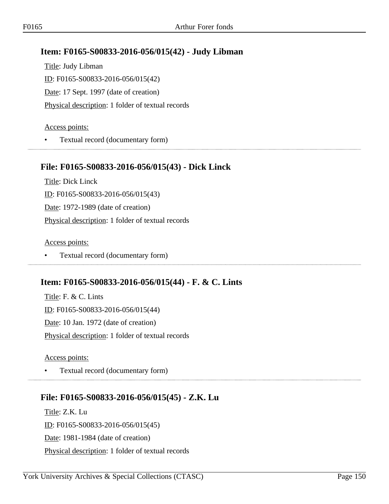# **Item: F0165-S00833-2016-056/015(42) - Judy Libman**

Title: Judy Libman ID: F0165-S00833-2016-056/015(42) Date: 17 Sept. 1997 (date of creation) Physical description: 1 folder of textual records

#### Access points:

• Textual record (documentary form) 

## **File: F0165-S00833-2016-056/015(43) - Dick Linck**

Title: Dick Linck ID: F0165-S00833-2016-056/015(43) Date: 1972-1989 (date of creation) Physical description: 1 folder of textual records

Access points:

• Textual record (documentary form)

# **Item: F0165-S00833-2016-056/015(44) - F. & C. Lints**

Title: F. & C. Lints ID: F0165-S00833-2016-056/015(44) Date: 10 Jan. 1972 (date of creation) Physical description: 1 folder of textual records

Access points:

• Textual record (documentary form)

# **File: F0165-S00833-2016-056/015(45) - Z.K. Lu**

Title: Z.K. Lu ID: F0165-S00833-2016-056/015(45) Date: 1981-1984 (date of creation) Physical description: 1 folder of textual records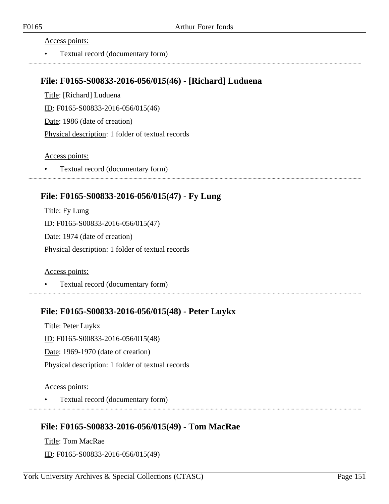• Textual record (documentary form)

### **File: F0165-S00833-2016-056/015(46) - [Richard] Luduena**

Title: [Richard] Luduena ID: F0165-S00833-2016-056/015(46) Date: 1986 (date of creation) Physical description: 1 folder of textual records

Access points:

• Textual record (documentary form)

### **File: F0165-S00833-2016-056/015(47) - Fy Lung**

Title: Fy Lung ID: F0165-S00833-2016-056/015(47) Date: 1974 (date of creation) Physical description: 1 folder of textual records

Access points:

• Textual record (documentary form)

### **File: F0165-S00833-2016-056/015(48) - Peter Luykx**

Title: Peter Luykx ID: F0165-S00833-2016-056/015(48) Date: 1969-1970 (date of creation) Physical description: 1 folder of textual records

Access points:

• Textual record (documentary form)

# **File: F0165-S00833-2016-056/015(49) - Tom MacRae**

Title: Tom MacRae ID: F0165-S00833-2016-056/015(49)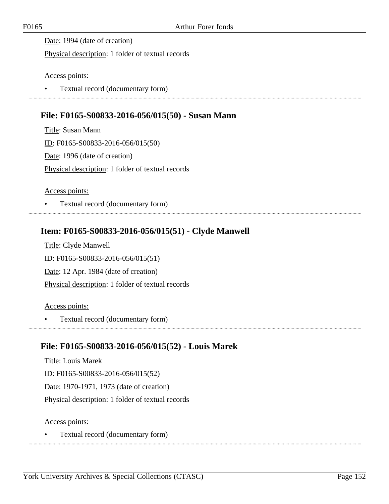Date: 1994 (date of creation)

Physical description: 1 folder of textual records

Access points:

• Textual record (documentary form)

# **File: F0165-S00833-2016-056/015(50) - Susan Mann**

Title: Susan Mann ID: F0165-S00833-2016-056/015(50) Date: 1996 (date of creation) Physical description: 1 folder of textual records

Access points:

• Textual record (documentary form) 

# **Item: F0165-S00833-2016-056/015(51) - Clyde Manwell**

Title: Clyde Manwell ID: F0165-S00833-2016-056/015(51) Date: 12 Apr. 1984 (date of creation) Physical description: 1 folder of textual records

Access points:

• Textual record (documentary form)

# **File: F0165-S00833-2016-056/015(52) - Louis Marek**

Title: Louis Marek ID: F0165-S00833-2016-056/015(52) Date: 1970-1971, 1973 (date of creation) Physical description: 1 folder of textual records

Access points:

• Textual record (documentary form)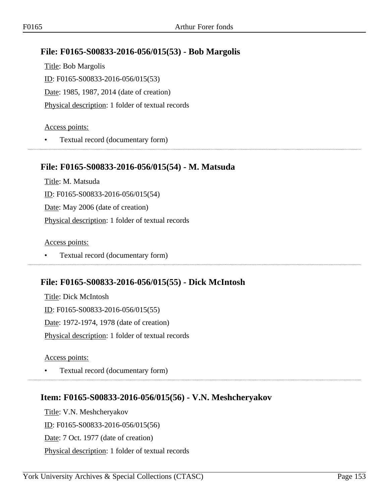## **File: F0165-S00833-2016-056/015(53) - Bob Margolis**

Title: Bob Margolis ID: F0165-S00833-2016-056/015(53) Date: 1985, 1987, 2014 (date of creation) Physical description: 1 folder of textual records

#### Access points:

• Textual record (documentary form) 

### **File: F0165-S00833-2016-056/015(54) - M. Matsuda**

Title: M. Matsuda ID: F0165-S00833-2016-056/015(54) Date: May 2006 (date of creation) Physical description: 1 folder of textual records

Access points:

• Textual record (documentary form)

### **File: F0165-S00833-2016-056/015(55) - Dick McIntosh**

Title: Dick McIntosh ID: F0165-S00833-2016-056/015(55) Date: 1972-1974, 1978 (date of creation) Physical description: 1 folder of textual records

Access points:

• Textual record (documentary form)

# **Item: F0165-S00833-2016-056/015(56) - V.N. Meshcheryakov**

Title: V.N. Meshcheryakov ID: F0165-S00833-2016-056/015(56) Date: 7 Oct. 1977 (date of creation) Physical description: 1 folder of textual records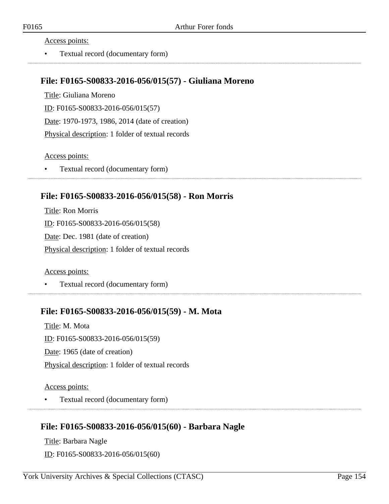• Textual record (documentary form)

### **File: F0165-S00833-2016-056/015(57) - Giuliana Moreno**

Title: Giuliana Moreno ID: F0165-S00833-2016-056/015(57) Date: 1970-1973, 1986, 2014 (date of creation) Physical description: 1 folder of textual records

Access points:

• Textual record (documentary form)

### **File: F0165-S00833-2016-056/015(58) - Ron Morris**

Title: Ron Morris ID: F0165-S00833-2016-056/015(58) Date: Dec. 1981 (date of creation) Physical description: 1 folder of textual records

Access points:

• Textual record (documentary form)

### **File: F0165-S00833-2016-056/015(59) - M. Mota**

Title: M. Mota ID: F0165-S00833-2016-056/015(59) Date: 1965 (date of creation) Physical description: 1 folder of textual records

Access points:

• Textual record (documentary form)

### **File: F0165-S00833-2016-056/015(60) - Barbara Nagle**

Title: Barbara Nagle ID: F0165-S00833-2016-056/015(60)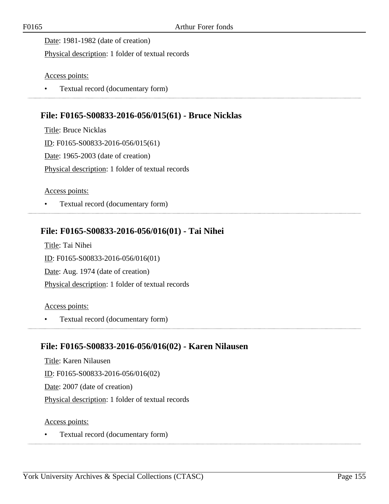Date: 1981-1982 (date of creation)

Physical description: 1 folder of textual records

Access points:

• Textual record (documentary form)

# **File: F0165-S00833-2016-056/015(61) - Bruce Nicklas**

Title: Bruce Nicklas ID: F0165-S00833-2016-056/015(61) Date: 1965-2003 (date of creation) Physical description: 1 folder of textual records

Access points:

• Textual record (documentary form) 

# **File: F0165-S00833-2016-056/016(01) - Tai Nihei**

Title: Tai Nihei ID: F0165-S00833-2016-056/016(01) Date: Aug. 1974 (date of creation) Physical description: 1 folder of textual records

Access points:

• Textual record (documentary form) 

### **File: F0165-S00833-2016-056/016(02) - Karen Nilausen**

Title: Karen Nilausen ID: F0165-S00833-2016-056/016(02) Date: 2007 (date of creation) Physical description: 1 folder of textual records

Access points:

• Textual record (documentary form)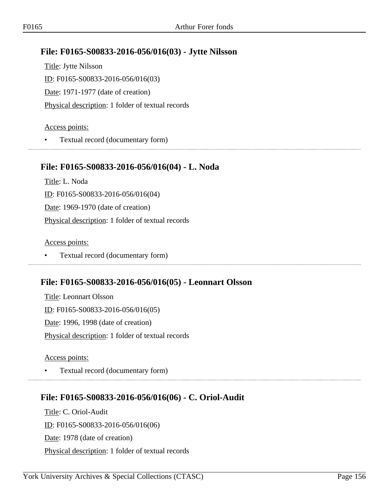# **File: F0165-S00833-2016-056/016(03) - Jytte Nilsson**

Title: Jytte Nilsson ID: F0165-S00833-2016-056/016(03) Date: 1971-1977 (date of creation) Physical description: 1 folder of textual records

#### Access points:

• Textual record (documentary form) 

### **File: F0165-S00833-2016-056/016(04) - L. Noda**

Title: L. Noda ID: F0165-S00833-2016-056/016(04) Date: 1969-1970 (date of creation) Physical description: 1 folder of textual records

Access points:

• Textual record (documentary form)

### **File: F0165-S00833-2016-056/016(05) - Leonnart Olsson**

Title: Leonnart Olsson ID: F0165-S00833-2016-056/016(05) Date: 1996, 1998 (date of creation) Physical description: 1 folder of textual records

Access points:

• Textual record (documentary form)

# **File: F0165-S00833-2016-056/016(06) - C. Oriol-Audit**

Title: C. Oriol-Audit ID: F0165-S00833-2016-056/016(06) Date: 1978 (date of creation) Physical description: 1 folder of textual records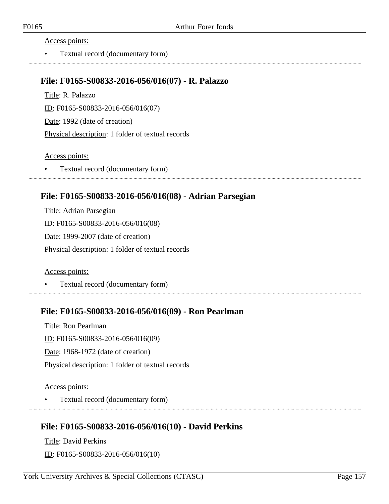• Textual record (documentary form)

### **File: F0165-S00833-2016-056/016(07) - R. Palazzo**

Title: R. Palazzo ID: F0165-S00833-2016-056/016(07) Date: 1992 (date of creation) Physical description: 1 folder of textual records

Access points:

• Textual record (documentary form)

### **File: F0165-S00833-2016-056/016(08) - Adrian Parsegian**

Title: Adrian Parsegian ID: F0165-S00833-2016-056/016(08) Date: 1999-2007 (date of creation) Physical description: 1 folder of textual records

Access points:

• Textual record (documentary form)

### **File: F0165-S00833-2016-056/016(09) - Ron Pearlman**

Title: Ron Pearlman ID: F0165-S00833-2016-056/016(09) Date: 1968-1972 (date of creation) Physical description: 1 folder of textual records

Access points:

• Textual record (documentary form)

# **File: F0165-S00833-2016-056/016(10) - David Perkins**

Title: David Perkins ID: F0165-S00833-2016-056/016(10)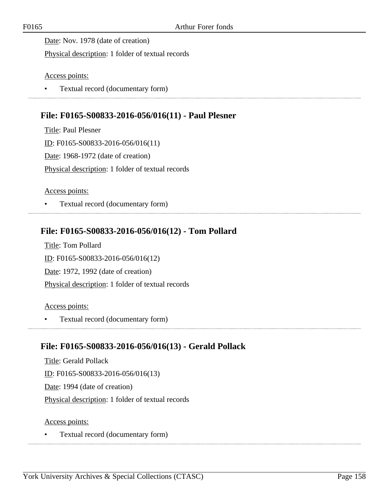Date: Nov. 1978 (date of creation)

Physical description: 1 folder of textual records

Access points:

• Textual record (documentary form)

### **File: F0165-S00833-2016-056/016(11) - Paul Plesner**

Title: Paul Plesner ID: F0165-S00833-2016-056/016(11) Date: 1968-1972 (date of creation) Physical description: 1 folder of textual records

Access points:

• Textual record (documentary form) 

### **File: F0165-S00833-2016-056/016(12) - Tom Pollard**

Title: Tom Pollard ID: F0165-S00833-2016-056/016(12) Date: 1972, 1992 (date of creation) Physical description: 1 folder of textual records

Access points:

• Textual record (documentary form)

### **File: F0165-S00833-2016-056/016(13) - Gerald Pollack**

Title: Gerald Pollack ID: F0165-S00833-2016-056/016(13) Date: 1994 (date of creation) Physical description: 1 folder of textual records

Access points:

• Textual record (documentary form)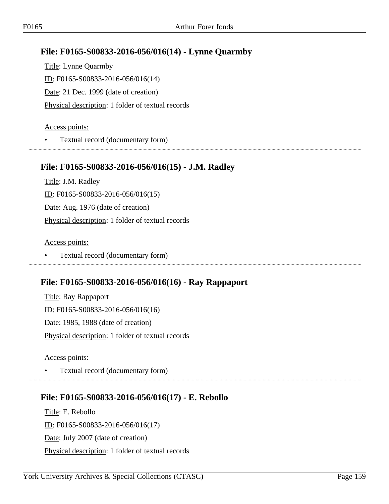# **File: F0165-S00833-2016-056/016(14) - Lynne Quarmby**

Title: Lynne Quarmby ID: F0165-S00833-2016-056/016(14) Date: 21 Dec. 1999 (date of creation) Physical description: 1 folder of textual records

#### Access points:

• Textual record (documentary form)

### **File: F0165-S00833-2016-056/016(15) - J.M. Radley**

Title: J.M. Radley ID: F0165-S00833-2016-056/016(15) Date: Aug. 1976 (date of creation) Physical description: 1 folder of textual records

Access points:

• Textual record (documentary form)

# **File: F0165-S00833-2016-056/016(16) - Ray Rappaport**

Title: Ray Rappaport ID: F0165-S00833-2016-056/016(16) Date: 1985, 1988 (date of creation) Physical description: 1 folder of textual records

Access points:

• Textual record (documentary form)

# **File: F0165-S00833-2016-056/016(17) - E. Rebollo**

Title: E. Rebollo ID: F0165-S00833-2016-056/016(17) Date: July 2007 (date of creation) Physical description: 1 folder of textual records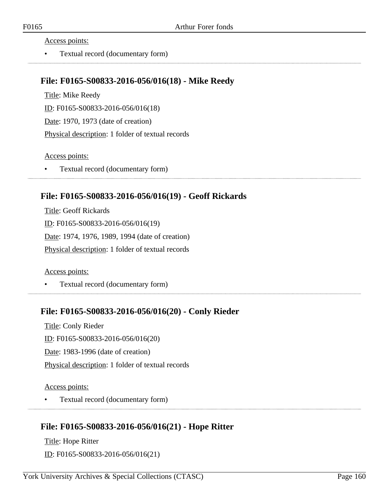• Textual record (documentary form)

### **File: F0165-S00833-2016-056/016(18) - Mike Reedy**

Title: Mike Reedy ID: F0165-S00833-2016-056/016(18) Date: 1970, 1973 (date of creation) Physical description: 1 folder of textual records

Access points:

• Textual record (documentary form)

### **File: F0165-S00833-2016-056/016(19) - Geoff Rickards**

Title: Geoff Rickards ID: F0165-S00833-2016-056/016(19) Date: 1974, 1976, 1989, 1994 (date of creation) Physical description: 1 folder of textual records

Access points:

• Textual record (documentary form)

### **File: F0165-S00833-2016-056/016(20) - Conly Rieder**

Title: Conly Rieder ID: F0165-S00833-2016-056/016(20) Date: 1983-1996 (date of creation) Physical description: 1 folder of textual records

Access points:

• Textual record (documentary form)

# **File: F0165-S00833-2016-056/016(21) - Hope Ritter**

Title: Hope Ritter ID: F0165-S00833-2016-056/016(21)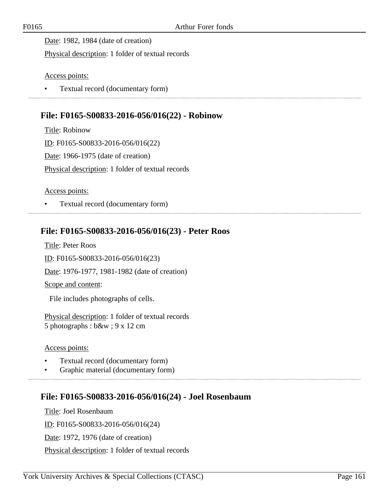Date: 1982, 1984 (date of creation)

Physical description: 1 folder of textual records

Access points:

• Textual record (documentary form)

### **File: F0165-S00833-2016-056/016(22) - Robinow**

Title: Robinow ID: F0165-S00833-2016-056/016(22) Date: 1966-1975 (date of creation) Physical description: 1 folder of textual records

Access points:

• Textual record (documentary form) 

## **File: F0165-S00833-2016-056/016(23) - Peter Roos**

Title: Peter Roos ID: F0165-S00833-2016-056/016(23) Date: 1976-1977, 1981-1982 (date of creation) Scope and content: File includes photographs of cells.

Physical description: 1 folder of textual records 5 photographs : b&w ; 9 x 12 cm

Access points:

- Textual record (documentary form)
- Graphic material (documentary form)

### **File: F0165-S00833-2016-056/016(24) - Joel Rosenbaum**

Title: Joel Rosenbaum ID: F0165-S00833-2016-056/016(24) Date: 1972, 1976 (date of creation) Physical description: 1 folder of textual records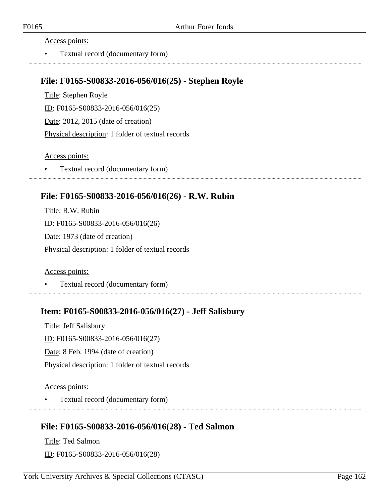• Textual record (documentary form)

### **File: F0165-S00833-2016-056/016(25) - Stephen Royle**

Title: Stephen Royle ID: F0165-S00833-2016-056/016(25) Date: 2012, 2015 (date of creation) Physical description: 1 folder of textual records

Access points:

• Textual record (documentary form)

## **File: F0165-S00833-2016-056/016(26) - R.W. Rubin**

Title: R.W. Rubin ID: F0165-S00833-2016-056/016(26) Date: 1973 (date of creation) Physical description: 1 folder of textual records

Access points:

• Textual record (documentary form)

### **Item: F0165-S00833-2016-056/016(27) - Jeff Salisbury**

Title: Jeff Salisbury ID: F0165-S00833-2016-056/016(27) Date: 8 Feb. 1994 (date of creation) Physical description: 1 folder of textual records

Access points:

• Textual record (documentary form)

# **File: F0165-S00833-2016-056/016(28) - Ted Salmon**

Title: Ted Salmon ID: F0165-S00833-2016-056/016(28)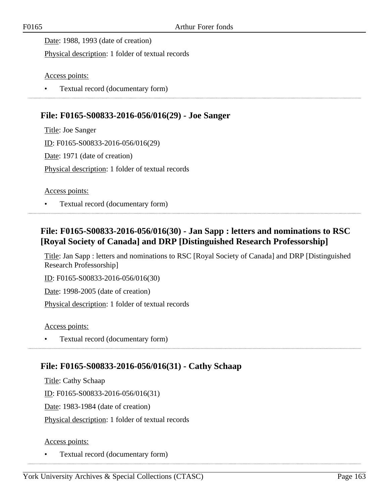Date: 1988, 1993 (date of creation)

Physical description: 1 folder of textual records

Access points:

• Textual record (documentary form)

## **File: F0165-S00833-2016-056/016(29) - Joe Sanger**

Title: Joe Sanger ID: F0165-S00833-2016-056/016(29) Date: 1971 (date of creation) Physical description: 1 folder of textual records

Access points:

• Textual record (documentary form)

# **File: F0165-S00833-2016-056/016(30) - Jan Sapp : letters and nominations to RSC [Royal Society of Canada] and DRP [Distinguished Research Professorship]**

Title: Jan Sapp : letters and nominations to RSC [Royal Society of Canada] and DRP [Distinguished Research Professorship]

ID: F0165-S00833-2016-056/016(30)

Date: 1998-2005 (date of creation)

Physical description: 1 folder of textual records

Access points:

• Textual record (documentary form)

### **File: F0165-S00833-2016-056/016(31) - Cathy Schaap**

Title: Cathy Schaap ID: F0165-S00833-2016-056/016(31) Date: 1983-1984 (date of creation) Physical description: 1 folder of textual records

#### Access points:

• Textual record (documentary form)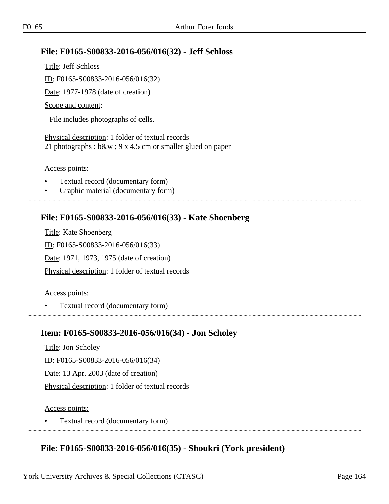# **File: F0165-S00833-2016-056/016(32) - Jeff Schloss**

Title: Jeff Schloss ID: F0165-S00833-2016-056/016(32) Date: 1977-1978 (date of creation) Scope and content: File includes photographs of cells.

Physical description: 1 folder of textual records 21 photographs : b&w ; 9 x 4.5 cm or smaller glued on paper

Access points:

- Textual record (documentary form)
- Graphic material (documentary form)

### **File: F0165-S00833-2016-056/016(33) - Kate Shoenberg**

Title: Kate Shoenberg ID: F0165-S00833-2016-056/016(33) Date: 1971, 1973, 1975 (date of creation) Physical description: 1 folder of textual records

### Access points:

• Textual record (documentary form)

### **Item: F0165-S00833-2016-056/016(34) - Jon Scholey**

Title: Jon Scholey

ID: F0165-S00833-2016-056/016(34)

Date: 13 Apr. 2003 (date of creation)

Physical description: 1 folder of textual records

### Access points:

• Textual record (documentary form)

# **File: F0165-S00833-2016-056/016(35) - Shoukri (York president)**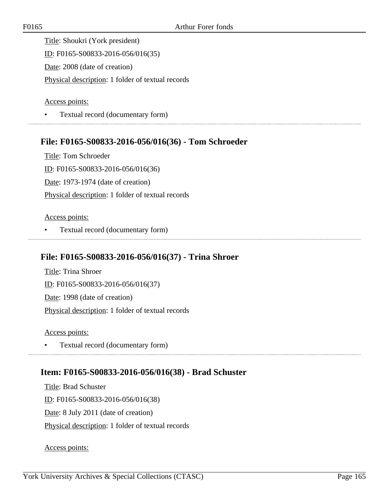Title: Shoukri (York president) ID: F0165-S00833-2016-056/016(35) Date: 2008 (date of creation) Physical description: 1 folder of textual records

Access points:

• Textual record (documentary form)

### **File: F0165-S00833-2016-056/016(36) - Tom Schroeder**

Title: Tom Schroeder ID: F0165-S00833-2016-056/016(36) Date: 1973-1974 (date of creation) Physical description: 1 folder of textual records

#### Access points:

• Textual record (documentary form)

### **File: F0165-S00833-2016-056/016(37) - Trina Shroer**

Title: Trina Shroer ID: F0165-S00833-2016-056/016(37) Date: 1998 (date of creation) Physical description: 1 folder of textual records

Access points:

• Textual record (documentary form)

### **Item: F0165-S00833-2016-056/016(38) - Brad Schuster**

Title: Brad Schuster ID: F0165-S00833-2016-056/016(38) Date: 8 July 2011 (date of creation) Physical description: 1 folder of textual records

Access points: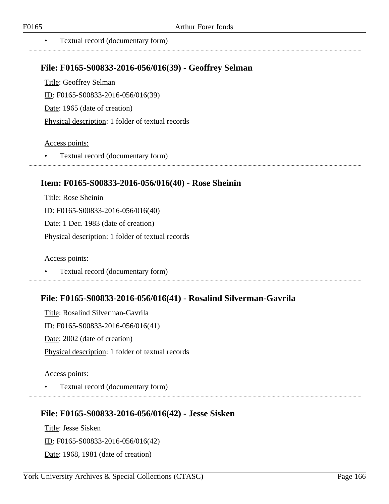• Textual record (documentary form)

### **File: F0165-S00833-2016-056/016(39) - Geoffrey Selman**

Title: Geoffrey Selman ID: F0165-S00833-2016-056/016(39) Date: 1965 (date of creation) Physical description: 1 folder of textual records

#### Access points:

• Textual record (documentary form)

## **Item: F0165-S00833-2016-056/016(40) - Rose Sheinin**

Title: Rose Sheinin ID: F0165-S00833-2016-056/016(40) Date: 1 Dec. 1983 (date of creation) Physical description: 1 folder of textual records

Access points:

• Textual record (documentary form)

# **File: F0165-S00833-2016-056/016(41) - Rosalind Silverman-Gavrila**

Title: Rosalind Silverman-Gavrila ID: F0165-S00833-2016-056/016(41) Date: 2002 (date of creation) Physical description: 1 folder of textual records

### Access points:

• Textual record (documentary form)

### **File: F0165-S00833-2016-056/016(42) - Jesse Sisken**

Title: Jesse Sisken ID: F0165-S00833-2016-056/016(42) Date: 1968, 1981 (date of creation)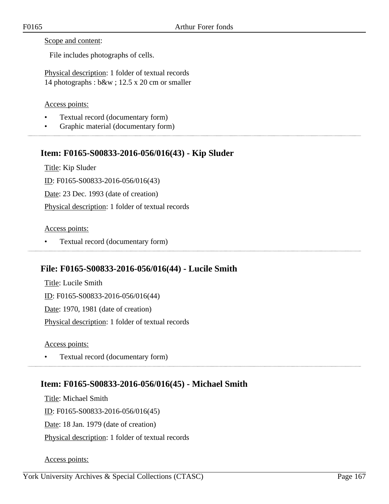Scope and content:

File includes photographs of cells.

Physical description: 1 folder of textual records 14 photographs : b&w ; 12.5 x 20 cm or smaller

### Access points:

- Textual record (documentary form)
- Graphic material (documentary form)

# **Item: F0165-S00833-2016-056/016(43) - Kip Sluder**

Title: Kip Sluder ID: F0165-S00833-2016-056/016(43) Date: 23 Dec. 1993 (date of creation) Physical description: 1 folder of textual records

### Access points:

• Textual record (documentary form)

# **File: F0165-S00833-2016-056/016(44) - Lucile Smith**

Title: Lucile Smith ID: F0165-S00833-2016-056/016(44) Date: 1970, 1981 (date of creation) Physical description: 1 folder of textual records

Access points:

• Textual record (documentary form)

# **Item: F0165-S00833-2016-056/016(45) - Michael Smith**

Title: Michael Smith ID: F0165-S00833-2016-056/016(45) Date: 18 Jan. 1979 (date of creation) Physical description: 1 folder of textual records

Access points: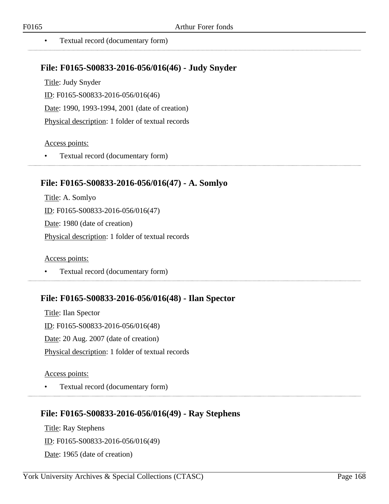• Textual record (documentary form)

## **File: F0165-S00833-2016-056/016(46) - Judy Snyder**

Title: Judy Snyder ID: F0165-S00833-2016-056/016(46) Date: 1990, 1993-1994, 2001 (date of creation) Physical description: 1 folder of textual records

#### Access points:

• Textual record (documentary form)

# **File: F0165-S00833-2016-056/016(47) - A. Somlyo**

Title: A. Somlyo ID: F0165-S00833-2016-056/016(47) Date: 1980 (date of creation) Physical description: 1 folder of textual records

Access points:

• Textual record (documentary form)

### **File: F0165-S00833-2016-056/016(48) - Ilan Spector**

Title: Ilan Spector ID: F0165-S00833-2016-056/016(48) Date: 20 Aug. 2007 (date of creation) Physical description: 1 folder of textual records

### Access points:

• Textual record (documentary form)

### **File: F0165-S00833-2016-056/016(49) - Ray Stephens**

Title: Ray Stephens ID: F0165-S00833-2016-056/016(49) Date: 1965 (date of creation)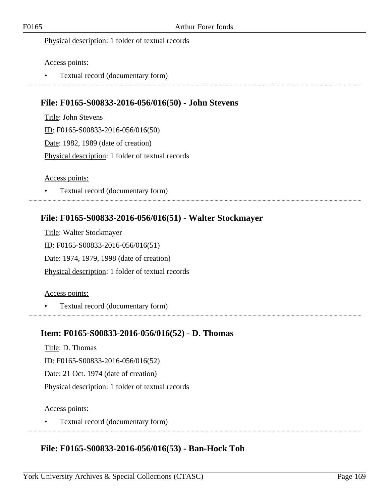#### Physical description: 1 folder of textual records

#### Access points:

• Textual record (documentary form)

# **File: F0165-S00833-2016-056/016(50) - John Stevens**

Title: John Stevens ID: F0165-S00833-2016-056/016(50) Date: 1982, 1989 (date of creation) Physical description: 1 folder of textual records

#### Access points:

• Textual record (documentary form)

## **File: F0165-S00833-2016-056/016(51) - Walter Stockmayer**

Title: Walter Stockmayer ID: F0165-S00833-2016-056/016(51) Date: 1974, 1979, 1998 (date of creation) Physical description: 1 folder of textual records

#### Access points:

• Textual record (documentary form)

### **Item: F0165-S00833-2016-056/016(52) - D. Thomas**

Title: D. Thomas

ID: F0165-S00833-2016-056/016(52)

Date: 21 Oct. 1974 (date of creation)

Physical description: 1 folder of textual records

#### Access points:

• Textual record (documentary form)

### **File: F0165-S00833-2016-056/016(53) - Ban-Hock Toh**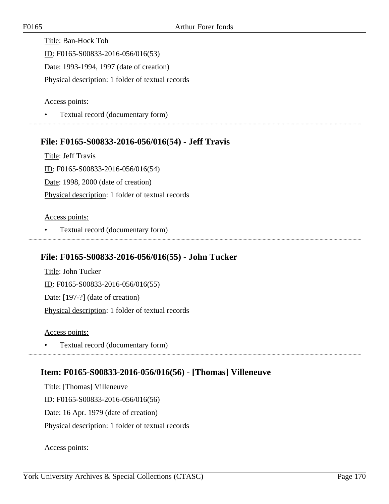Title: Ban-Hock Toh ID: F0165-S00833-2016-056/016(53) Date: 1993-1994, 1997 (date of creation) Physical description: 1 folder of textual records

Access points:

• Textual record (documentary form)

### **File: F0165-S00833-2016-056/016(54) - Jeff Travis**

Title: Jeff Travis ID: F0165-S00833-2016-056/016(54) Date: 1998, 2000 (date of creation) Physical description: 1 folder of textual records

#### Access points:

• Textual record (documentary form)

### **File: F0165-S00833-2016-056/016(55) - John Tucker**

Title: John Tucker ID: F0165-S00833-2016-056/016(55) Date: [197-?] (date of creation) Physical description: 1 folder of textual records

Access points:

• Textual record (documentary form) 

### **Item: F0165-S00833-2016-056/016(56) - [Thomas] Villeneuve**

Title: [Thomas] Villeneuve ID: F0165-S00833-2016-056/016(56) Date: 16 Apr. 1979 (date of creation) Physical description: 1 folder of textual records

Access points: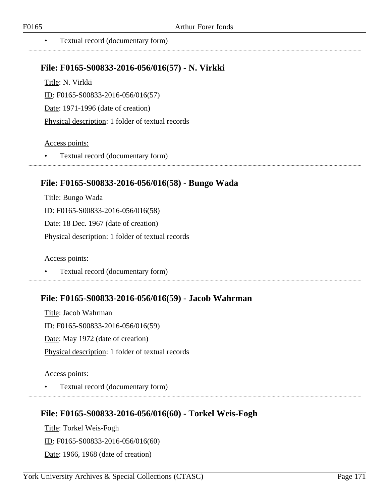• Textual record (documentary form)

### **File: F0165-S00833-2016-056/016(57) - N. Virkki**

Title: N. Virkki ID: F0165-S00833-2016-056/016(57) Date: 1971-1996 (date of creation) Physical description: 1 folder of textual records

### Access points:

• Textual record (documentary form)

## **File: F0165-S00833-2016-056/016(58) - Bungo Wada**

Title: Bungo Wada ID: F0165-S00833-2016-056/016(58) Date: 18 Dec. 1967 (date of creation) Physical description: 1 folder of textual records

Access points:

• Textual record (documentary form)

### **File: F0165-S00833-2016-056/016(59) - Jacob Wahrman**

Title: Jacob Wahrman ID: F0165-S00833-2016-056/016(59) Date: May 1972 (date of creation) Physical description: 1 folder of textual records

#### Access points:

• Textual record (documentary form)

### **File: F0165-S00833-2016-056/016(60) - Torkel Weis-Fogh**

Title: Torkel Weis-Fogh ID: F0165-S00833-2016-056/016(60) Date: 1966, 1968 (date of creation)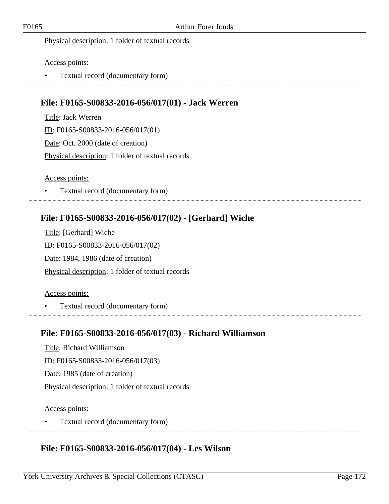#### Physical description: 1 folder of textual records

#### Access points:

• Textual record (documentary form)

# **File: F0165-S00833-2016-056/017(01) - Jack Werren**

Title: Jack Werren ID: F0165-S00833-2016-056/017(01) Date: Oct. 2000 (date of creation) Physical description: 1 folder of textual records

#### Access points:

• Textual record (documentary form)

# **File: F0165-S00833-2016-056/017(02) - [Gerhard] Wiche**

Title: [Gerhard] Wiche ID: F0165-S00833-2016-056/017(02) Date: 1984, 1986 (date of creation) Physical description: 1 folder of textual records

#### Access points:

• Textual record (documentary form)

### **File: F0165-S00833-2016-056/017(03) - Richard Williamson**

Title: Richard Williamson ID: F0165-S00833-2016-056/017(03) Date: 1985 (date of creation) Physical description: 1 folder of textual records

#### Access points:

• Textual record (documentary form)

### **File: F0165-S00833-2016-056/017(04) - Les Wilson**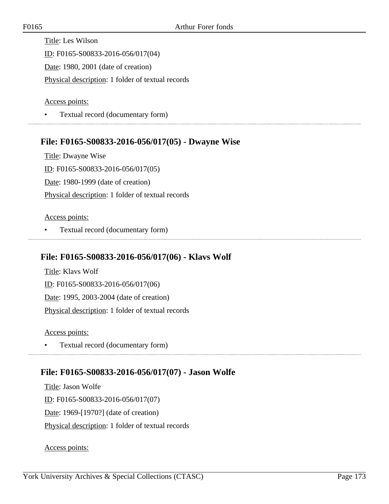Title: Les Wilson ID: F0165-S00833-2016-056/017(04) Date: 1980, 2001 (date of creation) Physical description: 1 folder of textual records

Access points:

• Textual record (documentary form)

## **File: F0165-S00833-2016-056/017(05) - Dwayne Wise**

Title: Dwayne Wise ID: F0165-S00833-2016-056/017(05) Date: 1980-1999 (date of creation) Physical description: 1 folder of textual records

#### Access points:

• Textual record (documentary form)

## **File: F0165-S00833-2016-056/017(06) - Klavs Wolf**

Title: Klavs Wolf ID: F0165-S00833-2016-056/017(06) Date: 1995, 2003-2004 (date of creation) Physical description: 1 folder of textual records

Access points:

• Textual record (documentary form) 

# **File: F0165-S00833-2016-056/017(07) - Jason Wolfe**

Title: Jason Wolfe ID: F0165-S00833-2016-056/017(07) Date: 1969-[1970?] (date of creation) Physical description: 1 folder of textual records

Access points: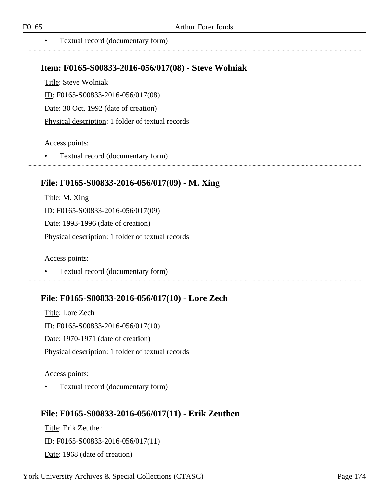### **Item: F0165-S00833-2016-056/017(08) - Steve Wolniak**

Title: Steve Wolniak ID: F0165-S00833-2016-056/017(08) Date: 30 Oct. 1992 (date of creation) Physical description: 1 folder of textual records

#### Access points:

• Textual record (documentary form)

## **File: F0165-S00833-2016-056/017(09) - M. Xing**

Title: M. Xing ID: F0165-S00833-2016-056/017(09) Date: 1993-1996 (date of creation) Physical description: 1 folder of textual records

Access points:

• Textual record (documentary form)

### **File: F0165-S00833-2016-056/017(10) - Lore Zech**

Title: Lore Zech ID: F0165-S00833-2016-056/017(10) Date: 1970-1971 (date of creation) Physical description: 1 folder of textual records

#### Access points:

• Textual record (documentary form)

### **File: F0165-S00833-2016-056/017(11) - Erik Zeuthen**

Title: Erik Zeuthen ID: F0165-S00833-2016-056/017(11) Date: 1968 (date of creation)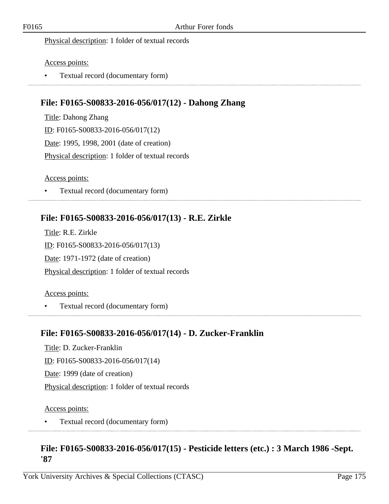#### Physical description: 1 folder of textual records

#### Access points:

• Textual record (documentary form)

# **File: F0165-S00833-2016-056/017(12) - Dahong Zhang**

Title: Dahong Zhang ID: F0165-S00833-2016-056/017(12) Date: 1995, 1998, 2001 (date of creation) Physical description: 1 folder of textual records

#### Access points:

• Textual record (documentary form)

# **File: F0165-S00833-2016-056/017(13) - R.E. Zirkle**

Title: R.E. Zirkle ID: F0165-S00833-2016-056/017(13) Date: 1971-1972 (date of creation) Physical description: 1 folder of textual records

#### Access points:

• Textual record (documentary form)

### **File: F0165-S00833-2016-056/017(14) - D. Zucker-Franklin**

Title: D. Zucker-Franklin ID: F0165-S00833-2016-056/017(14) Date: 1999 (date of creation)

Physical description: 1 folder of textual records

#### Access points:

• Textual record (documentary form)

### **File: F0165-S00833-2016-056/017(15) - Pesticide letters (etc.) : 3 March 1986 -Sept. '87**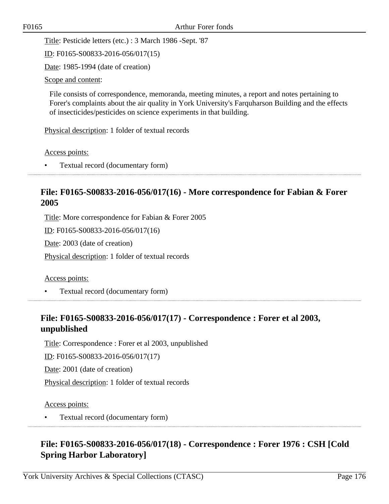Title: Pesticide letters (etc.) : 3 March 1986 -Sept. '87

ID: F0165-S00833-2016-056/017(15)

Date: 1985-1994 (date of creation)

Scope and content:

File consists of correspondence, memoranda, meeting minutes, a report and notes pertaining to Forer's complaints about the air quality in York University's Farquharson Building and the effects of insecticides/pesticides on science experiments in that building.

Physical description: 1 folder of textual records

Access points:

• Textual record (documentary form)

## **File: F0165-S00833-2016-056/017(16) - More correspondence for Fabian & Forer 2005**

Title: More correspondence for Fabian & Forer 2005

ID: F0165-S00833-2016-056/017(16)

Date: 2003 (date of creation)

Physical description: 1 folder of textual records

Access points:

• Textual record (documentary form)

# **File: F0165-S00833-2016-056/017(17) - Correspondence : Forer et al 2003, unpublished**

Title: Correspondence : Forer et al 2003, unpublished

ID: F0165-S00833-2016-056/017(17)

Date: 2001 (date of creation)

Physical description: 1 folder of textual records

Access points:

• Textual record (documentary form)

# **File: F0165-S00833-2016-056/017(18) - Correspondence : Forer 1976 : CSH [Cold Spring Harbor Laboratory]**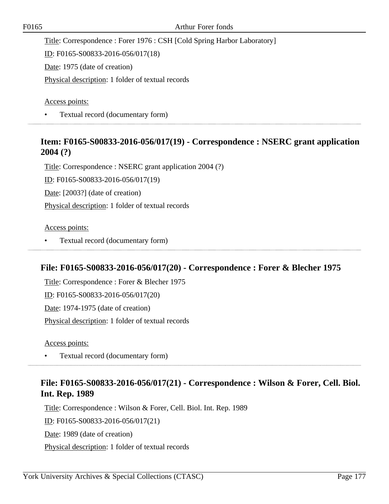Title: Correspondence : Forer 1976 : CSH [Cold Spring Harbor Laboratory]

ID: F0165-S00833-2016-056/017(18)

Date: 1975 (date of creation)

Physical description: 1 folder of textual records

Access points:

• Textual record (documentary form)

## **Item: F0165-S00833-2016-056/017(19) - Correspondence : NSERC grant application 2004 (?)**

Title: Correspondence : NSERC grant application 2004 (?)

ID: F0165-S00833-2016-056/017(19)

Date: [2003?] (date of creation)

Physical description: 1 folder of textual records

Access points:

• Textual record (documentary form) 

# **File: F0165-S00833-2016-056/017(20) - Correspondence : Forer & Blecher 1975**

Title: Correspondence : Forer & Blecher 1975 ID: F0165-S00833-2016-056/017(20) Date: 1974-1975 (date of creation) Physical description: 1 folder of textual records

Access points:

• Textual record (documentary form)

# **File: F0165-S00833-2016-056/017(21) - Correspondence : Wilson & Forer, Cell. Biol. Int. Rep. 1989**

Title: Correspondence : Wilson & Forer, Cell. Biol. Int. Rep. 1989 ID: F0165-S00833-2016-056/017(21) Date: 1989 (date of creation) Physical description: 1 folder of textual records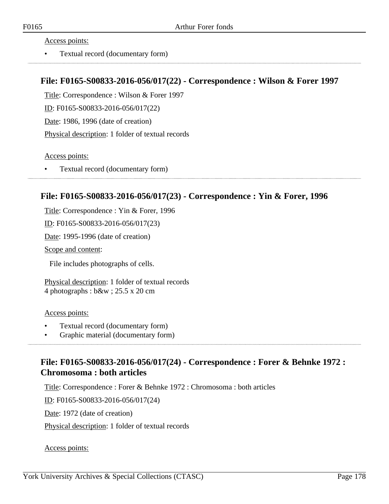• Textual record (documentary form)

### **File: F0165-S00833-2016-056/017(22) - Correspondence : Wilson & Forer 1997**

Title: Correspondence : Wilson & Forer 1997 ID: F0165-S00833-2016-056/017(22)

Date: 1986, 1996 (date of creation)

Physical description: 1 folder of textual records

Access points:

• Textual record (documentary form)

### **File: F0165-S00833-2016-056/017(23) - Correspondence : Yin & Forer, 1996**

Title: Correspondence : Yin & Forer, 1996

ID: F0165-S00833-2016-056/017(23)

Date: 1995-1996 (date of creation)

Scope and content:

File includes photographs of cells.

Physical description: 1 folder of textual records 4 photographs : b&w ; 25.5 x 20 cm

#### Access points:

- Textual record (documentary form)
- Graphic material (documentary form)

# **File: F0165-S00833-2016-056/017(24) - Correspondence : Forer & Behnke 1972 : Chromosoma : both articles**

Title: Correspondence : Forer & Behnke 1972 : Chromosoma : both articles

ID: F0165-S00833-2016-056/017(24)

Date: 1972 (date of creation)

Physical description: 1 folder of textual records

Access points: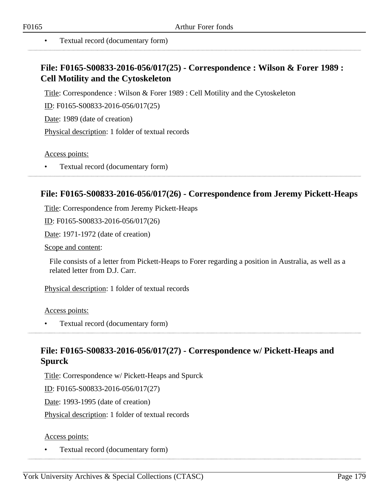# **File: F0165-S00833-2016-056/017(25) - Correspondence : Wilson & Forer 1989 : Cell Motility and the Cytoskeleton**

Title: Correspondence : Wilson & Forer 1989 : Cell Motility and the Cytoskeleton

ID: F0165-S00833-2016-056/017(25)

Date: 1989 (date of creation)

Physical description: 1 folder of textual records

Access points:

• Textual record (documentary form)

### **File: F0165-S00833-2016-056/017(26) - Correspondence from Jeremy Pickett-Heaps**

Title: Correspondence from Jeremy Pickett-Heaps

ID: F0165-S00833-2016-056/017(26)

Date: 1971-1972 (date of creation)

Scope and content:

File consists of a letter from Pickett-Heaps to Forer regarding a position in Australia, as well as a related letter from D.J. Carr.

Physical description: 1 folder of textual records

Access points:

• Textual record (documentary form)

## **File: F0165-S00833-2016-056/017(27) - Correspondence w/ Pickett-Heaps and Spurck**

Title: Correspondence w/ Pickett-Heaps and Spurck

ID: F0165-S00833-2016-056/017(27)

Date: 1993-1995 (date of creation)

Physical description: 1 folder of textual records

#### Access points:

• Textual record (documentary form)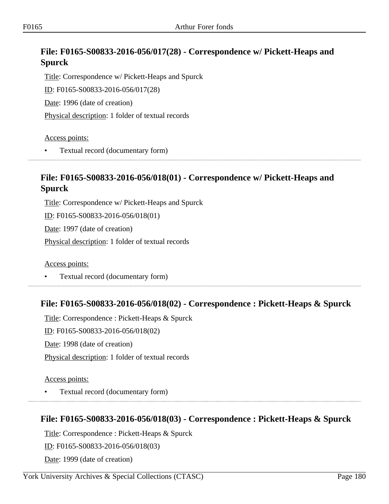# **File: F0165-S00833-2016-056/017(28) - Correspondence w/ Pickett-Heaps and Spurck**

Title: Correspondence w/ Pickett-Heaps and Spurck ID: F0165-S00833-2016-056/017(28) Date: 1996 (date of creation)

Physical description: 1 folder of textual records

Access points:

• Textual record (documentary form)

# **File: F0165-S00833-2016-056/018(01) - Correspondence w/ Pickett-Heaps and Spurck**

Title: Correspondence w/ Pickett-Heaps and Spurck ID: F0165-S00833-2016-056/018(01) Date: 1997 (date of creation)

Physical description: 1 folder of textual records

Access points:

• Textual record (documentary form)

# **File: F0165-S00833-2016-056/018(02) - Correspondence : Pickett-Heaps & Spurck**

Title: Correspondence : Pickett-Heaps & Spurck ID: F0165-S00833-2016-056/018(02) Date: 1998 (date of creation) Physical description: 1 folder of textual records

Access points:

• Textual record (documentary form)

# **File: F0165-S00833-2016-056/018(03) - Correspondence : Pickett-Heaps & Spurck**

Title: Correspondence : Pickett-Heaps & Spurck

ID: F0165-S00833-2016-056/018(03)

Date: 1999 (date of creation)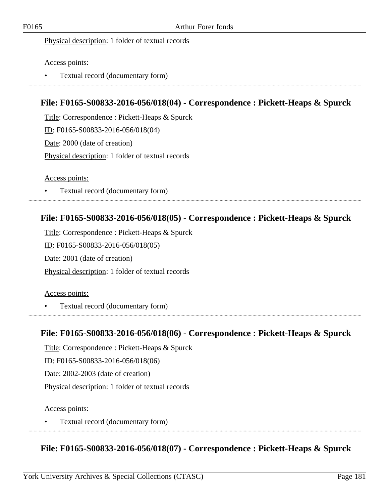Physical description: 1 folder of textual records

Access points:

• Textual record (documentary form)

## **File: F0165-S00833-2016-056/018(04) - Correspondence : Pickett-Heaps & Spurck**

Title: Correspondence : Pickett-Heaps & Spurck ID: F0165-S00833-2016-056/018(04) Date: 2000 (date of creation) Physical description: 1 folder of textual records

Access points:

• Textual record (documentary form)

## **File: F0165-S00833-2016-056/018(05) - Correspondence : Pickett-Heaps & Spurck**

Title: Correspondence : Pickett-Heaps & Spurck ID: F0165-S00833-2016-056/018(05) Date: 2001 (date of creation) Physical description: 1 folder of textual records

### Access points:

• Textual record (documentary form)

### **File: F0165-S00833-2016-056/018(06) - Correspondence : Pickett-Heaps & Spurck**

Title: Correspondence : Pickett-Heaps & Spurck

ID: F0165-S00833-2016-056/018(06)

Date: 2002-2003 (date of creation)

Physical description: 1 folder of textual records

Access points:

• Textual record (documentary form)

**File: F0165-S00833-2016-056/018(07) - Correspondence : Pickett-Heaps & Spurck**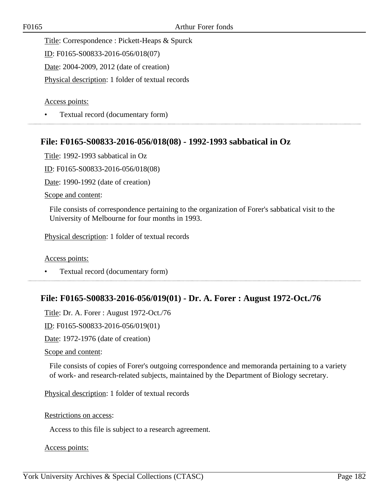Title: Correspondence : Pickett-Heaps & Spurck

ID: F0165-S00833-2016-056/018(07)

Date: 2004-2009, 2012 (date of creation)

Physical description: 1 folder of textual records

Access points:

• Textual record (documentary form)

### **File: F0165-S00833-2016-056/018(08) - 1992-1993 sabbatical in Oz**

Title: 1992-1993 sabbatical in Oz

ID: F0165-S00833-2016-056/018(08)

Date: 1990-1992 (date of creation)

Scope and content:

File consists of correspondence pertaining to the organization of Forer's sabbatical visit to the University of Melbourne for four months in 1993.

Physical description: 1 folder of textual records

Access points:

• Textual record (documentary form)

### **File: F0165-S00833-2016-056/019(01) - Dr. A. Forer : August 1972-Oct./76**

Title: Dr. A. Forer : August 1972-Oct./76

ID: F0165-S00833-2016-056/019(01)

Date: 1972-1976 (date of creation)

Scope and content:

File consists of copies of Forer's outgoing correspondence and memoranda pertaining to a variety of work- and research-related subjects, maintained by the Department of Biology secretary.

Physical description: 1 folder of textual records

Restrictions on access:

Access to this file is subject to a research agreement.

Access points: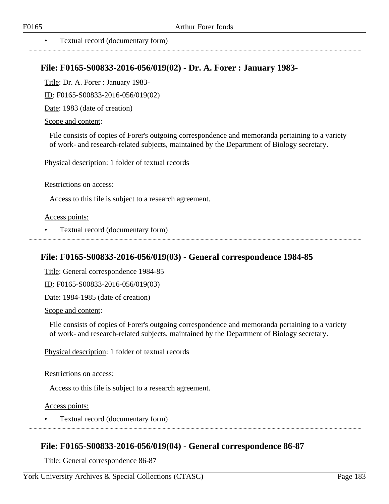### • Textual record (documentary form)

### **File: F0165-S00833-2016-056/019(02) - Dr. A. Forer : January 1983-**

Title: Dr. A. Forer : January 1983-

ID: F0165-S00833-2016-056/019(02)

Date: 1983 (date of creation)

#### Scope and content:

File consists of copies of Forer's outgoing correspondence and memoranda pertaining to a variety of work- and research-related subjects, maintained by the Department of Biology secretary.

Physical description: 1 folder of textual records

#### Restrictions on access:

Access to this file is subject to a research agreement.

#### Access points:

• Textual record (documentary form)

### **File: F0165-S00833-2016-056/019(03) - General correspondence 1984-85**

Title: General correspondence 1984-85

ID: F0165-S00833-2016-056/019(03)

Date: 1984-1985 (date of creation)

Scope and content:

File consists of copies of Forer's outgoing correspondence and memoranda pertaining to a variety of work- and research-related subjects, maintained by the Department of Biology secretary.

Physical description: 1 folder of textual records

### Restrictions on access:

Access to this file is subject to a research agreement.

Access points:

• Textual record (documentary form)

### **File: F0165-S00833-2016-056/019(04) - General correspondence 86-87**

Title: General correspondence 86-87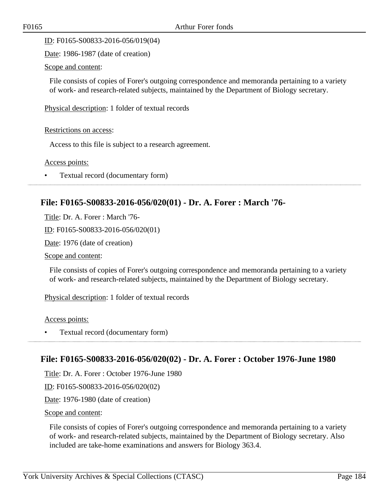ID: F0165-S00833-2016-056/019(04)

Date: 1986-1987 (date of creation)

Scope and content:

File consists of copies of Forer's outgoing correspondence and memoranda pertaining to a variety of work- and research-related subjects, maintained by the Department of Biology secretary.

Physical description: 1 folder of textual records

Restrictions on access:

Access to this file is subject to a research agreement.

Access points:

• Textual record (documentary form)

## **File: F0165-S00833-2016-056/020(01) - Dr. A. Forer : March '76-**

Title: Dr. A. Forer : March '76-

ID: F0165-S00833-2016-056/020(01)

Date: 1976 (date of creation)

Scope and content:

File consists of copies of Forer's outgoing correspondence and memoranda pertaining to a variety of work- and research-related subjects, maintained by the Department of Biology secretary.

Physical description: 1 folder of textual records

Access points:

• Textual record (documentary form)

### **File: F0165-S00833-2016-056/020(02) - Dr. A. Forer : October 1976-June 1980**

Title: Dr. A. Forer : October 1976-June 1980

ID: F0165-S00833-2016-056/020(02)

Date: 1976-1980 (date of creation)

Scope and content:

File consists of copies of Forer's outgoing correspondence and memoranda pertaining to a variety of work- and research-related subjects, maintained by the Department of Biology secretary. Also included are take-home examinations and answers for Biology 363.4.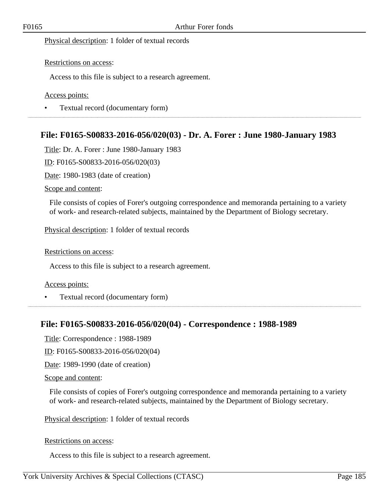Physical description: 1 folder of textual records

### Restrictions on access:

Access to this file is subject to a research agreement.

### Access points:

• Textual record (documentary form) 

## **File: F0165-S00833-2016-056/020(03) - Dr. A. Forer : June 1980-January 1983**

Title: Dr. A. Forer : June 1980-January 1983

ID: F0165-S00833-2016-056/020(03)

Date: 1980-1983 (date of creation)

Scope and content:

File consists of copies of Forer's outgoing correspondence and memoranda pertaining to a variety of work- and research-related subjects, maintained by the Department of Biology secretary.

Physical description: 1 folder of textual records

#### Restrictions on access:

Access to this file is subject to a research agreement.

#### Access points:

• Textual record (documentary form)

### **File: F0165-S00833-2016-056/020(04) - Correspondence : 1988-1989**

Title: Correspondence : 1988-1989

ID: F0165-S00833-2016-056/020(04)

Date: 1989-1990 (date of creation)

Scope and content:

File consists of copies of Forer's outgoing correspondence and memoranda pertaining to a variety of work- and research-related subjects, maintained by the Department of Biology secretary.

Physical description: 1 folder of textual records

#### Restrictions on access:

Access to this file is subject to a research agreement.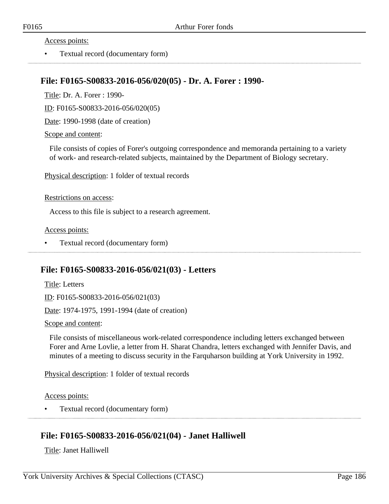#### Access points:

• Textual record (documentary form)

### **File: F0165-S00833-2016-056/020(05) - Dr. A. Forer : 1990-**

Title: Dr. A. Forer : 1990-

ID: F0165-S00833-2016-056/020(05)

Date: 1990-1998 (date of creation)

Scope and content:

File consists of copies of Forer's outgoing correspondence and memoranda pertaining to a variety of work- and research-related subjects, maintained by the Department of Biology secretary.

Physical description: 1 folder of textual records

#### Restrictions on access:

Access to this file is subject to a research agreement.

Access points:

• Textual record (documentary form)

## **File: F0165-S00833-2016-056/021(03) - Letters**

Title: Letters ID: F0165-S00833-2016-056/021(03)

Date: 1974-1975, 1991-1994 (date of creation)

Scope and content:

File consists of miscellaneous work-related correspondence including letters exchanged between Forer and Arne Lovlie, a letter from H. Sharat Chandra, letters exchanged with Jennifer Davis, and minutes of a meeting to discuss security in the Farquharson building at York University in 1992.

Physical description: 1 folder of textual records

Access points:

• Textual record (documentary form)

## **File: F0165-S00833-2016-056/021(04) - Janet Halliwell**

Title: Janet Halliwell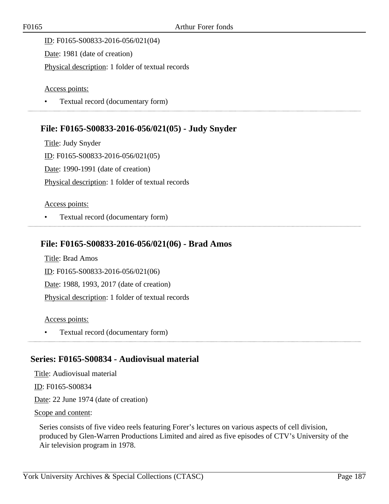ID: F0165-S00833-2016-056/021(04) Date: 1981 (date of creation) Physical description: 1 folder of textual records

Access points:

• Textual record (documentary form)

# **File: F0165-S00833-2016-056/021(05) - Judy Snyder**

Title: Judy Snyder ID: F0165-S00833-2016-056/021(05) Date: 1990-1991 (date of creation) Physical description: 1 folder of textual records

### Access points:

• Textual record (documentary form)

## **File: F0165-S00833-2016-056/021(06) - Brad Amos**

Title: Brad Amos ID: F0165-S00833-2016-056/021(06) Date: 1988, 1993, 2017 (date of creation) Physical description: 1 folder of textual records

### Access points:

• Textual record (documentary form)

## **Series: F0165-S00834 - Audiovisual material**

Title: Audiovisual material

ID: F0165-S00834

Date: 22 June 1974 (date of creation)

### Scope and content:

Series consists of five video reels featuring Forer's lectures on various aspects of cell division, produced by Glen-Warren Productions Limited and aired as five episodes of CTV's University of the Air television program in 1978.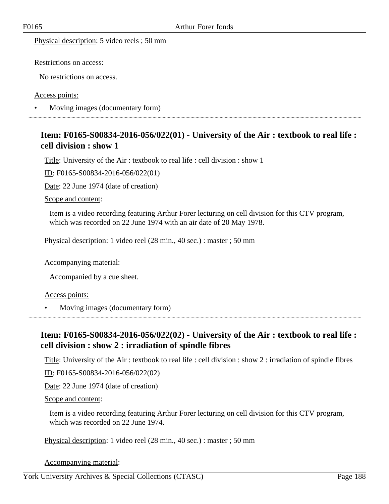Physical description: 5 video reels ; 50 mm

Restrictions on access:

No restrictions on access.

Access points:

• Moving images (documentary form) 

## **Item: F0165-S00834-2016-056/022(01) - University of the Air : textbook to real life : cell division : show 1**

Title: University of the Air : textbook to real life : cell division : show 1

ID: F0165-S00834-2016-056/022(01)

Date: 22 June 1974 (date of creation)

Scope and content:

Item is a video recording featuring Arthur Forer lecturing on cell division for this CTV program, which was recorded on 22 June 1974 with an air date of 20 May 1978.

Physical description: 1 video reel (28 min., 40 sec.) : master ; 50 mm

Accompanying material:

Accompanied by a cue sheet.

Access points:

• Moving images (documentary form) 

## **Item: F0165-S00834-2016-056/022(02) - University of the Air : textbook to real life : cell division : show 2 : irradiation of spindle fibres**

Title: University of the Air : textbook to real life : cell division : show 2 : irradiation of spindle fibres

ID: F0165-S00834-2016-056/022(02)

Date: 22 June 1974 (date of creation)

Scope and content:

Item is a video recording featuring Arthur Forer lecturing on cell division for this CTV program, which was recorded on 22 June 1974.

Physical description: 1 video reel (28 min., 40 sec.) : master ; 50 mm

Accompanying material:

York University Archives & Special Collections (CTASC) Page 188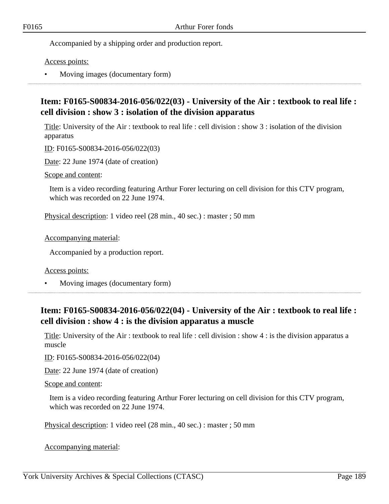Accompanied by a shipping order and production report.

Access points:

• Moving images (documentary form)

## **Item: F0165-S00834-2016-056/022(03) - University of the Air : textbook to real life : cell division : show 3 : isolation of the division apparatus**

Title: University of the Air : textbook to real life : cell division : show 3 : isolation of the division apparatus

ID: F0165-S00834-2016-056/022(03)

Date: 22 June 1974 (date of creation)

Scope and content:

Item is a video recording featuring Arthur Forer lecturing on cell division for this CTV program, which was recorded on 22 June 1974.

Physical description: 1 video reel (28 min., 40 sec.) : master ; 50 mm

Accompanying material:

Accompanied by a production report.

Access points:

• Moving images (documentary form)

# **Item: F0165-S00834-2016-056/022(04) - University of the Air : textbook to real life : cell division : show 4 : is the division apparatus a muscle**

Title: University of the Air : textbook to real life : cell division : show 4 : is the division apparatus a muscle

ID: F0165-S00834-2016-056/022(04)

Date: 22 June 1974 (date of creation)

Scope and content:

Item is a video recording featuring Arthur Forer lecturing on cell division for this CTV program, which was recorded on 22 June 1974.

Physical description: 1 video reel (28 min., 40 sec.) : master ; 50 mm

Accompanying material: